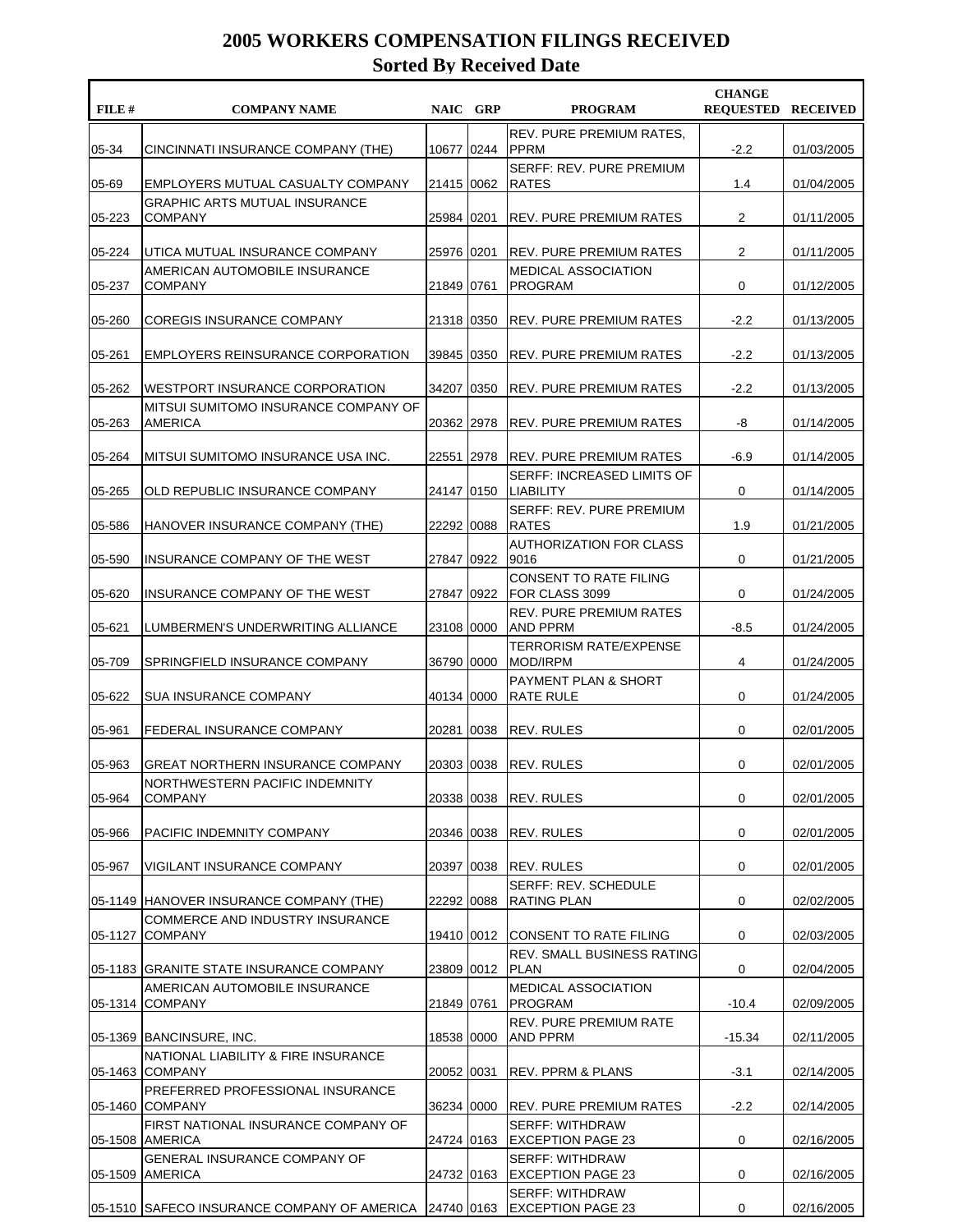| FILE #             | <b>COMPANY NAME</b>                                                      | NAIC GRP   | <b>PROGRAM</b>                                                          | <b>CHANGE</b><br><b>REQUESTED RECEIVED</b> |                          |
|--------------------|--------------------------------------------------------------------------|------------|-------------------------------------------------------------------------|--------------------------------------------|--------------------------|
| 05-34              | CINCINNATI INSURANCE COMPANY (THE)                                       | 10677 0244 | <b>REV. PURE PREMIUM RATES.</b><br><b>PPRM</b>                          | $-2.2$                                     | 01/03/2005               |
| 05-69              | EMPLOYERS MUTUAL CASUALTY COMPANY                                        | 21415 0062 | SERFF: REV. PURE PREMIUM<br><b>RATES</b>                                | 1.4                                        | 01/04/2005               |
| 05-223             | <b>GRAPHIC ARTS MUTUAL INSURANCE</b><br><b>COMPANY</b>                   | 25984 0201 | REV. PURE PREMIUM RATES                                                 | $\overline{2}$                             | 01/11/2005               |
| 05-224             | UTICA MUTUAL INSURANCE COMPANY                                           | 25976 0201 | <b>REV. PURE PREMIUM RATES</b>                                          | $\overline{2}$                             | 01/11/2005               |
|                    | AMERICAN AUTOMOBILE INSURANCE                                            |            | MEDICAL ASSOCIATION                                                     |                                            |                          |
| 05-237             | <b>COMPANY</b>                                                           | 21849 0761 | <b>PROGRAM</b>                                                          | 0                                          | 01/12/2005               |
| 05-260             | COREGIS INSURANCE COMPANY                                                | 21318 0350 | REV. PURE PREMIUM RATES                                                 | $-2.2$                                     | 01/13/2005               |
| 05-261             | EMPLOYERS REINSURANCE CORPORATION                                        | 39845 0350 | <b>REV. PURE PREMIUM RATES</b>                                          | $-2.2$                                     | 01/13/2005               |
| 05-262             | WESTPORT INSURANCE CORPORATION                                           | 34207 0350 | <b>REV. PURE PREMIUM RATES</b>                                          | $-2.2$                                     | 01/13/2005               |
| 05-263             | MITSUI SUMITOMO INSURANCE COMPANY OF<br><b>AMERICA</b>                   | 20362 2978 | <b>REV. PURE PREMIUM RATES</b>                                          | -8                                         | 01/14/2005               |
| 05-264             | MITSUI SUMITOMO INSURANCE USA INC.                                       | 22551 2978 | <b>REV. PURE PREMIUM RATES</b>                                          | $-6.9$                                     | 01/14/2005               |
|                    |                                                                          |            | <b>SERFF: INCREASED LIMITS OF</b>                                       |                                            |                          |
| 05-265             | OLD REPUBLIC INSURANCE COMPANY                                           | 24147 0150 | <b>LIABILITY</b><br>SERFF: REV. PURE PREMIUM                            | 0                                          | 01/14/2005               |
| 05-586             | HANOVER INSURANCE COMPANY (THE)                                          | 22292 0088 | <b>RATES</b><br><b>AUTHORIZATION FOR CLASS</b>                          | 1.9                                        | 01/21/2005               |
| 05-590             | INSURANCE COMPANY OF THE WEST                                            | 27847 0922 | 9016                                                                    | 0                                          | 01/21/2005               |
| 05-620             | INSURANCE COMPANY OF THE WEST                                            | 27847 0922 | <b>CONSENT TO RATE FILING</b><br>FOR CLASS 3099                         | 0                                          | 01/24/2005               |
| 05-621             | LUMBERMEN'S UNDERWRITING ALLIANCE                                        | 23108 0000 | <b>REV. PURE PREMIUM RATES</b><br><b>AND PPRM</b>                       | $-8.5$                                     | 01/24/2005               |
| 05-709             | SPRINGFIELD INSURANCE COMPANY                                            | 36790 0000 | TERRORISM RATE/EXPENSE<br><b>MOD/IRPM</b>                               | 4                                          | 01/24/2005               |
| 05-622             | <b>SUA INSURANCE COMPANY</b>                                             | 40134 0000 | PAYMENT PLAN & SHORT<br>RATE RULE                                       | 0                                          | 01/24/2005               |
|                    |                                                                          |            |                                                                         |                                            |                          |
| 05-961             | FEDERAL INSURANCE COMPANY                                                | 20281 0038 | REV. RULES                                                              | 0                                          | 02/01/2005               |
| 05-963             | <b>GREAT NORTHERN INSURANCE COMPANY</b>                                  | 20303 0038 | <b>REV. RULES</b>                                                       | 0                                          | 02/01/2005               |
| 05-964             | NORTHWESTERN PACIFIC INDEMNITY<br><b>COMPANY</b>                         | 20338 0038 | REV. RULES                                                              | 0                                          | 02/01/2005               |
| 05-966             | PACIFIC INDEMNITY COMPANY                                                | 20346 0038 | REV. RULES                                                              | 0                                          | 02/01/2005               |
| 05-967             | VIGILANT INSURANCE COMPANY                                               | 20397 0038 | <b>REV. RULES</b>                                                       | 0                                          | 02/01/2005               |
|                    | 05-1149 HANOVER INSURANCE COMPANY (THE)                                  | 22292 0088 | <b>SERFF: REV. SCHEDULE</b><br>RATING PLAN                              | 0                                          | 02/02/2005               |
|                    | COMMERCE AND INDUSTRY INSURANCE                                          |            |                                                                         |                                            |                          |
| 05-1127            | <b>COMPANY</b>                                                           |            | 19410 0012 CONSENT TO RATE FILING<br><b>REV. SMALL BUSINESS RATING</b>  | 0                                          | 02/03/2005               |
|                    | 05-1183 GRANITE STATE INSURANCE COMPANY                                  | 23809 0012 | <b>PLAN</b>                                                             | 0                                          | 02/04/2005               |
| 05-1314            | AMERICAN AUTOMOBILE INSURANCE<br><b>COMPANY</b>                          | 21849 0761 | <b>MEDICAL ASSOCIATION</b><br><b>PROGRAM</b>                            | $-10.4$                                    | 02/09/2005               |
|                    | 05-1369 BANCINSURE, INC.                                                 | 18538 0000 | <b>REV. PURE PREMIUM RATE</b><br><b>AND PPRM</b>                        | $-15.34$                                   | 02/11/2005               |
| 05-1463            | NATIONAL LIABILITY & FIRE INSURANCE<br><b>COMPANY</b>                    | 20052 0031 | <b>REV. PPRM &amp; PLANS</b>                                            | $-3.1$                                     | 02/14/2005               |
| 05-1460            | PREFERRED PROFESSIONAL INSURANCE<br><b>COMPANY</b>                       | 36234 0000 | <b>REV. PURE PREMIUM RATES</b>                                          | $-2.2$                                     | 02/14/2005               |
|                    | FIRST NATIONAL INSURANCE COMPANY OF<br><b>AMERICA</b>                    | 24724 0163 | <b>SERFF: WITHDRAW</b>                                                  | 0                                          |                          |
| 05-1508<br>05-1509 | GENERAL INSURANCE COMPANY OF<br>AMERICA                                  | 24732 0163 | <b>EXCEPTION PAGE 23</b><br><b>SERFF: WITHDRAW</b><br>EXCEPTION PAGE 23 | 0                                          | 02/16/2005<br>02/16/2005 |
|                    | 05-1510 SAFECO INSURANCE COMPANY OF AMERICA 24740 0163 EXCEPTION PAGE 23 |            | <b>SERFF: WITHDRAW</b>                                                  | 0                                          | 02/16/2005               |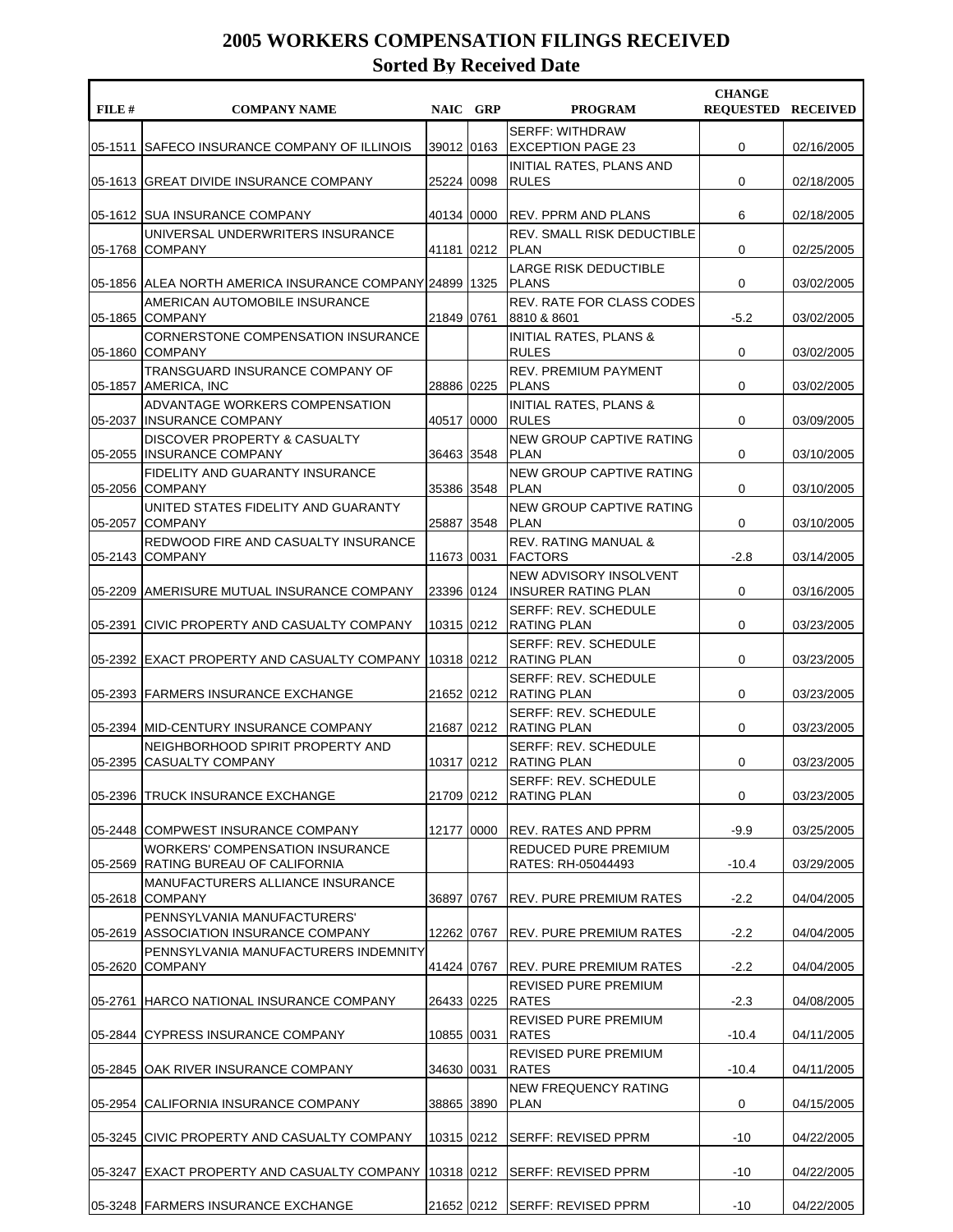| FILE #  | <b>COMPANY NAME</b>                                                          |            | NAIC GRP | <b>PROGRAM</b>                                                                | <b>CHANGE</b><br><b>REQUESTED RECEIVED</b> |            |
|---------|------------------------------------------------------------------------------|------------|----------|-------------------------------------------------------------------------------|--------------------------------------------|------------|
| 05-1511 | SAFECO INSURANCE COMPANY OF ILLINOIS                                         | 39012 0163 |          | <b>SERFF: WITHDRAW</b><br><b>EXCEPTION PAGE 23</b>                            | 0                                          | 02/16/2005 |
|         | 05-1613 GREAT DIVIDE INSURANCE COMPANY                                       | 25224 0098 |          | INITIAL RATES, PLANS AND<br><b>RULES</b>                                      | 0                                          | 02/18/2005 |
|         | 05-1612 SUA INSURANCE COMPANY                                                | 40134 0000 |          | <b>REV. PPRM AND PLANS</b>                                                    | 6                                          | 02/18/2005 |
| 05-1768 | UNIVERSAL UNDERWRITERS INSURANCE<br><b>COMPANY</b>                           | 41181 0212 |          | <b>REV. SMALL RISK DEDUCTIBLE</b><br><b>PLAN</b>                              | 0                                          | 02/25/2005 |
|         | 05-1856   ALEA NORTH AMERICA INSURANCE COMPANY 24899   1325                  |            |          | <b>LARGE RISK DEDUCTIBLE</b><br><b>PLANS</b>                                  | 0                                          | 03/02/2005 |
| 05-1865 | AMERICAN AUTOMOBILE INSURANCE<br><b>COMPANY</b>                              | 21849 0761 |          | <b>REV. RATE FOR CLASS CODES</b><br>8810 & 8601                               | $-5.2$                                     | 03/02/2005 |
| 05-1860 | CORNERSTONE COMPENSATION INSURANCE<br><b>COMPANY</b>                         |            |          | <b>INITIAL RATES, PLANS &amp;</b><br><b>RULES</b>                             | 0                                          | 03/02/2005 |
| 05-1857 | TRANSGUARD INSURANCE COMPANY OF<br>AMERICA, INC                              | 28886 0225 |          | <b>REV. PREMIUM PAYMENT</b><br><b>PLANS</b>                                   | 0                                          | 03/02/2005 |
| 05-2037 | ADVANTAGE WORKERS COMPENSATION<br>INSURANCE COMPANY                          | 40517 0000 |          | <b>INITIAL RATES, PLANS &amp;</b><br><b>RULES</b>                             | 0                                          | 03/09/2005 |
| 05-2055 | DISCOVER PROPERTY & CASUALTY<br>IINSURANCE COMPANY                           | 36463 3548 |          | NEW GROUP CAPTIVE RATING<br><b>PLAN</b>                                       | 0                                          | 03/10/2005 |
|         | FIDELITY AND GUARANTY INSURANCE<br>05-2056 COMPANY                           | 35386 3548 |          | NEW GROUP CAPTIVE RATING<br><b>PLAN</b>                                       | 0                                          | 03/10/2005 |
| 05-2057 | UNITED STATES FIDELITY AND GUARANTY<br>ICOMPANY                              | 25887 3548 |          | NEW GROUP CAPTIVE RATING<br><b>PLAN</b>                                       | 0                                          | 03/10/2005 |
|         | REDWOOD FIRE AND CASUALTY INSURANCE<br>05-2143 COMPANY                       | 11673 0031 |          | <b>REV. RATING MANUAL &amp;</b><br><b>FACTORS</b>                             | $-2.8$                                     | 03/14/2005 |
|         | 05-2209   AMERISURE MUTUAL INSURANCE COMPANY                                 | 23396 0124 |          | NEW ADVISORY INSOLVENT<br><b>INSURER RATING PLAN</b>                          | 0                                          | 03/16/2005 |
| 05-2391 | CIVIC PROPERTY AND CASUALTY COMPANY                                          | 10315 0212 |          | SERFF: REV. SCHEDULE<br><b>RATING PLAN</b>                                    | 0                                          | 03/23/2005 |
|         | 05-2392 EXACT PROPERTY AND CASUALTY COMPANY                                  | 10318 0212 |          | <b>SERFF: REV. SCHEDULE</b><br><b>RATING PLAN</b>                             | 0                                          | 03/23/2005 |
|         | 05-2393 FARMERS INSURANCE EXCHANGE                                           |            |          | SERFF: REV. SCHEDULE<br>21652 0212 RATING PLAN<br><b>SERFF: REV. SCHEDULE</b> | 0                                          | 03/23/2005 |
|         | 05-2394 IMID-CENTURY INSURANCE COMPANY                                       |            |          | 21687 0212 RATING PLAN                                                        | 0                                          | 03/23/2005 |
|         | NEIGHBORHOOD SPIRIT PROPERTY AND<br>05-2395 CASUALTY COMPANY                 | 10317 0212 |          | <b>SERFF: REV. SCHEDULE</b><br><b>RATING PLAN</b>                             | 0                                          | 03/23/2005 |
|         | 05-2396 TRUCK INSURANCE EXCHANGE                                             | 21709 0212 |          | SERFF: REV. SCHEDULE<br><b>RATING PLAN</b>                                    | 0                                          | 03/23/2005 |
|         | 05-2448 COMPWEST INSURANCE COMPANY<br><b>WORKERS' COMPENSATION INSURANCE</b> | 12177 0000 |          | IREV. RATES AND PPRM<br><b>REDUCED PURE PREMIUM</b>                           | $-9.9$                                     | 03/25/2005 |
| 05-2569 | RATING BUREAU OF CALIFORNIA<br>MANUFACTURERS ALLIANCE INSURANCE              |            |          | RATES: RH-05044493                                                            | $-10.4$                                    | 03/29/2005 |
| 05-2618 | <b>COMPANY</b><br>PENNSYLVANIA MANUFACTURERS'                                | 36897 0767 |          | <b>IREV. PURE PREMIUM RATES</b>                                               | $-2.2$                                     | 04/04/2005 |
| 05-2619 | ASSOCIATION INSURANCE COMPANY<br>PENNSYLVANIA MANUFACTURERS INDEMNITY        | 12262 0767 |          | <b>IREV. PURE PREMIUM RATES</b>                                               | $-2.2$                                     | 04/04/2005 |
| 05-2620 | <b>COMPANY</b>                                                               | 41424 0767 |          | REV. PURE PREMIUM RATES                                                       | $-2.2$                                     | 04/04/2005 |
|         | 05-2761 HARCO NATIONAL INSURANCE COMPANY                                     | 26433 0225 |          | REVISED PURE PREMIUM<br><b>RATES</b>                                          | $-2.3$                                     | 04/08/2005 |
|         | 05-2844 CYPRESS INSURANCE COMPANY                                            | 10855 0031 |          | REVISED PURE PREMIUM<br><b>RATES</b>                                          | $-10.4$                                    | 04/11/2005 |
|         | 05-2845 OAK RIVER INSURANCE COMPANY                                          | 34630 0031 |          | REVISED PURE PREMIUM<br><b>RATES</b>                                          | $-10.4$                                    | 04/11/2005 |
|         | 05-2954 CALIFORNIA INSURANCE COMPANY                                         | 38865 3890 |          | <b>NEW FREQUENCY RATING</b><br><b>PLAN</b>                                    | 0                                          | 04/15/2005 |
|         | 05-3245 CIVIC PROPERTY AND CASUALTY COMPANY                                  | 10315 0212 |          | SERFF: REVISED PPRM                                                           | -10                                        | 04/22/2005 |
|         | 05-3247 EXACT PROPERTY AND CASUALTY COMPANY                                  | 10318 0212 |          | SERFF: REVISED PPRM                                                           | -10                                        | 04/22/2005 |
|         | 05-3248 FARMERS INSURANCE EXCHANGE                                           |            |          | 21652 0212 SERFF: REVISED PPRM                                                | -10                                        | 04/22/2005 |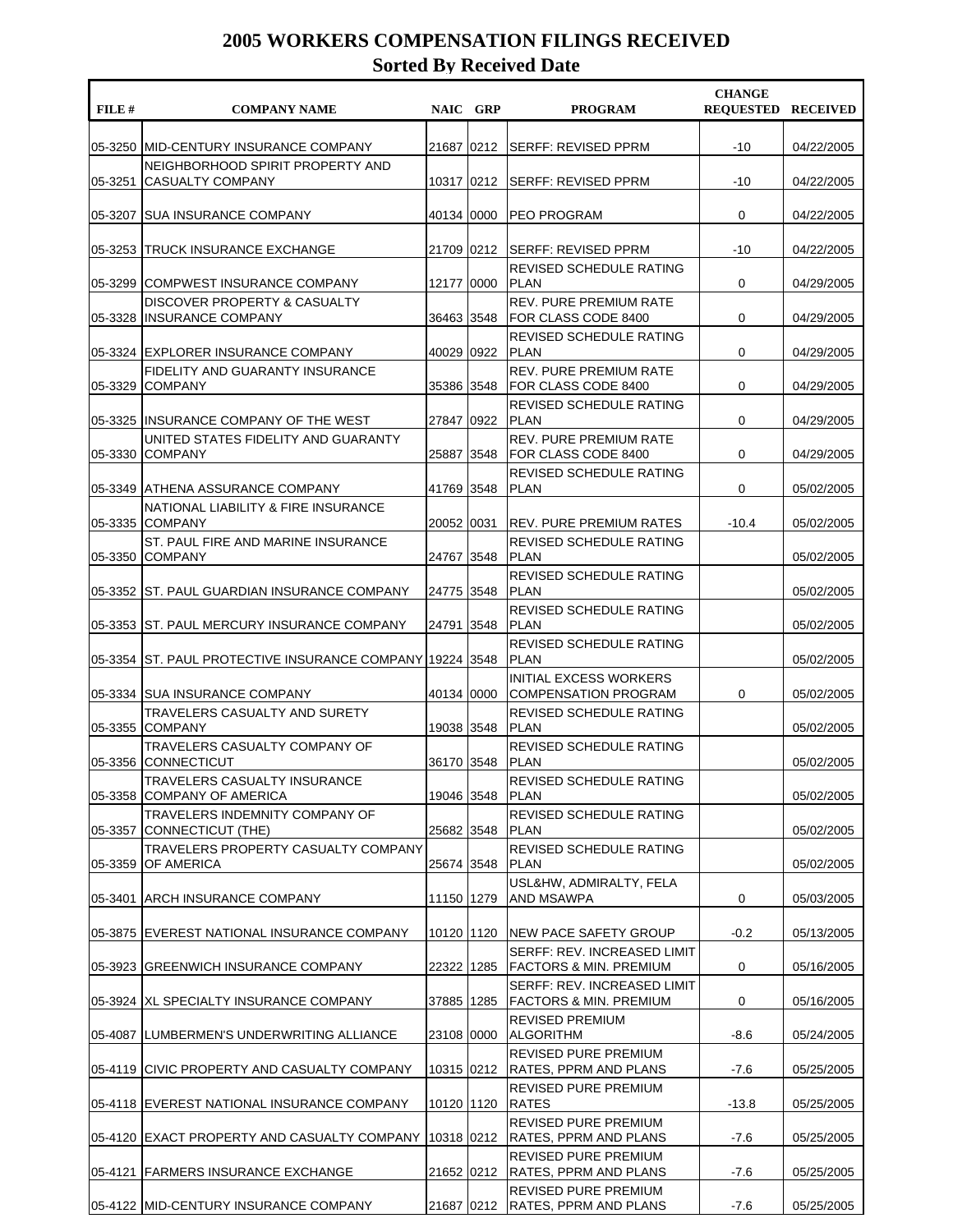| FILE#   | <b>COMPANY NAME</b>                                         | NAIC GRP   | <b>PROGRAM</b>                                             | <b>CHANGE</b><br><b>REQUESTED RECEIVED</b> |            |
|---------|-------------------------------------------------------------|------------|------------------------------------------------------------|--------------------------------------------|------------|
| 05-3250 | <b>IMID-CENTURY INSURANCE COMPANY</b>                       | 21687 0212 | <b>SERFF: REVISED PPRM</b>                                 | $-10$                                      | 04/22/2005 |
| 05-3251 | NEIGHBORHOOD SPIRIT PROPERTY AND<br><b>CASUALTY COMPANY</b> | 10317 0212 | SERFF: REVISED PPRM                                        | -10                                        | 04/22/2005 |
| 05-3207 | ISUA INSURANCE COMPANY                                      | 40134 0000 | <b>PEO PROGRAM</b>                                         | 0                                          | 04/22/2005 |
| 05-3253 | TRUCK INSURANCE EXCHANGE                                    | 21709 0212 | SERFF: REVISED PPRM                                        | -10                                        | 04/22/2005 |
| 05-3299 | COMPWEST INSURANCE COMPANY                                  | 12177 0000 | REVISED SCHEDULE RATING<br><b>PLAN</b>                     | 0                                          | 04/29/2005 |
| 05-3328 | DISCOVER PROPERTY & CASUALTY<br><b>INSURANCE COMPANY</b>    | 36463 3548 | <b>REV. PURE PREMIUM RATE</b><br>FOR CLASS CODE 8400       | 0                                          | 04/29/2005 |
|         | 05-3324 EXPLORER INSURANCE COMPANY                          | 40029 0922 | REVISED SCHEDULE RATING<br><b>PLAN</b>                     | 0                                          | 04/29/2005 |
| 05-3329 | FIDELITY AND GUARANTY INSURANCE<br><b>COMPANY</b>           | 35386 3548 | <b>REV. PURE PREMIUM RATE</b><br>FOR CLASS CODE 8400       | 0                                          | 04/29/2005 |
| 05-3325 | <b>IINSURANCE COMPANY OF THE WEST</b>                       | 27847 0922 | REVISED SCHEDULE RATING<br><b>PLAN</b>                     | 0                                          | 04/29/2005 |
| 05-3330 | UNITED STATES FIDELITY AND GUARANTY<br><b>COMPANY</b>       | 25887 3548 | <b>REV. PURE PREMIUM RATE</b><br>IFOR CLASS CODE 8400      | 0                                          | 04/29/2005 |
|         | 05-3349 ATHENA ASSURANCE COMPANY                            | 41769 3548 | REVISED SCHEDULE RATING<br><b>PLAN</b>                     | 0                                          | 05/02/2005 |
| 05-3335 | NATIONAL LIABILITY & FIRE INSURANCE<br><b>COMPANY</b>       | 20052 0031 | <b>REV. PURE PREMIUM RATES</b>                             | $-10.4$                                    | 05/02/2005 |
| 05-3350 | ST. PAUL FIRE AND MARINE INSURANCE<br><b>COMPANY</b>        | 24767 3548 | REVISED SCHEDULE RATING<br><b>PLAN</b>                     |                                            | 05/02/2005 |
|         | 05-3352 ST. PAUL GUARDIAN INSURANCE COMPANY                 | 24775 3548 | REVISED SCHEDULE RATING<br><b>PLAN</b>                     |                                            | 05/02/2005 |
|         | 05-3353 ST. PAUL MERCURY INSURANCE COMPANY                  | 24791 3548 | REVISED SCHEDULE RATING<br><b>PLAN</b>                     |                                            | 05/02/2005 |
| 05-3354 | ST. PAUL PROTECTIVE INSURANCE COMPANY 19224 3548            |            | REVISED SCHEDULE RATING<br><b>PLAN</b>                     |                                            | 05/02/2005 |
|         | 05-3334 SUA INSURANCE COMPANY                               | 40134 0000 | INITIAL EXCESS WORKERS<br><b>COMPENSATION PROGRAM</b>      | 0                                          | 05/02/2005 |
| 05-3355 | TRAVELERS CASUALTY AND SURETY<br><b>COMPANY</b>             | 19038 3548 | REVISED SCHEDULE RATING<br><b>PLAN</b>                     |                                            | 05/02/2005 |
| 05-3356 | TRAVELERS CASUALTY COMPANY OF<br><b>CONNECTICUT</b>         | 36170 3548 | REVISED SCHEDULE RATING<br><b>PLAN</b>                     |                                            | 05/02/2005 |
| 05-3358 | TRAVELERS CASUALTY INSURANCE<br><b>COMPANY OF AMERICA</b>   | 19046 3548 | REVISED SCHEDULE RATING<br><b>PLAN</b>                     |                                            | 05/02/2005 |
| 05-3357 | TRAVELERS INDEMNITY COMPANY OF<br>CONNECTICUT (THE)         | 25682 3548 | <b>REVISED SCHEDULE RATING</b><br><b>PLAN</b>              |                                            | 05/02/2005 |
| 05-3359 | TRAVELERS PROPERTY CASUALTY COMPANY<br><b>OF AMERICA</b>    | 25674 3548 | REVISED SCHEDULE RATING<br><b>PLAN</b>                     |                                            | 05/02/2005 |
| 05-3401 | <b>ARCH INSURANCE COMPANY</b>                               | 11150 1279 | USL&HW, ADMIRALTY, FELA<br>AND MSAWPA                      | 0                                          | 05/03/2005 |
|         | 05-3875 EVEREST NATIONAL INSURANCE COMPANY                  | 10120 1120 | <b>INEW PACE SAFETY GROUP</b>                              | $-0.2$                                     | 05/13/2005 |
| 05-3923 | <b> GREENWICH INSURANCE COMPANY</b>                         | 22322 1285 | SERFF: REV. INCREASED LIMIT<br> FACTORS & MIN. PREMIUM     | 0                                          | 05/16/2005 |
|         | 05-3924 XL SPECIALTY INSURANCE COMPANY                      | 37885 1285 | SERFF: REV. INCREASED LIMIT<br> FACTORS & MIN. PREMIUM     | 0                                          | 05/16/2005 |
|         | 05-4087  LUMBERMEN'S UNDERWRITING ALLIANCE                  | 23108 0000 | REVISED PREMIUM<br><b>ALGORITHM</b>                        | -8.6                                       | 05/24/2005 |
|         | 05-4119 CIVIC PROPERTY AND CASUALTY COMPANY                 | 10315 0212 | REVISED PURE PREMIUM<br> RATES, PPRM AND PLANS             | -7.6                                       | 05/25/2005 |
|         | 05-4118 EVEREST NATIONAL INSURANCE COMPANY                  | 10120 1120 | REVISED PURE PREMIUM<br><b>RATES</b>                       | $-13.8$                                    | 05/25/2005 |
|         | 05-4120 EXACT PROPERTY AND CASUALTY COMPANY                 |            | REVISED PURE PREMIUM<br>10318 0212   RATES, PPRM AND PLANS | $-7.6$                                     | 05/25/2005 |
| 05-4121 | <b>FARMERS INSURANCE EXCHANGE</b>                           |            | REVISED PURE PREMIUM<br>21652 0212   RATES, PPRM AND PLANS | -7.6                                       | 05/25/2005 |
|         | 05-4122 MID-CENTURY INSURANCE COMPANY                       |            | REVISED PURE PREMIUM<br>21687 0212 RATES, PPRM AND PLANS   | $-7.6$                                     | 05/25/2005 |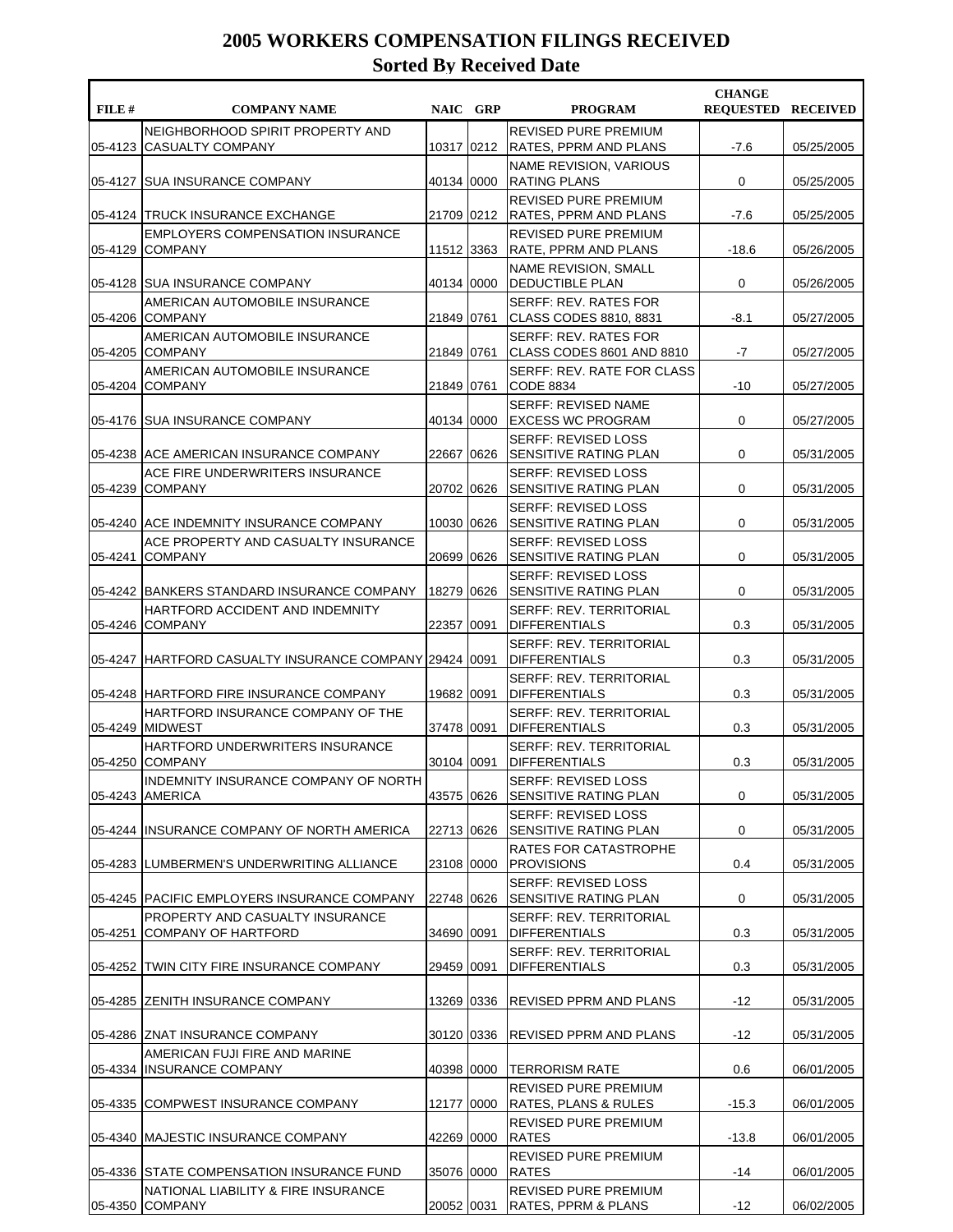| FILE # | <b>COMPANY NAME</b>                                            |            | NAIC GRP | <b>PROGRAM</b>                                              | <b>CHANGE</b><br><b>REOUESTED RECEIVED</b> |            |
|--------|----------------------------------------------------------------|------------|----------|-------------------------------------------------------------|--------------------------------------------|------------|
|        | NEIGHBORHOOD SPIRIT PROPERTY AND<br>05-4123 CASUALTY COMPANY   | 10317 0212 |          | <b>REVISED PURE PREMIUM</b><br><b>RATES, PPRM AND PLANS</b> | $-7.6$                                     | 05/25/2005 |
|        | 05-4127 SUA INSURANCE COMPANY                                  | 40134 0000 |          | NAME REVISION, VARIOUS<br><b>RATING PLANS</b>               | 0                                          | 05/25/2005 |
|        | 05-4124 TRUCK INSURANCE EXCHANGE                               | 21709      | 0212     | <b>REVISED PURE PREMIUM</b><br><b>RATES, PPRM AND PLANS</b> | $-7.6$                                     | 05/25/2005 |
|        | <b>EMPLOYERS COMPENSATION INSURANCE</b><br>05-4129 COMPANY     | 11512 3363 |          | <b>REVISED PURE PREMIUM</b><br>RATE, PPRM AND PLANS         | $-18.6$                                    | 05/26/2005 |
|        | 05-4128 SUA INSURANCE COMPANY                                  | 40134 0000 |          | NAME REVISION, SMALL<br>DEDUCTIBLE PLAN                     | 0                                          | 05/26/2005 |
|        | AMERICAN AUTOMOBILE INSURANCE<br>05-4206 COMPANY               | 21849 0761 |          | <b>SERFF: REV. RATES FOR</b><br>CLASS CODES 8810, 8831      | $-8.1$                                     | 05/27/2005 |
|        | AMERICAN AUTOMOBILE INSURANCE<br>05-4205 COMPANY               | 21849 0761 |          | <b>SERFF: REV. RATES FOR</b><br>CLASS CODES 8601 AND 8810   | -7                                         | 05/27/2005 |
|        | AMERICAN AUTOMOBILE INSURANCE<br>05-4204 COMPANY               | 21849 0761 |          | SERFF: REV. RATE FOR CLASS<br>CODE 8834                     | $-10$                                      | 05/27/2005 |
|        | 05-4176 SUA INSURANCE COMPANY                                  | 40134 0000 |          | <b>SERFF: REVISED NAME</b><br><b>EXCESS WC PROGRAM</b>      | 0                                          | 05/27/2005 |
|        | 05-4238 ACE AMERICAN INSURANCE COMPANY                         | 22667      | 0626     | <b>SERFF: REVISED LOSS</b><br>SENSITIVE RATING PLAN         | 0                                          | 05/31/2005 |
|        | ACE FIRE UNDERWRITERS INSURANCE<br>05-4239 COMPANY             | 20702      | 0626     | <b>SERFF: REVISED LOSS</b><br>SENSITIVE RATING PLAN         | 0                                          | 05/31/2005 |
|        | 05-4240 ACE INDEMNITY INSURANCE COMPANY                        | 10030 0626 |          | <b>SERFF: REVISED LOSS</b><br><b>SENSITIVE RATING PLAN</b>  | 0                                          | 05/31/2005 |
|        | ACE PROPERTY AND CASUALTY INSURANCE<br>05-4241 COMPANY         | 20699      | 0626     | <b>SERFF: REVISED LOSS</b><br>SENSITIVE RATING PLAN         | 0                                          | 05/31/2005 |
|        | 05-4242 BANKERS STANDARD INSURANCE COMPANY                     | 18279 0626 |          | <b>SERFF: REVISED LOSS</b><br>SENSITIVE RATING PLAN         | 0                                          | 05/31/2005 |
|        | HARTFORD ACCIDENT AND INDEMNITY<br>05-4246 COMPANY             | 22357      | 0091     | <b>SERFF: REV. TERRITORIAL</b><br><b>DIFFERENTIALS</b>      | 0.3                                        | 05/31/2005 |
|        | 05-4247 HARTFORD CASUALTY INSURANCE COMPANY 29424 0091         |            |          | <b>SERFF: REV. TERRITORIAL</b><br><b>DIFFERENTIALS</b>      | 0.3                                        | 05/31/2005 |
|        | 05-4248 HARTFORD FIRE INSURANCE COMPANY                        | 19682 0091 |          | <b>SERFF: REV. TERRITORIAL</b><br><b>DIFFERENTIALS</b>      | 0.3                                        | 05/31/2005 |
|        | HARTFORD INSURANCE COMPANY OF THE<br>05-4249 MIDWEST           | 37478 0091 |          | <b>SERFF: REV. TERRITORIAL</b><br><b>DIFFERENTIALS</b>      | 0.3                                        | 05/31/2005 |
|        | <b>HARTFORD UNDERWRITERS INSURANCE</b><br>05-4250 COMPANY      | 30104 0091 |          | <b>SERFF: REV. TERRITORIAL</b><br><b>DIFFERENTIALS</b>      | 0.3                                        | 05/31/2005 |
|        | INDEMNITY INSURANCE COMPANY OF NORTH<br>05-4243 AMERICA        | 43575 0626 |          | SERFF: REVISED LOSS<br>SENSITIVE RATING PLAN                | 0                                          | 05/31/2005 |
|        | 05-4244 IINSURANCE COMPANY OF NORTH AMERICA                    | 22713 0626 |          | <b>SERFF: REVISED LOSS</b><br><b>SENSITIVE RATING PLAN</b>  | 0                                          | 05/31/2005 |
|        | 05-4283 LUMBERMEN'S UNDERWRITING ALLIANCE                      | 23108 0000 |          | RATES FOR CATASTROPHE<br><b>PROVISIONS</b>                  | 0.4                                        | 05/31/2005 |
|        | 05-4245 PACIFIC EMPLOYERS INSURANCE COMPANY                    | 22748 0626 |          | <b>SERFF: REVISED LOSS</b><br>SENSITIVE RATING PLAN         | 0                                          | 05/31/2005 |
|        | PROPERTY AND CASUALTY INSURANCE<br>05-4251 COMPANY OF HARTFORD | 34690 0091 |          | <b>SERFF: REV. TERRITORIAL</b><br><b>DIFFERENTIALS</b>      | 0.3                                        | 05/31/2005 |
|        | 05-4252 TWIN CITY FIRE INSURANCE COMPANY                       | 29459 0091 |          | SERFF: REV. TERRITORIAL<br><b>DIFFERENTIALS</b>             | 0.3                                        | 05/31/2005 |
|        | 05-4285 ZENITH INSURANCE COMPANY                               | 13269 0336 |          | <b>REVISED PPRM AND PLANS</b>                               | -12                                        | 05/31/2005 |
|        | 05-4286 ZNAT INSURANCE COMPANY                                 | 30120 0336 |          | <b>REVISED PPRM AND PLANS</b>                               | -12                                        | 05/31/2005 |
|        | AMERICAN FUJI FIRE AND MARINE<br>05-4334 IINSURANCE COMPANY    | 40398 0000 |          | <b>TERRORISM RATE</b>                                       | 0.6                                        | 06/01/2005 |
|        | 05-4335 COMPWEST INSURANCE COMPANY                             | 12177 0000 |          | REVISED PURE PREMIUM<br>RATES, PLANS & RULES                | $-15.3$                                    | 06/01/2005 |
|        | 05-4340 MAJESTIC INSURANCE COMPANY                             | 42269 0000 |          | REVISED PURE PREMIUM<br><b>RATES</b>                        | $-13.8$                                    | 06/01/2005 |
|        | 05-4336 STATE COMPENSATION INSURANCE FUND                      | 35076 0000 |          | REVISED PURE PREMIUM<br>RATES                               | -14                                        | 06/01/2005 |
|        | NATIONAL LIABILITY & FIRE INSURANCE<br>05-4350 COMPANY         | 20052 0031 |          | REVISED PURE PREMIUM<br>RATES, PPRM & PLANS                 | $-12$                                      | 06/02/2005 |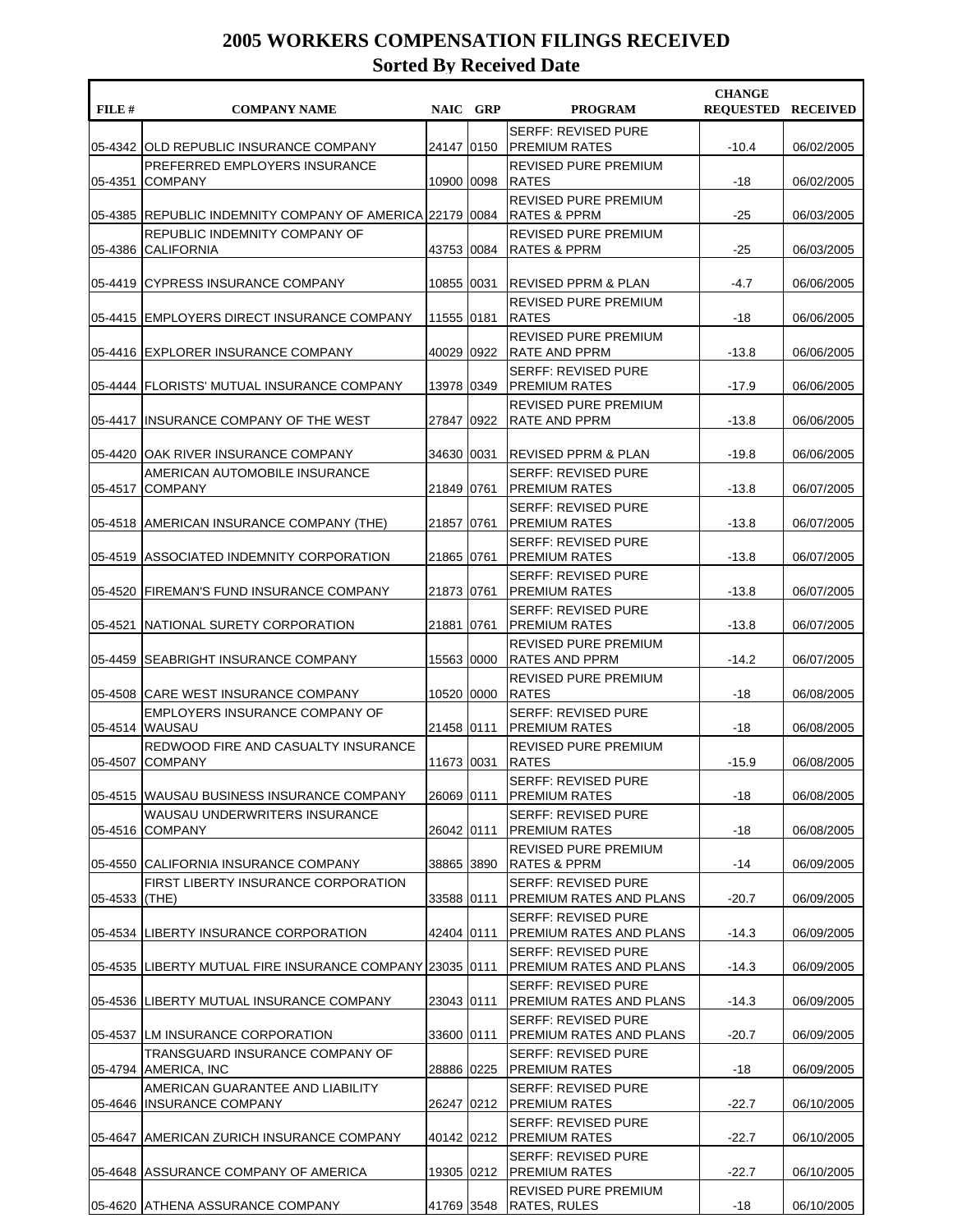| FILE #  | <b>COMPANY NAME</b>                                          | NAIC GRP     |            | <b>PROGRAM</b>                                             | <b>CHANGE</b><br><b>REQUESTED RECEIVED</b> |            |
|---------|--------------------------------------------------------------|--------------|------------|------------------------------------------------------------|--------------------------------------------|------------|
| 05-4342 | <b>JOLD REPUBLIC INSURANCE COMPANY</b>                       | 24147 0150   |            | <b>SERFF: REVISED PURE</b><br> PREMIUM RATES               | $-10.4$                                    | 06/02/2005 |
| 05-4351 | PREFERRED EMPLOYERS INSURANCE<br><b>COMPANY</b>              | 10900 0098   |            | <b>REVISED PURE PREMIUM</b><br><b>RATES</b>                | $-18$                                      | 06/02/2005 |
|         | 05-4385  REPUBLIC INDEMNITY COMPANY OF AMERICA 22179   0084  |              |            | REVISED PURE PREMIUM<br><b>RATES &amp; PPRM</b>            | $-25$                                      | 06/03/2005 |
| 05-4386 | REPUBLIC INDEMNITY COMPANY OF<br>ICALIFORNIA                 | 43753 0084   |            | <b>REVISED PURE PREMIUM</b><br>RATES & PPRM                | $-25$                                      | 06/03/2005 |
|         | 05-4419 CYPRESS INSURANCE COMPANY                            | 10855 0031   |            | <b>IREVISED PPRM &amp; PLAN</b>                            | -4.7                                       | 06/06/2005 |
|         | 05-4415 EMPLOYERS DIRECT INSURANCE COMPANY                   | 11555 0181   |            | <b>REVISED PURE PREMIUM</b><br><b>RATES</b>                | -18                                        | 06/06/2005 |
|         | 05-4416 EXPLORER INSURANCE COMPANY                           | 40029  0922  |            | <b>REVISED PURE PREMIUM</b><br>RATE AND PPRM               | $-13.8$                                    | 06/06/2005 |
|         | 05-4444 FLORISTS' MUTUAL INSURANCE COMPANY                   | 13978 0349   |            | <b>SERFF: REVISED PURE</b><br>IPREMIUM RATES               | $-17.9$                                    | 06/06/2005 |
| 05-4417 | IINSURANCE COMPANY OF THE WEST                               | 27847   0922 |            | <b>REVISED PURE PREMIUM</b><br> RATE AND PPRM              | $-13.8$                                    | 06/06/2005 |
| 05-4420 | JOAK RIVER INSURANCE COMPANY                                 | 34630 0031   |            | <b>REVISED PPRM &amp; PLAN</b>                             | $-19.8$                                    | 06/06/2005 |
| 05-4517 | AMERICAN AUTOMOBILE INSURANCE<br><b>COMPANY</b>              | 21849 0761   |            | <b>SERFF: REVISED PURE</b><br> PREMIUM RATES               | $-13.8$                                    | 06/07/2005 |
|         | 05-4518 AMERICAN INSURANCE COMPANY (THE)                     | 21857 0761   |            | <b>SERFF: REVISED PURE</b><br> PREMIUM RATES               | $-13.8$                                    | 06/07/2005 |
| 05-4519 | ASSOCIATED INDEMNITY CORPORATION                             | 21865 0761   |            | <b>SERFF: REVISED PURE</b><br><b>PREMIUM RATES</b>         | $-13.8$                                    | 06/07/2005 |
| 05-4520 | <b>IFIREMAN'S FUND INSURANCE COMPANY</b>                     | 21873 0761   |            | <b>SERFF: REVISED PURE</b><br> PREMIUM RATES               | $-13.8$                                    | 06/07/2005 |
| 05-4521 | INATIONAL SURETY CORPORATION                                 | 21881   0761 |            | <b>SERFF: REVISED PURE</b><br><b>PREMIUM RATES</b>         | $-13.8$                                    | 06/07/2005 |
| 05-4459 | SEABRIGHT INSURANCE COMPANY                                  | 15563 0000   |            | REVISED PURE PREMIUM<br>RATES AND PPRM                     | $-14.2$                                    | 06/07/2005 |
| 05-4508 | <b>CARE WEST INSURANCE COMPANY</b>                           | 10520 0000   |            | REVISED PURE PREMIUM<br><b>RATES</b>                       | -18                                        | 06/08/2005 |
|         | EMPLOYERS INSURANCE COMPANY OF<br>05-4514 WAUSAU             | 21458 0111   |            | <b>SERFF: REVISED PURE</b><br><b>PREMIUM RATES</b>         | -18                                        | 06/08/2005 |
| 05-4507 | REDWOOD FIRE AND CASUALTY INSURANCE<br><b>COMPANY</b>        | 11673 0031   |            | <b>REVISED PURE PREMIUM</b><br>RATES                       | $-15.9$                                    | 06/08/2005 |
|         | 05-4515 WAUSAU BUSINESS INSURANCE COMPANY                    | 26069 0111   |            | SERFF: REVISED PURE<br> PREMIUM RATES                      | -18                                        | 06/08/2005 |
|         | WAUSAU UNDERWRITERS INSURANCE<br>05-4516 COMPANY             | 26042 0111   |            | SERFF: REVISED PURE<br><b>PREMIUM RATES</b>                | -18                                        | 06/08/2005 |
|         | 05-4550 CALIFORNIA INSURANCE COMPANY                         | 38865 3890   |            | REVISED PURE PREMIUM<br> RATES & PPRM                      | -14                                        | 06/09/2005 |
| 05-4533 | FIRST LIBERTY INSURANCE CORPORATION<br>(THE)                 | 33588 0111   |            | <b>SERFF: REVISED PURE</b><br>PREMIUM RATES AND PLANS      | $-20.7$                                    | 06/09/2005 |
|         | 05-4534 LIBERTY INSURANCE CORPORATION                        | 42404 0111   |            | <b>SERFF: REVISED PURE</b><br>PREMIUM RATES AND PLANS      | $-14.3$                                    | 06/09/2005 |
| 05-4535 | LIBERTY MUTUAL FIRE INSURANCE COMPANY 23035 0111             |              |            | <b>SERFF: REVISED PURE</b><br>PREMIUM RATES AND PLANS      | $-14.3$                                    | 06/09/2005 |
| 05-4536 | LIBERTY MUTUAL INSURANCE COMPANY                             | 23043  0111  |            | <b>SERFF: REVISED PURE</b><br>PREMIUM RATES AND PLANS      | $-14.3$                                    | 06/09/2005 |
|         | 05-4537 LM INSURANCE CORPORATION                             | 33600 0111   |            | <b>SERFF: REVISED PURE</b><br>PREMIUM RATES AND PLANS      | $-20.7$                                    | 06/09/2005 |
|         | TRANSGUARD INSURANCE COMPANY OF<br>05-4794 AMERICA, INC      | 28886 0225   |            | <b>SERFF: REVISED PURE</b><br> PREMIUM RATES               | -18                                        | 06/09/2005 |
| 05-4646 | AMERICAN GUARANTEE AND LIABILITY<br><b>INSURANCE COMPANY</b> | 26247   0212 |            | <b>SERFF: REVISED PURE</b><br><b>PREMIUM RATES</b>         | -22.7                                      | 06/10/2005 |
|         | 05-4647 AMERICAN ZURICH INSURANCE COMPANY                    |              |            | <b>SERFF: REVISED PURE</b><br>40142   0212   PREMIUM RATES | $-22.7$                                    | 06/10/2005 |
|         | 05-4648 ASSURANCE COMPANY OF AMERICA                         |              | 19305 0212 | <b>SERFF: REVISED PURE</b><br><b>PREMIUM RATES</b>         | $-22.7$                                    | 06/10/2005 |
| 05-4620 | <b>ATHENA ASSURANCE COMPANY</b>                              | 41769 3548   |            | REVISED PURE PREMIUM<br><b>RATES, RULES</b>                | -18                                        | 06/10/2005 |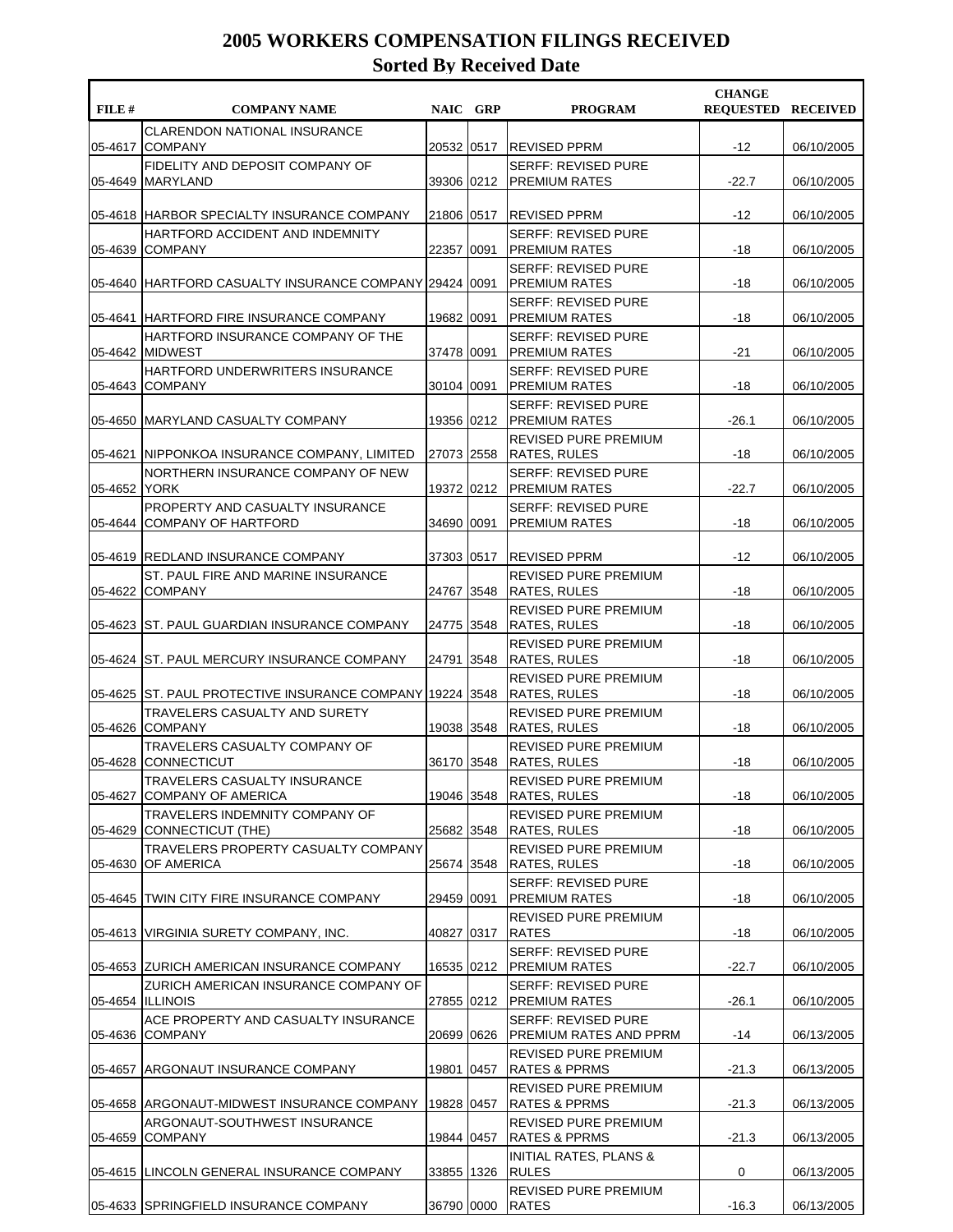| FILE #  | <b>COMPANY NAME</b>                                            |              | NAIC GRP | <b>PROGRAM</b>                                     | <b>CHANGE</b><br><b>REQUESTED RECEIVED</b> |            |
|---------|----------------------------------------------------------------|--------------|----------|----------------------------------------------------|--------------------------------------------|------------|
| 05-4617 | <b>CLARENDON NATIONAL INSURANCE</b><br><b>COMPANY</b>          | 20532 0517   |          | <b>REVISED PPRM</b>                                | $-12$                                      | 06/10/2005 |
| 05-4649 | FIDELITY AND DEPOSIT COMPANY OF<br><b>MARYLAND</b>             | 39306 0212   |          | <b>SERFF: REVISED PURE</b><br><b>PREMIUM RATES</b> | $-22.7$                                    | 06/10/2005 |
|         | 05-4618 HARBOR SPECIALTY INSURANCE COMPANY                     | 21806 0517   |          | REVISED PPRM                                       | $-12$                                      | 06/10/2005 |
| 05-4639 | HARTFORD ACCIDENT AND INDEMNITY<br><b>COMPANY</b>              | 22357   0091 |          | <b>SERFF: REVISED PURE</b><br><b>PREMIUM RATES</b> | -18                                        | 06/10/2005 |
| 05-4640 | HARTFORD CASUALTY INSURANCE COMPANY 29424 0091                 |              |          | <b>SERFF: REVISED PURE</b><br><b>PREMIUM RATES</b> | -18                                        | 06/10/2005 |
|         | 05-4641 HARTFORD FIRE INSURANCE COMPANY                        | 19682 0091   |          | <b>SERFF: REVISED PURE</b><br> PREMIUM RATES       | -18                                        | 06/10/2005 |
|         | HARTFORD INSURANCE COMPANY OF THE<br>05-4642 MIDWEST           | 37478 0091   |          | <b>SERFF: REVISED PURE</b><br><b>PREMIUM RATES</b> | -21                                        | 06/10/2005 |
| 05-4643 | HARTFORD UNDERWRITERS INSURANCE<br><b>COMPANY</b>              | 30104 0091   |          | <b>SERFF: REVISED PURE</b><br><b>PREMIUM RATES</b> | $-18$                                      | 06/10/2005 |
|         | 05-4650 MARYLAND CASUALTY COMPANY                              | 19356 0212   |          | <b>SERFF: REVISED PURE</b><br><b>PREMIUM RATES</b> | $-26.1$                                    | 06/10/2005 |
| 05-4621 | INIPPONKOA INSURANCE COMPANY, LIMITED                          | 27073 2558   |          | <b>REVISED PURE PREMIUM</b><br><b>RATES, RULES</b> | $-18$                                      | 06/10/2005 |
| 05-4652 | NORTHERN INSURANCE COMPANY OF NEW<br><b>YORK</b>               | 19372 0212   |          | <b>SERFF: REVISED PURE</b><br><b>PREMIUM RATES</b> | $-22.7$                                    | 06/10/2005 |
|         | PROPERTY AND CASUALTY INSURANCE<br>05-4644 COMPANY OF HARTFORD | 34690 0091   |          | <b>SERFF: REVISED PURE</b><br><b>PREMIUM RATES</b> | -18                                        | 06/10/2005 |
|         | 05-4619 REDLAND INSURANCE COMPANY                              | 37303   0517 |          | <b>REVISED PPRM</b>                                | $-12$                                      | 06/10/2005 |
| 05-4622 | ST. PAUL FIRE AND MARINE INSURANCE<br><b>COMPANY</b>           | 24767 3548   |          | REVISED PURE PREMIUM<br><b>RATES, RULES</b>        | $-18$                                      | 06/10/2005 |
|         | 05-4623 ST. PAUL GUARDIAN INSURANCE COMPANY                    | 24775 3548   |          | REVISED PURE PREMIUM<br><b>RATES, RULES</b>        | -18                                        | 06/10/2005 |
| 05-4624 | <b>ST. PAUL MERCURY INSURANCE COMPANY</b>                      | 24791 3548   |          | <b>REVISED PURE PREMIUM</b><br> RATES, RULES       | -18                                        | 06/10/2005 |
| 05-4625 | ST. PAUL PROTECTIVE INSURANCE COMPANY 19224 3548               |              |          | REVISED PURE PREMIUM<br><b>RATES, RULES</b>        | $-18$                                      | 06/10/2005 |
| 05-4626 | <b>TRAVELERS CASUALTY AND SURETY</b><br><b>COMPANY</b>         | 19038 3548   |          | REVISED PURE PREMIUM<br><b>RATES, RULES</b>        | -18                                        | 06/10/2005 |
| 05-4628 | TRAVELERS CASUALTY COMPANY OF<br><b>CONNECTICUT</b>            | 36170 3548   |          | REVISED PURE PREMIUM<br><b>RATES, RULES</b>        | $-18$                                      | 06/10/2005 |
| 05-4627 | TRAVELERS CASUALTY INSURANCE<br> COMPANY OF AMERICA            | 19046 3548   |          | REVISED PURE PREMIUM<br><b>RATES, RULES</b>        | -18                                        | 06/10/2005 |
| 05-4629 | TRAVELERS INDEMNITY COMPANY OF<br>CONNECTICUT (THE)            | 25682 3548   |          | REVISED PURE PREMIUM<br><b>RATES, RULES</b>        | -18                                        | 06/10/2005 |
| 05-4630 | TRAVELERS PROPERTY CASUALTY COMPANY<br>OF AMERICA              | 25674 3548   |          | REVISED PURE PREMIUM<br><b>RATES, RULES</b>        | -18                                        | 06/10/2005 |
|         | 05-4645 TWIN CITY FIRE INSURANCE COMPANY                       | 29459 0091   |          | <b>SERFF: REVISED PURE</b><br>PREMIUM RATES        | -18                                        | 06/10/2005 |
|         | 05-4613 VIRGINIA SURETY COMPANY, INC.                          | 40827 0317   |          | REVISED PURE PREMIUM<br><b>RATES</b>               | -18                                        | 06/10/2005 |
|         | 05-4653 ZURICH AMERICAN INSURANCE COMPANY                      | 16535 0212   |          | <b>SERFF: REVISED PURE</b><br><b>PREMIUM RATES</b> | -22.7                                      | 06/10/2005 |
|         | ZURICH AMERICAN INSURANCE COMPANY OF<br>05-4654   ILLINOIS     | 27855 0212   |          | <b>SERFF: REVISED PURE</b><br><b>PREMIUM RATES</b> | -26.1                                      | 06/10/2005 |
|         | ACE PROPERTY AND CASUALTY INSURANCE<br>05-4636 COMPANY         | 20699 0626   |          | SERFF: REVISED PURE<br>PREMIUM RATES AND PPRM      | -14                                        | 06/13/2005 |
| 05-4657 | ARGONAUT INSURANCE COMPANY                                     | 19801 0457   |          | REVISED PURE PREMIUM<br> RATES & PPRMS             | $-21.3$                                    | 06/13/2005 |
|         | 05-4658 ARGONAUT-MIDWEST INSURANCE COMPANY                     | 19828 0457   |          | REVISED PURE PREMIUM<br><b>RATES &amp; PPRMS</b>   | $-21.3$                                    | 06/13/2005 |
| 05-4659 | ARGONAUT-SOUTHWEST INSURANCE<br><b>COMPANY</b>                 | 19844 0457   |          | REVISED PURE PREMIUM<br> RATES & PPRMS             | $-21.3$                                    | 06/13/2005 |
|         | 05-4615 LINCOLN GENERAL INSURANCE COMPANY                      | 33855 1326   |          | <b>INITIAL RATES, PLANS &amp;</b><br><b>RULES</b>  | 0                                          | 06/13/2005 |
|         | 05-4633 SPRINGFIELD INSURANCE COMPANY                          | 36790 0000   |          | REVISED PURE PREMIUM<br><b>RATES</b>               | $-16.3$                                    | 06/13/2005 |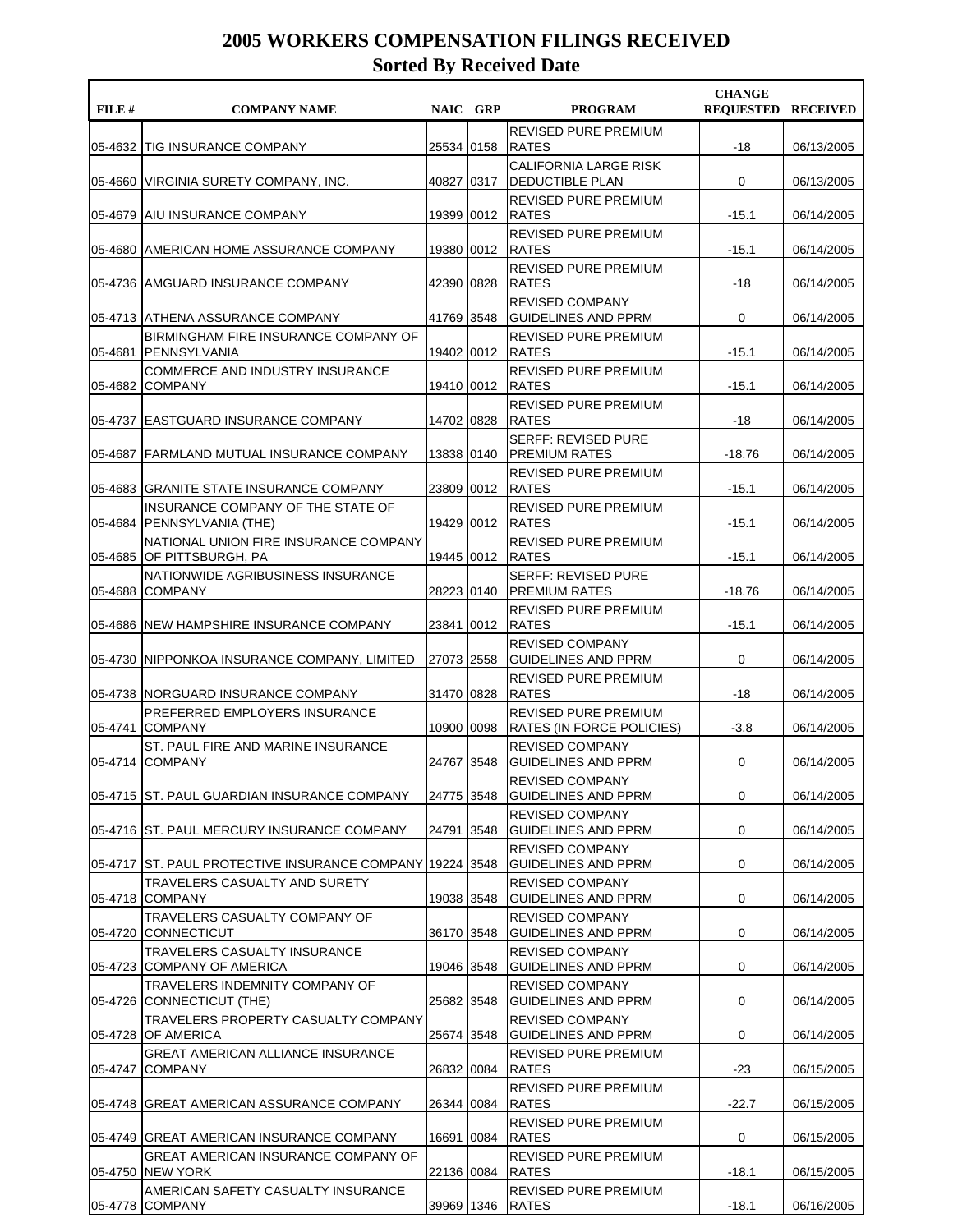| FILE# | <b>COMPANY NAME</b>                                                |            | NAIC GRP | <b>PROGRAM</b>                                                  | <b>CHANGE</b><br><b>REQUESTED RECEIVED</b> |            |
|-------|--------------------------------------------------------------------|------------|----------|-----------------------------------------------------------------|--------------------------------------------|------------|
|       | 05-4632 TIG INSURANCE COMPANY                                      | 25534 0158 |          | <b>REVISED PURE PREMIUM</b><br><b>RATES</b>                     | $-18$                                      | 06/13/2005 |
|       | 05-4660 VIRGINIA SURETY COMPANY, INC.                              | 40827      | 0317     | CALIFORNIA LARGE RISK<br><b>DEDUCTIBLE PLAN</b>                 | 0                                          | 06/13/2005 |
|       | 05-4679 AIU INSURANCE COMPANY                                      | 19399      | 0012     | REVISED PURE PREMIUM<br><b>RATES</b>                            | $-15.1$                                    | 06/14/2005 |
|       | 05-4680 AMERICAN HOME ASSURANCE COMPANY                            | 19380 0012 |          | REVISED PURE PREMIUM<br><b>RATES</b>                            | $-15.1$                                    | 06/14/2005 |
|       | 05-4736  AMGUARD INSURANCE COMPANY                                 | 42390      | 0828     | <b>REVISED PURE PREMIUM</b><br><b>RATES</b>                     | -18                                        | 06/14/2005 |
|       | 05-4713  ATHENA ASSURANCE COMPANY                                  | 41769      | 3548     | <b>REVISED COMPANY</b><br><b>GUIDELINES AND PPRM</b>            | 0                                          | 06/14/2005 |
|       | BIRMINGHAM FIRE INSURANCE COMPANY OF<br>05-4681 IPENNSYLVANIA      | 19402 0012 |          | REVISED PURE PREMIUM<br><b>RATES</b>                            | $-15.1$                                    | 06/14/2005 |
|       | <b>COMMERCE AND INDUSTRY INSURANCE</b><br>05-4682 COMPANY          | 19410 0012 |          | <b>REVISED PURE PREMIUM</b><br><b>RATES</b>                     | $-15.1$                                    | 06/14/2005 |
|       | 05-4737 EASTGUARD INSURANCE COMPANY                                | 14702 0828 |          | <b>REVISED PURE PREMIUM</b><br><b>RATES</b>                     | $-18$                                      | 06/14/2005 |
|       | 05-4687  FARMLAND MUTUAL INSURANCE COMPANY                         | 13838      | 0140     | <b>SERFF: REVISED PURE</b><br>IPREMIUM RATES                    | $-18.76$                                   | 06/14/2005 |
|       | 05-4683 IGRANITE STATE INSURANCE COMPANY                           | 23809      | 0012     | <b>REVISED PURE PREMIUM</b><br><b>RATES</b>                     | $-15.1$                                    | 06/14/2005 |
|       | INSURANCE COMPANY OF THE STATE OF<br>05-4684 PENNSYLVANIA (THE)    | 19429 0012 |          | REVISED PURE PREMIUM<br><b>RATES</b>                            | $-15.1$                                    | 06/14/2005 |
|       | NATIONAL UNION FIRE INSURANCE COMPANY<br>05-4685 OF PITTSBURGH, PA | 19445 0012 |          | <b>REVISED PURE PREMIUM</b><br><b>RATES</b>                     | $-15.1$                                    | 06/14/2005 |
|       | NATIONWIDE AGRIBUSINESS INSURANCE<br>05-4688 COMPANY               | 28223 0140 |          | <b>SERFF: REVISED PURE</b><br><b>PREMIUM RATES</b>              | $-18.76$                                   | 06/14/2005 |
|       | 05-4686 INEW HAMPSHIRE INSURANCE COMPANY                           | 23841 0012 |          | <b>REVISED PURE PREMIUM</b><br><b>RATES</b>                     | $-15.1$                                    | 06/14/2005 |
|       | 05-4730 INIPPONKOA INSURANCE COMPANY, LIMITED                      | 27073      | 2558     | <b>REVISED COMPANY</b><br><b>GUIDELINES AND PPRM</b>            | 0                                          | 06/14/2005 |
|       | 05-4738 NORGUARD INSURANCE COMPANY                                 | 31470      | 0828     | <b>REVISED PURE PREMIUM</b><br><b>RATES</b>                     | $-18$                                      | 06/14/2005 |
|       | PREFERRED EMPLOYERS INSURANCE<br>05-4741 COMPANY                   | 10900 0098 |          | <b>REVISED PURE PREMIUM</b><br><b>RATES (IN FORCE POLICIES)</b> | $-3.8$                                     | 06/14/2005 |
|       | ST. PAUL FIRE AND MARINE INSURANCE<br>05-4714 COMPANY              | 24767 3548 |          | <b>REVISED COMPANY</b><br><b>GUIDELINES AND PPRM</b>            | 0                                          | 06/14/2005 |
|       | 05-4715 ST. PAUL GUARDIAN INSURANCE COMPANY                        | 24775 3548 |          | <b>REVISED COMPANY</b><br><b>GUIDELINES AND PPRM</b>            | 0                                          | 06/14/2005 |
|       | 05-4716 ST. PAUL MERCURY INSURANCE COMPANY                         | 24791      | 3548     | <b>REVISED COMPANY</b><br><b>GUIDELINES AND PPRM</b>            | 0                                          | 06/14/2005 |
|       | 05-4717 ST. PAUL PROTECTIVE INSURANCE COMPANY 19224 3548           |            |          | <b>REVISED COMPANY</b><br><b>GUIDELINES AND PPRM</b>            | 0                                          | 06/14/2005 |
|       | TRAVELERS CASUALTY AND SURETY<br>05-4718 COMPANY                   | 19038 3548 |          | <b>REVISED COMPANY</b><br><b>GUIDELINES AND PPRM</b>            | 0                                          | 06/14/2005 |
|       | TRAVELERS CASUALTY COMPANY OF<br>05-4720 CONNECTICUT               | 36170 3548 |          | <b>REVISED COMPANY</b><br><b>GUIDELINES AND PPRM</b>            | 0                                          | 06/14/2005 |
|       | TRAVELERS CASUALTY INSURANCE<br>05-4723 COMPANY OF AMERICA         | 19046 3548 |          | <b>REVISED COMPANY</b><br><b>GUIDELINES AND PPRM</b>            | 0                                          | 06/14/2005 |
|       | TRAVELERS INDEMNITY COMPANY OF<br>05-4726 CONNECTICUT (THE)        | 25682 3548 |          | <b>REVISED COMPANY</b><br><b>GUIDELINES AND PPRM</b>            | 0                                          | 06/14/2005 |
|       | TRAVELERS PROPERTY CASUALTY COMPANY<br>05-4728 OF AMERICA          | 25674 3548 |          | <b>REVISED COMPANY</b><br>GUIDELINES AND PPRM                   | 0                                          | 06/14/2005 |
|       | <b>GREAT AMERICAN ALLIANCE INSURANCE</b><br>05-4747 COMPANY        | 26832 0084 |          | REVISED PURE PREMIUM<br><b>RATES</b>                            | -23                                        | 06/15/2005 |
|       | 05-4748 GREAT AMERICAN ASSURANCE COMPANY                           | 26344 0084 |          | REVISED PURE PREMIUM<br><b>RATES</b>                            | $-22.7$                                    | 06/15/2005 |
|       | 05-4749 GREAT AMERICAN INSURANCE COMPANY                           | 16691      | 0084     | REVISED PURE PREMIUM<br><b>RATES</b>                            | 0                                          | 06/15/2005 |
|       | <b>GREAT AMERICAN INSURANCE COMPANY OF</b><br>05-4750 NEW YORK     | 22136 0084 |          | REVISED PURE PREMIUM<br><b>RATES</b>                            | -18.1                                      | 06/15/2005 |
|       | AMERICAN SAFETY CASUALTY INSURANCE<br>05-4778 COMPANY              | 39969 1346 |          | REVISED PURE PREMIUM<br><b>RATES</b>                            | $-18.1$                                    | 06/16/2005 |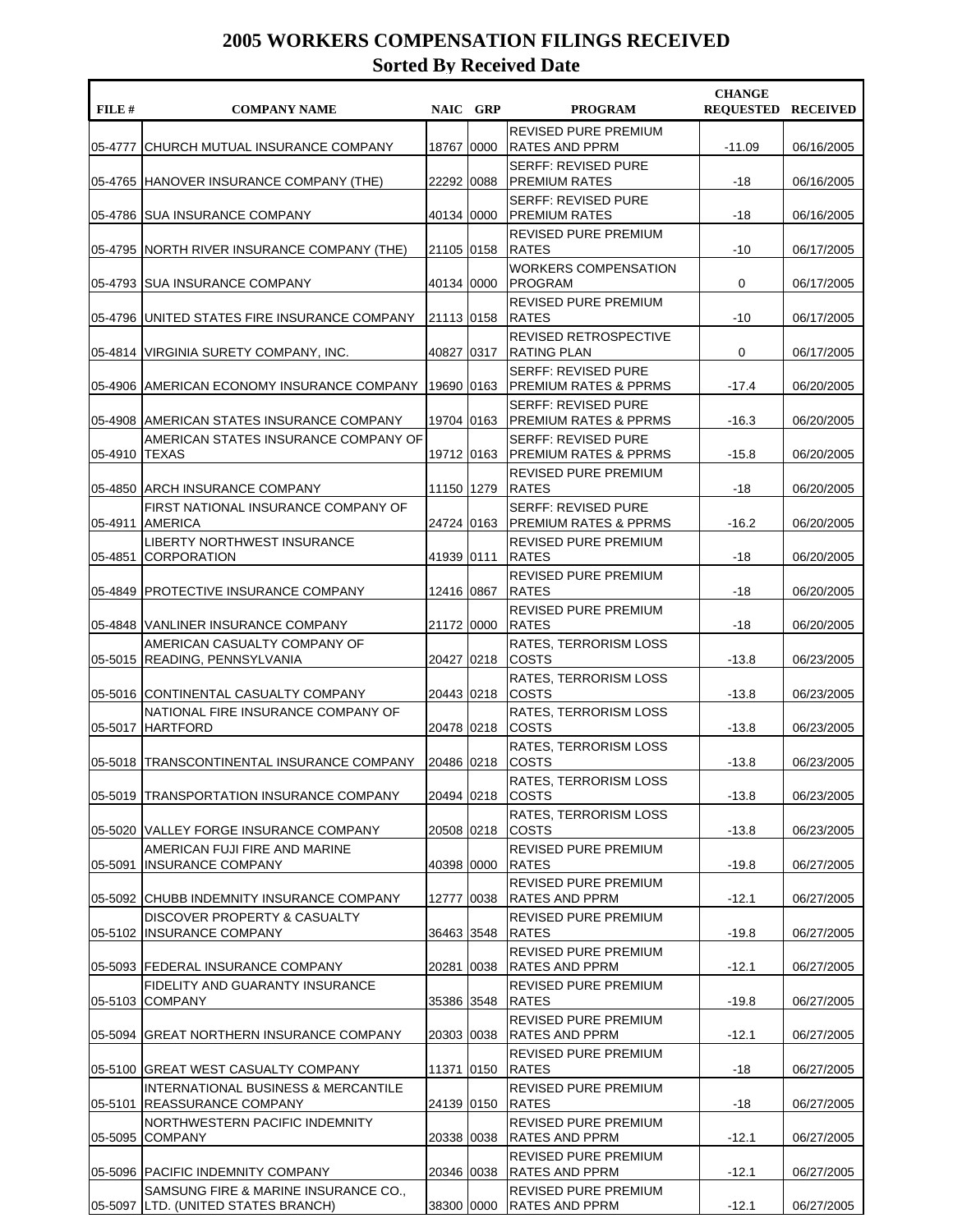| FILE #  | <b>COMPANY NAME</b>                                                         |              | NAIC GRP | <b>PROGRAM</b>                                                 | <b>CHANGE</b><br><b>REQUESTED RECEIVED</b> |            |
|---------|-----------------------------------------------------------------------------|--------------|----------|----------------------------------------------------------------|--------------------------------------------|------------|
| 05-4777 | CHURCH MUTUAL INSURANCE COMPANY                                             | 18767 0000   |          | <b>REVISED PURE PREMIUM</b><br>RATES AND PPRM                  | $-11.09$                                   | 06/16/2005 |
|         | 05-4765 HANOVER INSURANCE COMPANY (THE)                                     | 22292 0088   |          | <b>SERFF: REVISED PURE</b><br> PREMIUM RATES                   | $-18$                                      | 06/16/2005 |
| 05-4786 | <b>ISUA INSURANCE COMPANY</b>                                               | 40134 0000   |          | <b>SERFF: REVISED PURE</b><br> PREMIUM RATES                   | $-18$                                      | 06/16/2005 |
|         | 05-4795 NORTH RIVER INSURANCE COMPANY (THE)                                 | 21105 0158   |          | <b>REVISED PURE PREMIUM</b><br><b>RATES</b>                    | $-10$                                      | 06/17/2005 |
|         | 05-4793 SUA INSURANCE COMPANY                                               | 40134 0000   |          | <b>WORKERS COMPENSATION</b><br><b>PROGRAM</b>                  | 0                                          | 06/17/2005 |
| 05-4796 | UNITED STATES FIRE INSURANCE COMPANY                                        | 21113 0158   |          | REVISED PURE PREMIUM<br><b>RATES</b>                           | $-10$                                      | 06/17/2005 |
|         | 05-4814   VIRGINIA SURETY COMPANY, INC.                                     | 40827 0317   |          | REVISED RETROSPECTIVE<br><b>RATING PLAN</b>                    | 0                                          | 06/17/2005 |
|         | 05-4906 AMERICAN ECONOMY INSURANCE COMPANY                                  | 19690 0163   |          | <b>SERFF: REVISED PURE</b><br><b>PREMIUM RATES &amp; PPRMS</b> | $-17.4$                                    | 06/20/2005 |
|         | 05-4908   AMERICAN STATES INSURANCE COMPANY                                 | 19704 0163   |          | <b>SERFF: REVISED PURE</b><br>IPREMIUM RATES & PPRMS           | $-16.3$                                    | 06/20/2005 |
| 05-4910 | AMERICAN STATES INSURANCE COMPANY OF<br><b>TEXAS</b>                        | 19712 0163   |          | <b>SERFF: REVISED PURE</b><br> PREMIUM RATES & PPRMS           | $-15.8$                                    | 06/20/2005 |
| 05-4850 | <b>JARCH INSURANCE COMPANY</b>                                              | 11150 1279   |          | <b>REVISED PURE PREMIUM</b><br><b>RATES</b>                    | $-18$                                      | 06/20/2005 |
| 05-4911 | FIRST NATIONAL INSURANCE COMPANY OF<br>AMERICA                              | 24724 0163   |          | <b>SERFF: REVISED PURE</b><br> PREMIUM RATES & PPRMS           | $-16.2$                                    | 06/20/2005 |
| 05-4851 | LIBERTY NORTHWEST INSURANCE<br> CORPORATION                                 | 41939 0111   |          | REVISED PURE PREMIUM<br><b>RATES</b>                           | -18                                        | 06/20/2005 |
| 05-4849 | <b>PROTECTIVE INSURANCE COMPANY</b>                                         | 12416 0867   |          | REVISED PURE PREMIUM<br><b>RATES</b>                           | $-18$                                      | 06/20/2005 |
|         | 05-4848 VANLINER INSURANCE COMPANY                                          | 21172 0000   |          | REVISED PURE PREMIUM<br><b>RATES</b>                           | -18                                        | 06/20/2005 |
|         | AMERICAN CASUALTY COMPANY OF<br>05-5015 READING, PENNSYLVANIA               | 20427 0218   |          | <b>RATES, TERRORISM LOSS</b><br><b>COSTS</b>                   | $-13.8$                                    | 06/23/2005 |
|         | 05-5016 CONTINENTAL CASUALTY COMPANY                                        | 20443 0218   |          | RATES, TERRORISM LOSS<br><b>COSTS</b>                          | $-13.8$                                    | 06/23/2005 |
|         | NATIONAL FIRE INSURANCE COMPANY OF<br>05-5017 HARTFORD                      | 20478 0218   |          | <b>RATES, TERRORISM LOSS</b><br><b>COSTS</b>                   | $-13.8$                                    | 06/23/2005 |
|         | 05-5018  TRANSCONTINENTAL INSURANCE COMPANY                                 | 20486 0218   |          | <b>RATES, TERRORISM LOSS</b><br><b>COSTS</b>                   | $-13.8$                                    | 06/23/2005 |
|         | 05-5019 TRANSPORTATION INSURANCE COMPANY                                    | 20494 0218   |          | RATES, TERRORISM LOSS<br><b>COSTS</b>                          | $-13.8$                                    | 06/23/2005 |
|         | 05-5020 VALLEY FORGE INSURANCE COMPANY                                      | 20508 0218   |          | RATES, TERRORISM LOSS<br><b>COSTS</b>                          | $-13.8$                                    | 06/23/2005 |
| 05-5091 | AMERICAN FUJI FIRE AND MARINE<br><b>INSURANCE COMPANY</b>                   | 40398 0000   |          | REVISED PURE PREMIUM<br><b>RATES</b>                           | $-19.8$                                    | 06/27/2005 |
|         | 05-5092 CHUBB INDEMNITY INSURANCE COMPANY                                   | 12777   0038 |          | REVISED PURE PREMIUM<br><b>RATES AND PPRM</b>                  | $-12.1$                                    | 06/27/2005 |
|         | DISCOVER PROPERTY & CASUALTY<br>05-5102 IINSURANCE COMPANY                  | 36463 3548   |          | REVISED PURE PREMIUM<br><b>RATES</b>                           | $-19.8$                                    | 06/27/2005 |
|         | 05-5093 FEDERAL INSURANCE COMPANY                                           | 20281 0038   |          | REVISED PURE PREMIUM<br> RATES AND PPRM                        | $-12.1$                                    | 06/27/2005 |
| 05-5103 | FIDELITY AND GUARANTY INSURANCE<br><b>COMPANY</b>                           | 35386 3548   |          | REVISED PURE PREMIUM<br><b>RATES</b>                           | $-19.8$                                    | 06/27/2005 |
|         | 05-5094 GREAT NORTHERN INSURANCE COMPANY                                    | 20303 0038   |          | REVISED PURE PREMIUM<br> RATES AND PPRM                        | $-12.1$                                    | 06/27/2005 |
|         | 05-5100 GREAT WEST CASUALTY COMPANY                                         | 11371 0150   |          | REVISED PURE PREMIUM<br><b>RATES</b>                           | -18                                        | 06/27/2005 |
|         | INTERNATIONAL BUSINESS & MERCANTILE<br>05-5101 REASSURANCE COMPANY          | 24139 0150   |          | REVISED PURE PREMIUM<br><b>RATES</b>                           | -18                                        | 06/27/2005 |
| 05-5095 | NORTHWESTERN PACIFIC INDEMNITY<br><b>COMPANY</b>                            | 20338 0038   |          | REVISED PURE PREMIUM<br><b>RATES AND PPRM</b>                  | $-12.1$                                    | 06/27/2005 |
|         | 05-5096 PACIFIC INDEMNITY COMPANY                                           | 20346 0038   |          | REVISED PURE PREMIUM<br><b>RATES AND PPRM</b>                  | $-12.1$                                    | 06/27/2005 |
|         | SAMSUNG FIRE & MARINE INSURANCE CO.,<br>05-5097 LTD. (UNITED STATES BRANCH) | 38300 0000   |          | REVISED PURE PREMIUM<br><b>RATES AND PPRM</b>                  | $-12.1$                                    | 06/27/2005 |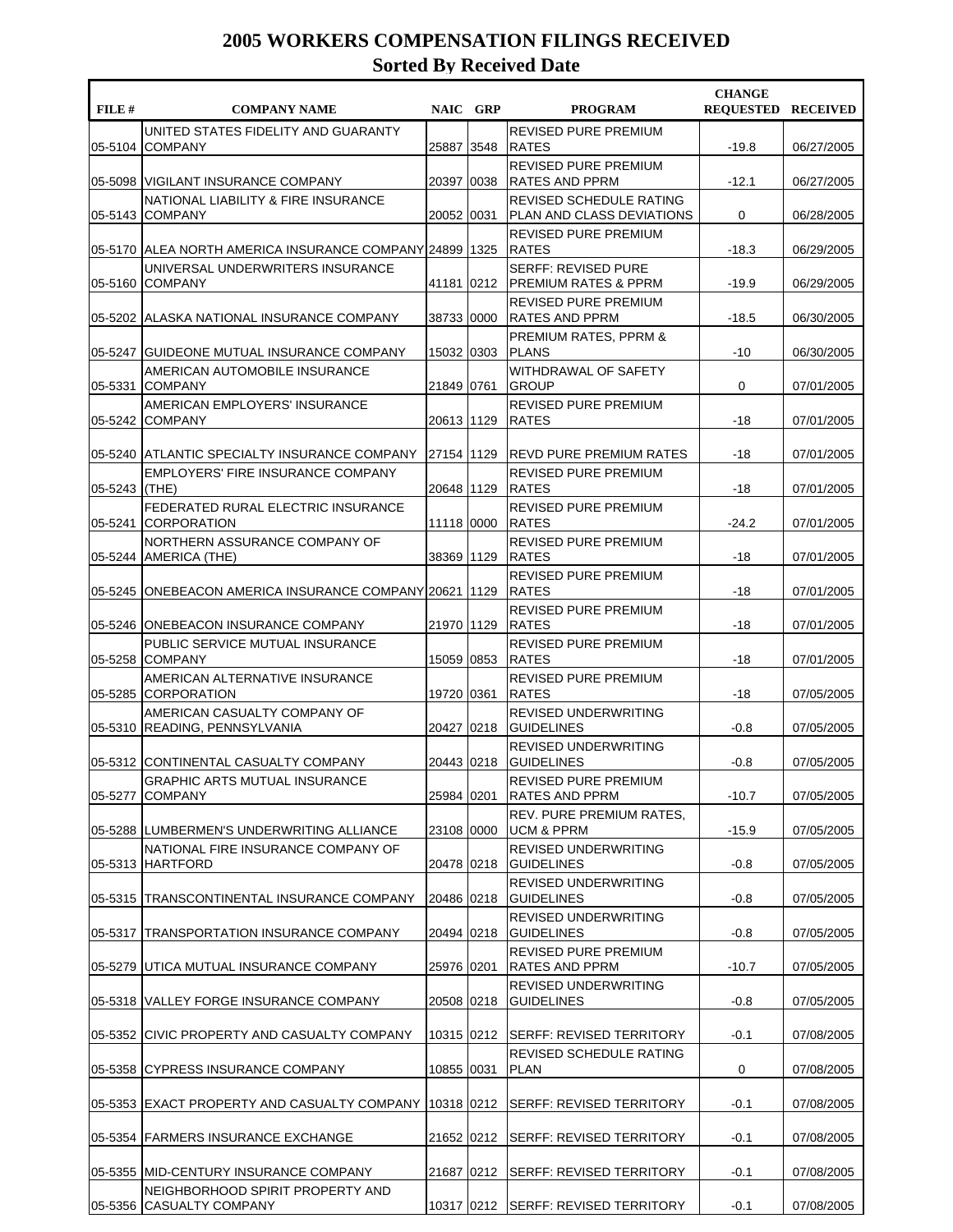| FILE#   | <b>COMPANY NAME</b>                                           | NAIC GRP    |      | <b>PROGRAM</b>                                                | <b>CHANGE</b><br><b>REQUESTED RECEIVED</b> |            |
|---------|---------------------------------------------------------------|-------------|------|---------------------------------------------------------------|--------------------------------------------|------------|
| 05-5104 | UNITED STATES FIDELITY AND GUARANTY<br><b>COMPANY</b>         | 25887 3548  |      | <b>REVISED PURE PREMIUM</b><br><b>RATES</b>                   | $-19.8$                                    | 06/27/2005 |
| 05-5098 | <b>IVIGILANT INSURANCE COMPANY</b>                            | 20397       | 0038 | <b>REVISED PURE PREMIUM</b><br><b>RATES AND PPRM</b>          | $-12.1$                                    | 06/27/2005 |
| 05-5143 | NATIONAL LIABILITY & FIRE INSURANCE<br><b>COMPANY</b>         | 20052       | 0031 | REVISED SCHEDULE RATING<br>PLAN AND CLASS DEVIATIONS          | 0                                          | 06/28/2005 |
|         | 05-5170 ALEA NORTH AMERICA INSURANCE COMPANY 24899 1325       |             |      | <b>REVISED PURE PREMIUM</b><br><b>RATES</b>                   | $-18.3$                                    | 06/29/2005 |
| 05-5160 | UNIVERSAL UNDERWRITERS INSURANCE<br><b>COMPANY</b>            | 41181       | 0212 | <b>SERFF: REVISED PURE</b><br><b>PREMIUM RATES &amp; PPRM</b> | $-19.9$                                    | 06/29/2005 |
|         | 05-5202 ALASKA NATIONAL INSURANCE COMPANY                     | 38733       | 0000 | <b>REVISED PURE PREMIUM</b><br><b>RATES AND PPRM</b>          | $-18.5$                                    | 06/30/2005 |
|         | 05-5247 GUIDEONE MUTUAL INSURANCE COMPANY                     | 15032 0303  |      | PREMIUM RATES, PPRM &<br><b>PLANS</b>                         | $-10$                                      | 06/30/2005 |
| 05-5331 | AMERICAN AUTOMOBILE INSURANCE<br><b>COMPANY</b>               | 21849 0761  |      | WITHDRAWAL OF SAFETY<br><b>GROUP</b>                          | 0                                          | 07/01/2005 |
| 05-5242 | AMERICAN EMPLOYERS' INSURANCE<br><b>COMPANY</b>               | 20613 1129  |      | <b>REVISED PURE PREMIUM</b><br><b>RATES</b>                   | $-18$                                      | 07/01/2005 |
| 05-5240 | <b>IATLANTIC SPECIALTY INSURANCE COMPANY</b>                  | 27154  1129 |      | <b>REVD PURE PREMIUM RATES</b>                                | -18                                        | 07/01/2005 |
| 05-5243 | <b>EMPLOYERS' FIRE INSURANCE COMPANY</b><br>(THE)             | 20648       | 1129 | <b>REVISED PURE PREMIUM</b><br><b>RATES</b>                   | $-18$                                      | 07/01/2005 |
| 05-5241 | FEDERATED RURAL ELECTRIC INSURANCE<br>CORPORATION             | 11118 0000  |      | REVISED PURE PREMIUM<br><b>RATES</b>                          | $-24.2$                                    | 07/01/2005 |
|         | NORTHERN ASSURANCE COMPANY OF<br>05-5244 AMERICA (THE)        | 38369 1129  |      | <b>REVISED PURE PREMIUM</b><br><b>RATES</b>                   | -18                                        | 07/01/2005 |
|         | 05-5245  ONEBEACON AMERICA INSURANCE COMPANY   20621          |             | 1129 | <b>REVISED PURE PREMIUM</b><br><b>RATES</b>                   | $-18$                                      | 07/01/2005 |
|         | 05-5246 ONEBEACON INSURANCE COMPANY                           | 21970 1129  |      | <b>REVISED PURE PREMIUM</b><br><b>RATES</b>                   | $-18$                                      | 07/01/2005 |
| 05-5258 | PUBLIC SERVICE MUTUAL INSURANCE<br><b>COMPANY</b>             | 15059       | 0853 | <b>REVISED PURE PREMIUM</b><br><b>RATES</b>                   | -18                                        | 07/01/2005 |
|         | AMERICAN ALTERNATIVE INSURANCE<br>05-5285 CORPORATION         | 19720 0361  |      | <b>REVISED PURE PREMIUM</b><br><b>RATES</b>                   | $-18$                                      | 07/05/2005 |
|         | AMERICAN CASUALTY COMPANY OF<br>05-5310 READING, PENNSYLVANIA | 20427 0218  |      | <b>REVISED UNDERWRITING</b><br><b>GUIDELINES</b>              | $-0.8$                                     | 07/05/2005 |
|         | 05-5312 CONTINENTAL CASUALTY COMPANY                          | 20443 0218  |      | <b>REVISED UNDERWRITING</b><br><b>GUIDELINES</b>              | $-0.8$                                     | 07/05/2005 |
| 05-5277 | GRAPHIC ARTS MUTUAL INSURANCE<br><b>COMPANY</b>               | 25984 0201  |      | REVISED PURE PREMIUM<br><b>RATES AND PPRM</b>                 | $-10.7$                                    | 07/05/2005 |
|         | 05-5288  LUMBERMEN'S UNDERWRITING ALLIANCE                    | 23108 0000  |      | REV. PURE PREMIUM RATES,<br><b>UCM &amp; PPRM</b>             | $-15.9$                                    | 07/05/2005 |
| 05-5313 | NATIONAL FIRE INSURANCE COMPANY OF<br><b>HARTFORD</b>         | 20478 0218  |      | <b>REVISED UNDERWRITING</b><br><b>GUIDELINES</b>              | $-0.8$                                     | 07/05/2005 |
|         | 05-5315  TRANSCONTINENTAL INSURANCE COMPANY                   | 20486 0218  |      | <b>REVISED UNDERWRITING</b><br><b>GUIDELINES</b>              | $-0.8$                                     | 07/05/2005 |
| 05-5317 | TRANSPORTATION INSURANCE COMPANY                              | 20494 0218  |      | REVISED UNDERWRITING<br><b>GUIDELINES</b>                     | $-0.8$                                     | 07/05/2005 |
| 05-5279 | IUTICA MUTUAL INSURANCE COMPANY                               | 25976 0201  |      | REVISED PURE PREMIUM<br><b>RATES AND PPRM</b>                 | $-10.7$                                    | 07/05/2005 |
|         | 05-5318 VALLEY FORGE INSURANCE COMPANY                        | 20508 0218  |      | REVISED UNDERWRITING<br><b>GUIDELINES</b>                     | $-0.8$                                     | 07/05/2005 |
| 05-5352 | <b>CIVIC PROPERTY AND CASUALTY COMPANY</b>                    | 10315 0212  |      | <b>SERFF: REVISED TERRITORY</b>                               | $-0.1$                                     | 07/08/2005 |
| 05-5358 | <b>CYPRESS INSURANCE COMPANY</b>                              | 10855 0031  |      | REVISED SCHEDULE RATING<br><b>PLAN</b>                        | 0                                          | 07/08/2005 |
|         | 05-5353 EXACT PROPERTY AND CASUALTY COMPANY                   | 10318 0212  |      | SERFF: REVISED TERRITORY                                      | $-0.1$                                     | 07/08/2005 |
|         | 05-5354 FARMERS INSURANCE EXCHANGE                            | 21652 0212  |      | SERFF: REVISED TERRITORY                                      | $-0.1$                                     | 07/08/2005 |
|         | 05-5355 MID-CENTURY INSURANCE COMPANY                         | 21687 0212  |      | <b>SERFF: REVISED TERRITORY</b>                               | $-0.1$                                     | 07/08/2005 |
|         | NEIGHBORHOOD SPIRIT PROPERTY AND<br>05-5356 CASUALTY COMPANY  |             |      | 10317 0212 SERFF: REVISED TERRITORY                           | $-0.1$                                     | 07/08/2005 |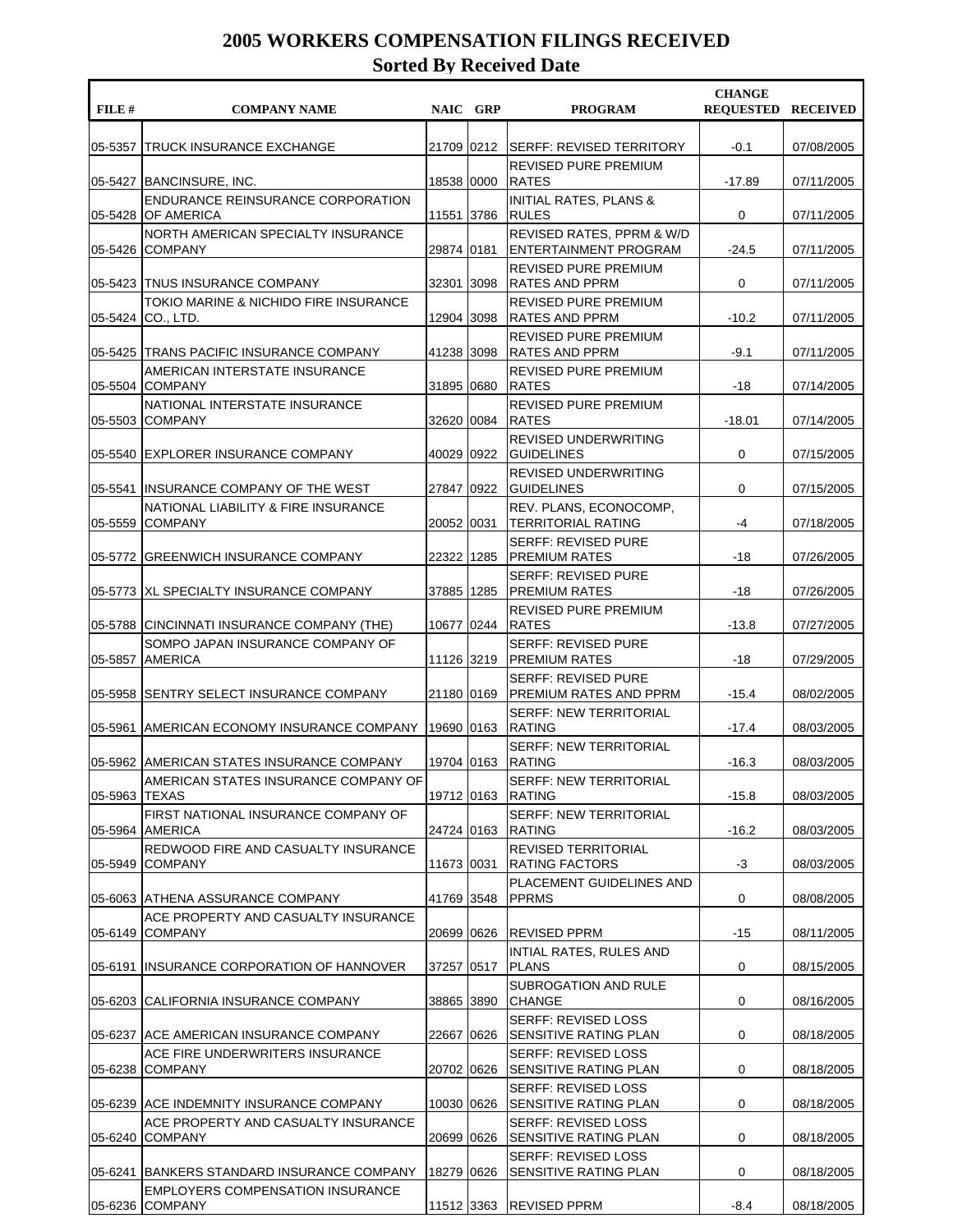| FILE #  | <b>COMPANY NAME</b>                                                     | NAIC GRP     | <b>PROGRAM</b>                                             | <b>CHANGE</b><br><b>REQUESTED RECEIVED</b> |            |
|---------|-------------------------------------------------------------------------|--------------|------------------------------------------------------------|--------------------------------------------|------------|
| 05-5357 | <b>TRUCK INSURANCE EXCHANGE</b>                                         | 21709 0212   | <b>SERFF: REVISED TERRITORY</b>                            | $-0.1$                                     | 07/08/2005 |
|         | 05-5427 BANCINSURE, INC.                                                | 18538 0000   | REVISED PURE PREMIUM<br><b>RATES</b>                       | $-17.89$                                   | 07/11/2005 |
| 05-5428 | <b>ENDURANCE REINSURANCE CORPORATION</b><br><b>OF AMERICA</b>           | 11551 3786   | <b>INITIAL RATES, PLANS &amp;</b><br><b>RULES</b>          | 0                                          | 07/11/2005 |
| 05-5426 | NORTH AMERICAN SPECIALTY INSURANCE<br><b>COMPANY</b>                    | 29874 0181   | REVISED RATES, PPRM & W/D<br><b>ENTERTAINMENT PROGRAM</b>  | $-24.5$                                    | 07/11/2005 |
|         | 05-5423 TNUS INSURANCE COMPANY<br>TOKIO MARINE & NICHIDO FIRE INSURANCE | 32301 3098   | <b>REVISED PURE PREMIUM</b><br> RATES AND PPRM             | 0                                          | 07/11/2005 |
| 05-5424 | CO., LTD.                                                               | 12904 3098   | <b>REVISED PURE PREMIUM</b><br> RATES AND PPRM             | $-10.2$                                    | 07/11/2005 |
|         | 05-5425 TRANS PACIFIC INSURANCE COMPANY                                 | 41238 3098   | <b>REVISED PURE PREMIUM</b><br>RATES AND PPRM              | $-9.1$                                     | 07/11/2005 |
| 05-5504 | AMERICAN INTERSTATE INSURANCE<br><b>COMPANY</b>                         | 31895 0680   | <b>REVISED PURE PREMIUM</b><br><b>RATES</b>                | -18                                        | 07/14/2005 |
| 05-5503 | NATIONAL INTERSTATE INSURANCE<br><b>COMPANY</b>                         | 32620 0084   | REVISED PURE PREMIUM<br><b>RATES</b>                       | $-18.01$                                   | 07/14/2005 |
| 05-5540 | <b>IEXPLORER INSURANCE COMPANY</b>                                      | 40029 0922   | <b>REVISED UNDERWRITING</b><br><b>GUIDELINES</b>           | 0                                          | 07/15/2005 |
|         | 05-5541 INSURANCE COMPANY OF THE WEST                                   | 27847 0922   | <b>REVISED UNDERWRITING</b><br><b>GUIDELINES</b>           | 0                                          | 07/15/2005 |
| 05-5559 | NATIONAL LIABILITY & FIRE INSURANCE<br><b>COMPANY</b>                   | 20052 0031   | REV. PLANS, ECONOCOMP,<br><b>TERRITORIAL RATING</b>        | -4                                         | 07/18/2005 |
| 05-5772 | GREENWICH INSURANCE COMPANY                                             | 22322  1285  | <b>SERFF: REVISED PURE</b><br><b>PREMIUM RATES</b>         | -18                                        | 07/26/2005 |
|         | 05-5773 IXL SPECIALTY INSURANCE COMPANY                                 | 37885 1285   | <b>SERFF: REVISED PURE</b><br><b>PREMIUM RATES</b>         | $-18$                                      | 07/26/2005 |
| 05-5788 | CINCINNATI INSURANCE COMPANY (THE)                                      | 10677 0244   | <b>REVISED PURE PREMIUM</b><br><b>RATES</b>                | $-13.8$                                    | 07/27/2005 |
| 05-5857 | SOMPO JAPAN INSURANCE COMPANY OF<br><b>AMERICA</b>                      | 11126 3219   | <b>SERFF: REVISED PURE</b><br> PREMIUM RATES               | $-18$                                      | 07/29/2005 |
|         | 05-5958 SENTRY SELECT INSURANCE COMPANY                                 | 21180 0169   | <b>SERFF: REVISED PURE</b><br> PREMIUM RATES AND PPRM      | $-15.4$                                    | 08/02/2005 |
| 05-5961 | IAMERICAN ECONOMY INSURANCE COMPANY                                     | 19690 0163   | <b>SERFF: NEW TERRITORIAL</b><br><b>RATING</b>             | $-17.4$                                    | 08/03/2005 |
|         | 05-5962   AMERICAN STATES INSURANCE COMPANY                             | 19704 0163   | <b>SERFF: NEW TERRITORIAL</b><br><b>RATING</b>             | $-16.3$                                    | 08/03/2005 |
| 05-5963 | AMERICAN STATES INSURANCE COMPANY OF<br><b>TEXAS</b>                    | 19712 0163   | <b>SERFF: NEW TERRITORIAL</b><br><b>RATING</b>             | $-15.8$                                    | 08/03/2005 |
| 05-5964 | FIRST NATIONAL INSURANCE COMPANY OF<br><b>AMERICA</b>                   | 24724  0163  | <b>SERFF: NEW TERRITORIAL</b><br><b>RATING</b>             | $-16.2$                                    | 08/03/2005 |
| 05-5949 | REDWOOD FIRE AND CASUALTY INSURANCE<br><b>COMPANY</b>                   | 11673 0031   | <b>REVISED TERRITORIAL</b><br><b>RATING FACTORS</b>        | $-3$                                       | 08/03/2005 |
|         | 05-6063 ATHENA ASSURANCE COMPANY                                        | 41769 3548   | PLACEMENT GUIDELINES AND<br><b>PPRMS</b>                   | 0                                          | 08/08/2005 |
| 05-6149 | ACE PROPERTY AND CASUALTY INSURANCE<br><b>COMPANY</b>                   | 20699 0626   | <b>REVISED PPRM</b>                                        | -15                                        | 08/11/2005 |
| 05-6191 | IINSURANCE CORPORATION OF HANNOVER                                      | 37257 0517   | INTIAL RATES, RULES AND<br><b>PLANS</b>                    | 0                                          | 08/15/2005 |
| 05-6203 | CALIFORNIA INSURANCE COMPANY                                            | 38865 3890   | SUBROGATION AND RULE<br><b>CHANGE</b>                      | 0                                          | 08/16/2005 |
|         | 05-6237 ACE AMERICAN INSURANCE COMPANY                                  | 22667   0626 | <b>SERFF: REVISED LOSS</b><br><b>SENSITIVE RATING PLAN</b> | 0                                          | 08/18/2005 |
| 05-6238 | ACE FIRE UNDERWRITERS INSURANCE<br><b>COMPANY</b>                       | 20702 0626   | <b>SERFF: REVISED LOSS</b><br><b>SENSITIVE RATING PLAN</b> | 0                                          | 08/18/2005 |
|         | 05-6239 ACE INDEMNITY INSURANCE COMPANY                                 | 10030 0626   | <b>SERFF: REVISED LOSS</b><br><b>SENSITIVE RATING PLAN</b> | 0                                          | 08/18/2005 |
| 05-6240 | ACE PROPERTY AND CASUALTY INSURANCE<br><b>COMPANY</b>                   | 20699 0626   | <b>SERFF: REVISED LOSS</b><br><b>SENSITIVE RATING PLAN</b> | 0                                          | 08/18/2005 |
|         | 05-6241 BANKERS STANDARD INSURANCE COMPANY                              | 18279 0626   | <b>SERFF: REVISED LOSS</b><br>SENSITIVE RATING PLAN        | 0                                          | 08/18/2005 |
| 05-6236 | <b>EMPLOYERS COMPENSATION INSURANCE</b><br><b>COMPANY</b>               | 11512 3363   | <b>REVISED PPRM</b>                                        | $-8.4$                                     | 08/18/2005 |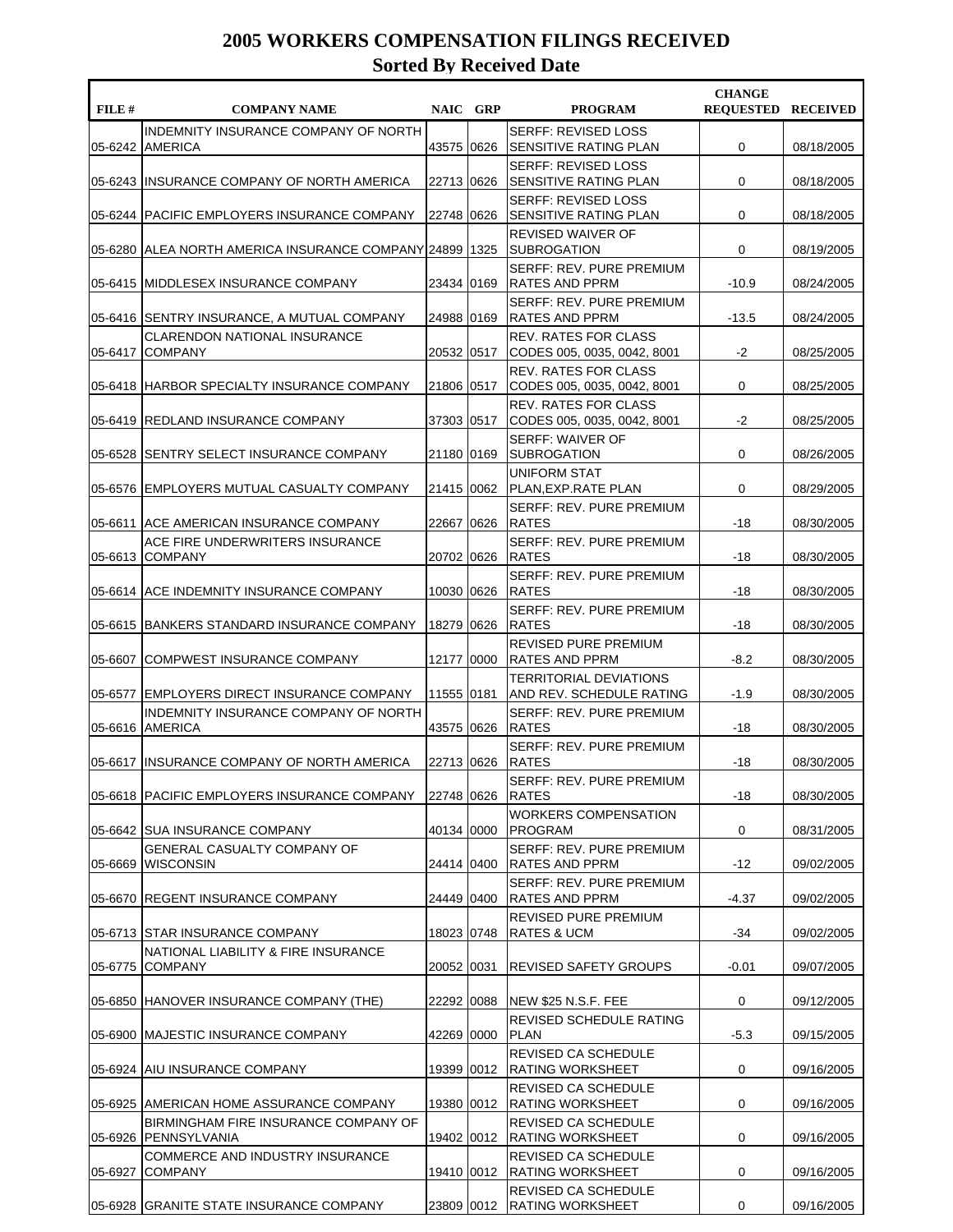| FILE#   | <b>COMPANY NAME</b>                                          |              | NAIC GRP | <b>PROGRAM</b>                                             | <b>CHANGE</b><br><b>REQUESTED RECEIVED</b> |            |
|---------|--------------------------------------------------------------|--------------|----------|------------------------------------------------------------|--------------------------------------------|------------|
| 05-6242 | INDEMNITY INSURANCE COMPANY OF NORTH<br><b>AMERICA</b>       | 43575 0626   |          | <b>SERFF: REVISED LOSS</b><br>SENSITIVE RATING PLAN        | 0                                          | 08/18/2005 |
|         | 05-6243 INSURANCE COMPANY OF NORTH AMERICA                   | 22713 0626   |          | <b>SERFF: REVISED LOSS</b><br>SENSITIVE RATING PLAN        | 0                                          | 08/18/2005 |
| 05-6244 | <b>PACIFIC EMPLOYERS INSURANCE COMPANY</b>                   | 22748 0626   |          | <b>SERFF: REVISED LOSS</b><br><b>SENSITIVE RATING PLAN</b> | 0                                          | 08/18/2005 |
| 05-6280 | IALEA NORTH AMERICA INSURANCE COMPANY   24899   1325         |              |          | <b>REVISED WAIVER OF</b><br><b>SUBROGATION</b>             | 0                                          | 08/19/2005 |
|         | 05-6415 MIDDLESEX INSURANCE COMPANY                          | 23434 0169   |          | SERFF: REV. PURE PREMIUM<br> RATES AND PPRM                | $-10.9$                                    | 08/24/2005 |
|         | 05-6416 SENTRY INSURANCE, A MUTUAL COMPANY                   | 24988 0169   |          | SERFF: REV. PURE PREMIUM<br> RATES AND PPRM                | $-13.5$                                    | 08/24/2005 |
| 05-6417 | <b>CLARENDON NATIONAL INSURANCE</b><br><b>COMPANY</b>        | 20532   0517 |          | <b>REV. RATES FOR CLASS</b><br>CODES 005, 0035, 0042, 8001 | -2                                         | 08/25/2005 |
|         | 05-6418 HARBOR SPECIALTY INSURANCE COMPANY                   | 21806 0517   |          | <b>REV. RATES FOR CLASS</b><br>CODES 005, 0035, 0042, 8001 | 0                                          | 08/25/2005 |
| 05-6419 | <b>REDLAND INSURANCE COMPANY</b>                             | 37303 0517   |          | <b>REV. RATES FOR CLASS</b><br>CODES 005, 0035, 0042, 8001 | $-2$                                       | 08/25/2005 |
| 05-6528 | SENTRY SELECT INSURANCE COMPANY                              | 21180 0169   |          | <b>SERFF: WAIVER OF</b><br><b>SUBROGATION</b>              | 0                                          | 08/26/2005 |
|         | 05-6576 EMPLOYERS MUTUAL CASUALTY COMPANY                    | 21415 0062   |          | UNIFORM STAT<br> PLAN,EXP.RATE PLAN                        | 0                                          | 08/29/2005 |
| 05-6611 | IACE AMERICAN INSURANCE COMPANY                              | 22667 0626   |          | SERFF: REV. PURE PREMIUM<br><b>RATES</b>                   | -18                                        | 08/30/2005 |
| 05-6613 | ACE FIRE UNDERWRITERS INSURANCE<br><b>COMPANY</b>            | 20702 0626   |          | SERFF: REV. PURE PREMIUM<br><b>RATES</b>                   | -18                                        | 08/30/2005 |
|         | 05-6614 ACE INDEMNITY INSURANCE COMPANY                      | 10030 0626   |          | SERFF: REV. PURE PREMIUM<br><b>RATES</b>                   | -18                                        | 08/30/2005 |
| 05-6615 | BANKERS STANDARD INSURANCE COMPANY                           | 18279 0626   |          | SERFF: REV. PURE PREMIUM<br><b>RATES</b>                   | -18                                        | 08/30/2005 |
| 05-6607 | COMPWEST INSURANCE COMPANY                                   | 12177 0000   |          | <b>REVISED PURE PREMIUM</b><br>RATES AND PPRM              | $-8.2$                                     | 08/30/2005 |
| 05-6577 | <b>IEMPLOYERS DIRECT INSURANCE COMPANY</b>                   | 11555 0181   |          | <b>TERRITORIAL DEVIATIONS</b><br>AND REV. SCHEDULE RATING  | $-1.9$                                     | 08/30/2005 |
|         | INDEMNITY INSURANCE COMPANY OF NORTH<br>05-6616 AMERICA      | 43575 0626   |          | SERFF: REV. PURE PREMIUM<br><b>RATES</b>                   | -18                                        | 08/30/2005 |
|         | 05-6617 IINSURANCE COMPANY OF NORTH AMERICA                  | 22713 0626   |          | <b>SERFF: REV. PURE PREMIUM</b><br><b>RATES</b>            | -18                                        | 08/30/2005 |
|         | 05-6618 PACIFIC EMPLOYERS INSURANCE COMPANY                  | 22748 0626   |          | SERFF: REV. PURE PREMIUM<br><b>RATES</b>                   | $-18$                                      | 08/30/2005 |
|         | 05-6642 SUA INSURANCE COMPANY                                | 40134 0000   |          | <b>WORKERS COMPENSATION</b><br> PROGRAM                    | 0                                          | 08/31/2005 |
| 05-6669 | <b>GENERAL CASUALTY COMPANY OF</b><br><b>WISCONSIN</b>       | 24414 0400   |          | SERFF: REV. PURE PREMIUM<br> RATES AND PPRM                | -12                                        | 09/02/2005 |
|         | 05-6670 REGENT INSURANCE COMPANY                             | 24449 0400   |          | SERFF: REV. PURE PREMIUM<br>IRATES AND PPRM                | $-4.37$                                    | 09/02/2005 |
|         | 05-6713 STAR INSURANCE COMPANY                               | 18023 0748   |          | REVISED PURE PREMIUM<br><b>RATES &amp; UCM</b>             | -34                                        | 09/02/2005 |
| 05-6775 | NATIONAL LIABILITY & FIRE INSURANCE<br><b>COMPANY</b>        | 20052 0031   |          | <b>REVISED SAFETY GROUPS</b>                               | $-0.01$                                    | 09/07/2005 |
|         | 05-6850 HANOVER INSURANCE COMPANY (THE)                      | 22292 0088   |          | NEW \$25 N.S.F. FEE                                        | 0                                          | 09/12/2005 |
|         | 05-6900 MAJESTIC INSURANCE COMPANY                           | 42269  0000  |          | REVISED SCHEDULE RATING<br><b>PLAN</b>                     | $-5.3$                                     | 09/15/2005 |
|         | 05-6924 AIU INSURANCE COMPANY                                | 19399  0012  |          | REVISED CA SCHEDULE<br><b>RATING WORKSHEET</b>             | 0                                          | 09/16/2005 |
|         | 05-6925 AMERICAN HOME ASSURANCE COMPANY                      | 19380 0012   |          | REVISED CA SCHEDULE<br><b>RATING WORKSHEET</b>             | 0                                          | 09/16/2005 |
|         | BIRMINGHAM FIRE INSURANCE COMPANY OF<br>05-6926 PENNSYLVANIA |              |          | REVISED CA SCHEDULE<br>19402 0012 RATING WORKSHEET         | 0                                          | 09/16/2005 |
| 05-6927 | COMMERCE AND INDUSTRY INSURANCE<br><b>COMPANY</b>            |              |          | <b>REVISED CA SCHEDULE</b><br>19410 0012 RATING WORKSHEET  | 0                                          | 09/16/2005 |
|         | 05-6928 GRANITE STATE INSURANCE COMPANY                      |              |          | REVISED CA SCHEDULE<br>23809 0012 RATING WORKSHEET         | 0                                          | 09/16/2005 |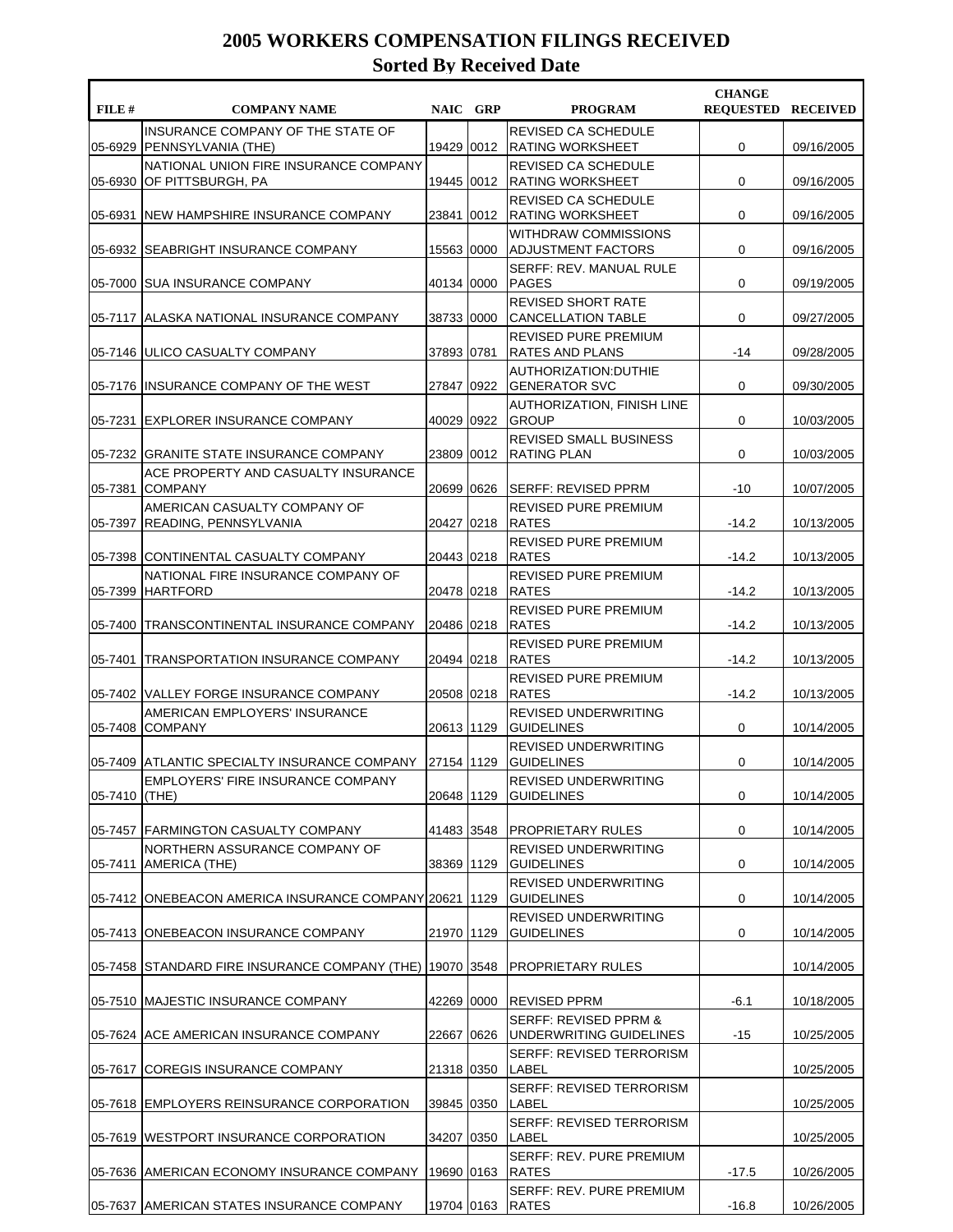| FILE #  | <b>COMPANY NAME</b>                                        | NAIC GRP     | <b>PROGRAM</b>                                              | <b>CHANGE</b><br><b>REQUESTED RECEIVED</b> |            |
|---------|------------------------------------------------------------|--------------|-------------------------------------------------------------|--------------------------------------------|------------|
| 05-6929 | INSURANCE COMPANY OF THE STATE OF<br> PENNSYLVANIA (THE)   | 19429 0012   | <b>REVISED CA SCHEDULE</b><br>RATING WORKSHEET              | 0                                          | 09/16/2005 |
| 05-6930 | NATIONAL UNION FIRE INSURANCE COMPANY<br>OF PITTSBURGH, PA | 19445 0012   | REVISED CA SCHEDULE<br><b>RATING WORKSHEET</b>              | 0                                          | 09/16/2005 |
| 05-6931 | <b>INEW HAMPSHIRE INSURANCE COMPANY</b>                    | 23841 0012   | <b>REVISED CA SCHEDULE</b><br><b>RATING WORKSHEET</b>       | 0                                          | 09/16/2005 |
| 05-6932 | ISEABRIGHT INSURANCE COMPANY                               | 15563 0000   | <b>WITHDRAW COMMISSIONS</b><br><b>ADJUSTMENT FACTORS</b>    | 0                                          | 09/16/2005 |
|         | 05-7000 SUA INSURANCE COMPANY                              | 40134 0000   | SERFF: REV. MANUAL RULE<br><b>PAGES</b>                     | 0                                          | 09/19/2005 |
|         | 05-7117 ALASKA NATIONAL INSURANCE COMPANY                  | 38733 0000   | <b>REVISED SHORT RATE</b><br><b>CANCELLATION TABLE</b>      | 0                                          | 09/27/2005 |
|         | 05-7146 ULICO CASUALTY COMPANY                             | 37893   0781 | <b>REVISED PURE PREMIUM</b><br>RATES AND PLANS              | -14                                        | 09/28/2005 |
|         | 05-7176 INSURANCE COMPANY OF THE WEST                      | 27847   0922 | AUTHORIZATION:DUTHIE<br><b>GENERATOR SVC</b>                | 0                                          | 09/30/2005 |
| 05-7231 | <b>IEXPLORER INSURANCE COMPANY</b>                         | 40029 0922   | <b>AUTHORIZATION, FINISH LINE</b><br><b>GROUP</b>           | 0                                          | 10/03/2005 |
| 05-7232 | GRANITE STATE INSURANCE COMPANY                            | 23809 0012   | <b>REVISED SMALL BUSINESS</b><br><b>RATING PLAN</b>         | 0                                          | 10/03/2005 |
| 05-7381 | ACE PROPERTY AND CASUALTY INSURANCE<br><b>COMPANY</b>      | 20699 0626   | SERFF: REVISED PPRM                                         | $-10$                                      | 10/07/2005 |
| 05-7397 | AMERICAN CASUALTY COMPANY OF<br> READING, PENNSYLVANIA     | 20427 0218   | REVISED PURE PREMIUM<br><b>RATES</b>                        | $-14.2$                                    | 10/13/2005 |
|         | 05-7398 CONTINENTAL CASUALTY COMPANY                       | 20443 0218   | REVISED PURE PREMIUM<br><b>RATES</b>                        | $-14.2$                                    | 10/13/2005 |
| 05-7399 | NATIONAL FIRE INSURANCE COMPANY OF<br><b>HARTFORD</b>      | 20478 0218   | REVISED PURE PREMIUM<br><b>RATES</b>                        | $-14.2$                                    | 10/13/2005 |
| 05-7400 | TRANSCONTINENTAL INSURANCE COMPANY                         | 20486 0218   | REVISED PURE PREMIUM<br><b>RATES</b>                        | $-14.2$                                    | 10/13/2005 |
| 05-7401 | TRANSPORTATION INSURANCE COMPANY                           | 20494 0218   | <b>REVISED PURE PREMIUM</b><br><b>RATES</b>                 | $-14.2$                                    | 10/13/2005 |
|         | 05-7402 VALLEY FORGE INSURANCE COMPANY                     | 20508 0218   | REVISED PURE PREMIUM<br><b>RATES</b>                        | $-14.2$                                    | 10/13/2005 |
| 05-7408 | AMERICAN EMPLOYERS' INSURANCE<br><b>COMPANY</b>            | 20613 1129   | <b>REVISED UNDERWRITING</b><br><b>GUIDELINES</b>            | 0                                          | 10/14/2005 |
|         | 05-7409 ATLANTIC SPECIALTY INSURANCE COMPANY               | 27154 1129   | <b>REVISED UNDERWRITING</b><br><b>GUIDELINES</b>            | 0                                          | 10/14/2005 |
| 05-7410 | EMPLOYERS' FIRE INSURANCE COMPANY<br>(THE)                 | 20648 1129   | <b>REVISED UNDERWRITING</b><br><b>GUIDELINES</b>            | 0                                          | 10/14/2005 |
| 05-7457 | <b>FARMINGTON CASUALTY COMPANY</b>                         | 41483 3548   | PROPRIETARY RULES                                           | 0                                          | 10/14/2005 |
| 05-7411 | NORTHERN ASSURANCE COMPANY OF<br>AMERICA (THE)             | 38369 1129   | <b>REVISED UNDERWRITING</b><br><b>GUIDELINES</b>            | 0                                          | 10/14/2005 |
|         | 05-7412 ONEBEACON AMERICA INSURANCE COMPANY 20621 1129     |              | REVISED UNDERWRITING<br><b>GUIDELINES</b>                   | 0                                          | 10/14/2005 |
|         | 05-7413   ONEBEACON INSURANCE COMPANY                      | 21970   1129 | <b>REVISED UNDERWRITING</b><br><b>GUIDELINES</b>            | 0                                          | 10/14/2005 |
| 05-7458 | STANDARD FIRE INSURANCE COMPANY (THE) 19070 3548           |              | PROPRIETARY RULES                                           |                                            | 10/14/2005 |
|         | 05-7510 MAJESTIC INSURANCE COMPANY                         | 42269 0000   | REVISED PPRM                                                | -6.1                                       | 10/18/2005 |
|         | 05-7624 ACE AMERICAN INSURANCE COMPANY                     | 22667 0626   | <b>SERFF: REVISED PPRM &amp;</b><br>UNDERWRITING GUIDELINES | -15                                        | 10/25/2005 |
| 05-7617 | COREGIS INSURANCE COMPANY                                  | 21318 0350   | <b>SERFF: REVISED TERRORISM</b><br><b>LABEL</b>             |                                            | 10/25/2005 |
|         | 05-7618 EMPLOYERS REINSURANCE CORPORATION                  | 39845 0350   | SERFF: REVISED TERRORISM<br><b>LABEL</b>                    |                                            | 10/25/2005 |
|         | 05-7619  WESTPORT INSURANCE CORPORATION                    | 34207 0350   | SERFF: REVISED TERRORISM<br>LABEL                           |                                            | 10/25/2005 |
| 05-7636 | <b>JAMERICAN ECONOMY INSURANCE COMPANY</b>                 | 19690 0163   | SERFF: REV. PURE PREMIUM<br>RATES                           | $-17.5$                                    | 10/26/2005 |
| 05-7637 | AMERICAN STATES INSURANCE COMPANY                          | 19704 0163   | SERFF: REV. PURE PREMIUM<br><b>RATES</b>                    | $-16.8$                                    | 10/26/2005 |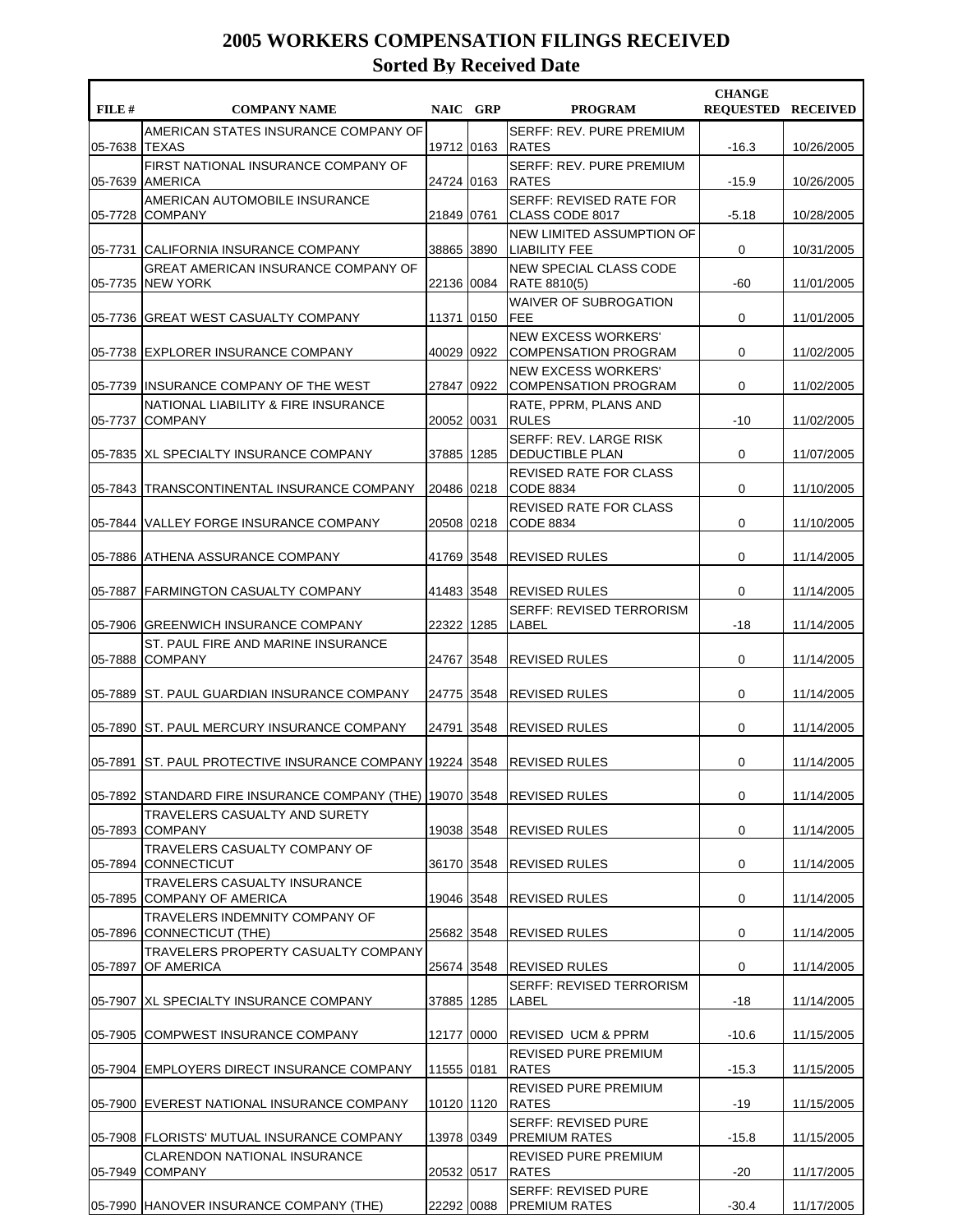| FILE #  | <b>COMPANY NAME</b>                                                         | NAIC GRP     | <b>PROGRAM</b>                                            | <b>CHANGE</b><br><b>REQUESTED RECEIVED</b> |            |
|---------|-----------------------------------------------------------------------------|--------------|-----------------------------------------------------------|--------------------------------------------|------------|
| 05-7638 | AMERICAN STATES INSURANCE COMPANY OF<br><b>TEXAS</b>                        | 19712 0163   | <b>SERFF: REV. PURE PREMIUM</b><br><b>RATES</b>           | $-16.3$                                    | 10/26/2005 |
| 05-7639 | FIRST NATIONAL INSURANCE COMPANY OF<br><b>AMERICA</b>                       | 24724 0163   | <b>SERFF: REV. PURE PREMIUM</b><br><b>RATES</b>           | $-15.9$                                    | 10/26/2005 |
| 05-7728 | AMERICAN AUTOMOBILE INSURANCE<br><b>COMPANY</b>                             | 21849 0761   | SERFF: REVISED RATE FOR<br>CLASS CODE 8017                | $-5.18$                                    | 10/28/2005 |
|         | 05-7731 CALIFORNIA INSURANCE COMPANY                                        | 38865 3890   | NEW LIMITED ASSUMPTION OF<br><b>LIABILITY FEE</b>         | 0                                          | 10/31/2005 |
| 05-7735 | <b>GREAT AMERICAN INSURANCE COMPANY OF</b><br><b>NEW YORK</b>               | 22136 0084   | NEW SPECIAL CLASS CODE<br><b>RATE 8810(5)</b>             | -60                                        | 11/01/2005 |
| 05-7736 | GREAT WEST CASUALTY COMPANY                                                 | 11371 0150   | <b>WAIVER OF SUBROGATION</b><br><b>IFEE</b>               | 0                                          | 11/01/2005 |
| 05-7738 | <b>IEXPLORER INSURANCE COMPANY</b>                                          | 40029 0922   | <b>NEW EXCESS WORKERS'</b><br><b>COMPENSATION PROGRAM</b> | 0                                          | 11/02/2005 |
| 05-7739 | IINSURANCE COMPANY OF THE WEST                                              | 27847   0922 | <b>NEW EXCESS WORKERS'</b><br><b>COMPENSATION PROGRAM</b> | 0                                          | 11/02/2005 |
| 05-7737 | NATIONAL LIABILITY & FIRE INSURANCE<br><b>COMPANY</b>                       | 20052 0031   | RATE, PPRM, PLANS AND<br><b>RULES</b>                     | $-10$                                      | 11/02/2005 |
| 05-7835 | <b>IXL SPECIALTY INSURANCE COMPANY</b>                                      | 37885 1285   | SERFF: REV. LARGE RISK<br><b>DEDUCTIBLE PLAN</b>          | 0                                          | 11/07/2005 |
| 05-7843 | TRANSCONTINENTAL INSURANCE COMPANY                                          | 20486 0218   | <b>REVISED RATE FOR CLASS</b><br>CODE 8834                | 0                                          | 11/10/2005 |
| 05-7844 | IVALLEY FORGE INSURANCE COMPANY                                             | 20508 0218   | REVISED RATE FOR CLASS<br>CODE 8834                       | 0                                          | 11/10/2005 |
| 05-7886 | IATHENA ASSURANCE COMPANY                                                   | 41769 3548   | <b>REVISED RULES</b>                                      | 0                                          | 11/14/2005 |
| 05-7887 | <b>FARMINGTON CASUALTY COMPANY</b>                                          | 41483 3548   | REVISED RULES                                             | 0                                          | 11/14/2005 |
| 05-7906 | <b>GREENWICH INSURANCE COMPANY</b>                                          | 22322 1285   | <b>SERFF: REVISED TERRORISM</b><br>LABEL                  | -18                                        | 11/14/2005 |
| 05-7888 | ST. PAUL FIRE AND MARINE INSURANCE<br><b>COMPANY</b>                        | 24767 3548   | <b>REVISED RULES</b>                                      | 0                                          | 11/14/2005 |
| 05-7889 | ST. PAUL GUARDIAN INSURANCE COMPANY                                         | 24775 3548   | <b>REVISED RULES</b>                                      | 0                                          | 11/14/2005 |
| 05-7890 | IST. PAUL MERCURY INSURANCE COMPANY                                         | 24791 3548   | REVISED RULES                                             | 0                                          | 11/14/2005 |
|         | 05-7891 ST. PAUL PROTECTIVE INSURANCE COMPANY [19224   3548]                |              | <b>REVISED RULES</b>                                      | 0                                          | 11/14/2005 |
|         | 05-7892  STANDARD FIRE INSURANCE COMPANY (THE)  19070  3548   REVISED RULES |              |                                                           | 0                                          | 11/14/2005 |
| 05-7893 | TRAVELERS CASUALTY AND SURETY<br><b>COMPANY</b>                             | 19038 3548   | <b>REVISED RULES</b>                                      | 0                                          | 11/14/2005 |
|         | TRAVELERS CASUALTY COMPANY OF<br>05-7894 CONNECTICUT                        | 36170 3548   | REVISED RULES                                             | 0                                          | 11/14/2005 |
| 05-7895 | <b>TRAVELERS CASUALTY INSURANCE</b><br>COMPANY OF AMERICA                   | 19046 3548   | <b>REVISED RULES</b>                                      | 0                                          | 11/14/2005 |
|         | TRAVELERS INDEMNITY COMPANY OF<br>05-7896 CONNECTICUT (THE)                 | 25682 3548   | <b>REVISED RULES</b>                                      | 0                                          | 11/14/2005 |
| 05-7897 | TRAVELERS PROPERTY CASUALTY COMPANY<br>OF AMERICA                           | 25674 3548   | REVISED RULES                                             | 0                                          | 11/14/2005 |
|         | 05-7907   XL SPECIALTY INSURANCE COMPANY                                    | 37885 1285   | SERFF: REVISED TERRORISM<br>LABEL                         | $-18$                                      | 11/14/2005 |
|         | 05-7905 COMPWEST INSURANCE COMPANY                                          | 12177 0000   | IREVISED UCM&PPRM                                         | $-10.6$                                    | 11/15/2005 |
|         | 05-7904 EMPLOYERS DIRECT INSURANCE COMPANY                                  | 11555 0181   | REVISED PURE PREMIUM<br><b>RATES</b>                      | $-15.3$                                    | 11/15/2005 |
|         | 05-7900 EVEREST NATIONAL INSURANCE COMPANY                                  | 10120 1120   | REVISED PURE PREMIUM<br><b>RATES</b>                      | $-19$                                      | 11/15/2005 |
|         | 05-7908   FLORISTS' MUTUAL INSURANCE COMPANY                                | 13978 0349   | <b>SERFF: REVISED PURE</b><br><b>PREMIUM RATES</b>        | $-15.8$                                    | 11/15/2005 |
| 05-7949 | <b>CLARENDON NATIONAL INSURANCE</b><br><b>COMPANY</b>                       | 20532 0517   | REVISED PURE PREMIUM<br><b>RATES</b>                      | $-20$                                      | 11/17/2005 |
|         | 05-7990 HANOVER INSURANCE COMPANY (THE)                                     |              | <b>SERFF: REVISED PURE</b><br>22292 0088 PREMIUM RATES    | $-30.4$                                    | 11/17/2005 |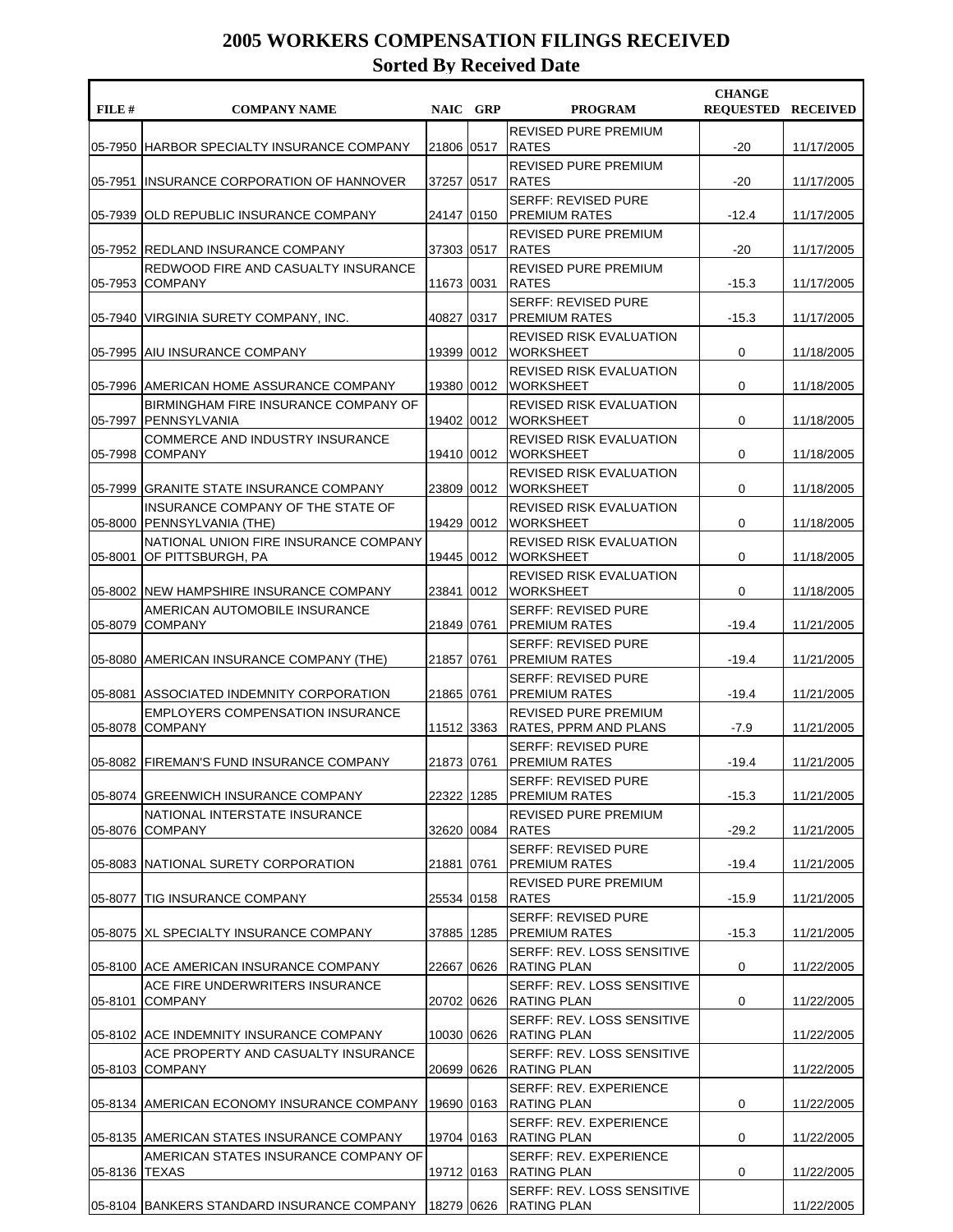| FILE #  | <b>COMPANY NAME</b>                                                     |              | NAIC GRP | <b>PROGRAM</b>                                        | <b>CHANGE</b><br><b>REOUESTED RECEIVED</b> |            |
|---------|-------------------------------------------------------------------------|--------------|----------|-------------------------------------------------------|--------------------------------------------|------------|
| 05-7950 | HARBOR SPECIALTY INSURANCE COMPANY                                      | 21806 0517   |          | <b>REVISED PURE PREMIUM</b><br><b>RATES</b>           | $-20$                                      | 11/17/2005 |
| 05-7951 | IINSURANCE CORPORATION OF HANNOVER                                      | 37257 0517   |          | REVISED PURE PREMIUM<br><b>RATES</b>                  | $-20$                                      | 11/17/2005 |
| 05-7939 | OLD REPUBLIC INSURANCE COMPANY                                          | 24147 0150   |          | <b>SERFF: REVISED PURE</b><br><b>PREMIUM RATES</b>    | $-12.4$                                    | 11/17/2005 |
|         | 05-7952 REDLAND INSURANCE COMPANY                                       | 37303 0517   |          | <b>REVISED PURE PREMIUM</b><br><b>RATES</b>           | $-20$                                      | 11/17/2005 |
| 05-7953 | REDWOOD FIRE AND CASUALTY INSURANCE<br><b>COMPANY</b>                   | 11673 0031   |          | <b>REVISED PURE PREMIUM</b><br><b>RATES</b>           | $-15.3$                                    | 11/17/2005 |
| 05-7940 | VIRGINIA SURETY COMPANY, INC.                                           | 40827 0317   |          | <b>SERFF: REVISED PURE</b><br><b>PREMIUM RATES</b>    | $-15.3$                                    | 11/17/2005 |
| 05-7995 | <b>AIU INSURANCE COMPANY</b>                                            | 19399 0012   |          | REVISED RISK EVALUATION<br><b>WORKSHEET</b>           | 0                                          | 11/18/2005 |
|         | 05-7996 AMERICAN HOME ASSURANCE COMPANY                                 | 19380 0012   |          | REVISED RISK EVALUATION<br><b>WORKSHEET</b>           | 0                                          | 11/18/2005 |
| 05-7997 | BIRMINGHAM FIRE INSURANCE COMPANY OF<br><b>IPENNSYLVANIA</b>            | 19402 0012   |          | REVISED RISK EVALUATION<br><b>WORKSHEET</b>           | 0                                          | 11/18/2005 |
| 05-7998 | <b>COMMERCE AND INDUSTRY INSURANCE</b><br><b>COMPANY</b>                | 19410   0012 |          | <b>REVISED RISK EVALUATION</b><br><b>WORKSHEET</b>    | 0                                          | 11/18/2005 |
| 05-7999 | <b>GRANITE STATE INSURANCE COMPANY</b>                                  | 23809 0012   |          | REVISED RISK EVALUATION<br><b>WORKSHEET</b>           | 0                                          | 11/18/2005 |
| 05-8000 | INSURANCE COMPANY OF THE STATE OF<br> PENNSYLVANIA (THE)                | 19429 0012   |          | <b>REVISED RISK EVALUATION</b><br><b>WORKSHEET</b>    | 0                                          | 11/18/2005 |
| 05-8001 | NATIONAL UNION FIRE INSURANCE COMPANY<br>OF PITTSBURGH, PA              | 19445 0012   |          | REVISED RISK EVALUATION<br><b>WORKSHEET</b>           | 0                                          | 11/18/2005 |
|         | 05-8002 INEW HAMPSHIRE INSURANCE COMPANY                                | 23841 0012   |          | REVISED RISK EVALUATION<br><b>WORKSHEET</b>           | 0                                          | 11/18/2005 |
| 05-8079 | AMERICAN AUTOMOBILE INSURANCE<br><b>COMPANY</b>                         | 21849 0761   |          | <b>SERFF: REVISED PURE</b><br><b>PREMIUM RATES</b>    | $-19.4$                                    | 11/21/2005 |
| 05-8080 | AMERICAN INSURANCE COMPANY (THE)                                        | 21857 0761   |          | <b>SERFF: REVISED PURE</b><br><b>PREMIUM RATES</b>    | $-19.4$                                    | 11/21/2005 |
|         | 05-8081 ASSOCIATED INDEMNITY CORPORATION                                | 21865 0761   |          | <b>SERFF: REVISED PURE</b><br><b>PREMIUM RATES</b>    | $-19.4$                                    | 11/21/2005 |
| 05-8078 | <b>EMPLOYERS COMPENSATION INSURANCE</b><br><b>COMPANY</b>               | 11512 3363   |          | <b>REVISED PURE PREMIUM</b><br> RATES, PPRM AND PLANS | $-7.9$                                     | 11/21/2005 |
|         | 05-8082 FIREMAN'S FUND INSURANCE COMPANY                                | 21873 0761   |          | <b>SERFF: REVISED PURE</b><br><b>PREMIUM RATES</b>    | $-19.4$                                    | 11/21/2005 |
|         | 05-8074 GREENWICH INSURANCE COMPANY                                     | 22322 1285   |          | SERFF: REVISED PURE<br><b>IPREMIUM RATES</b>          | $-15.3$                                    | 11/21/2005 |
|         | NATIONAL INTERSTATE INSURANCE<br>05-8076 COMPANY                        | 32620 0084   |          | <b>REVISED PURE PREMIUM</b><br><b>RATES</b>           | $-29.2$                                    | 11/21/2005 |
|         | 05-8083 NATIONAL SURETY CORPORATION                                     | 21881 0761   |          | <b>SERFF: REVISED PURE</b><br><b>PREMIUM RATES</b>    | $-19.4$                                    | 11/21/2005 |
|         | 05-8077 TIG INSURANCE COMPANY                                           | 25534 0158   |          | REVISED PURE PREMIUM<br><b>RATES</b>                  | $-15.9$                                    | 11/21/2005 |
|         | 05-8075 IXL SPECIALTY INSURANCE COMPANY                                 | 37885  1285  |          | <b>SERFF: REVISED PURE</b><br>IPREMIUM RATES          | $-15.3$                                    | 11/21/2005 |
|         | 05-8100 ACE AMERICAN INSURANCE COMPANY                                  | 22667   0626 |          | SERFF: REV. LOSS SENSITIVE<br>RATING PLAN             | 0                                          | 11/22/2005 |
| 05-8101 | ACE FIRE UNDERWRITERS INSURANCE<br><b>COMPANY</b>                       | 20702 0626   |          | SERFF: REV. LOSS SENSITIVE<br>RATING PLAN             | 0                                          | 11/22/2005 |
|         | 05-8102 ACE INDEMNITY INSURANCE COMPANY                                 | 10030 0626   |          | SERFF: REV. LOSS SENSITIVE<br>RATING PLAN             |                                            | 11/22/2005 |
|         | ACE PROPERTY AND CASUALTY INSURANCE<br>05-8103 COMPANY                  | 20699 0626   |          | SERFF: REV. LOSS SENSITIVE<br>RATING PLAN             |                                            | 11/22/2005 |
|         | 05-8134 AMERICAN ECONOMY INSURANCE COMPANY                              | 19690 0163   |          | SERFF: REV. EXPERIENCE<br><b>RATING PLAN</b>          | 0                                          | 11/22/2005 |
|         | 05-8135 AMERICAN STATES INSURANCE COMPANY                               | 19704 0163   |          | SERFF: REV. EXPERIENCE<br><b>RATING PLAN</b>          | 0                                          | 11/22/2005 |
| 05-8136 | AMERICAN STATES INSURANCE COMPANY OF<br><b>TEXAS</b>                    | 19712 0163   |          | SERFF: REV. EXPERIENCE<br>RATING PLAN                 | 0                                          | 11/22/2005 |
|         | 05-8104 BANKERS STANDARD INSURANCE COMPANY   18279   0626   RATING PLAN |              |          | SERFF: REV. LOSS SENSITIVE                            |                                            | 11/22/2005 |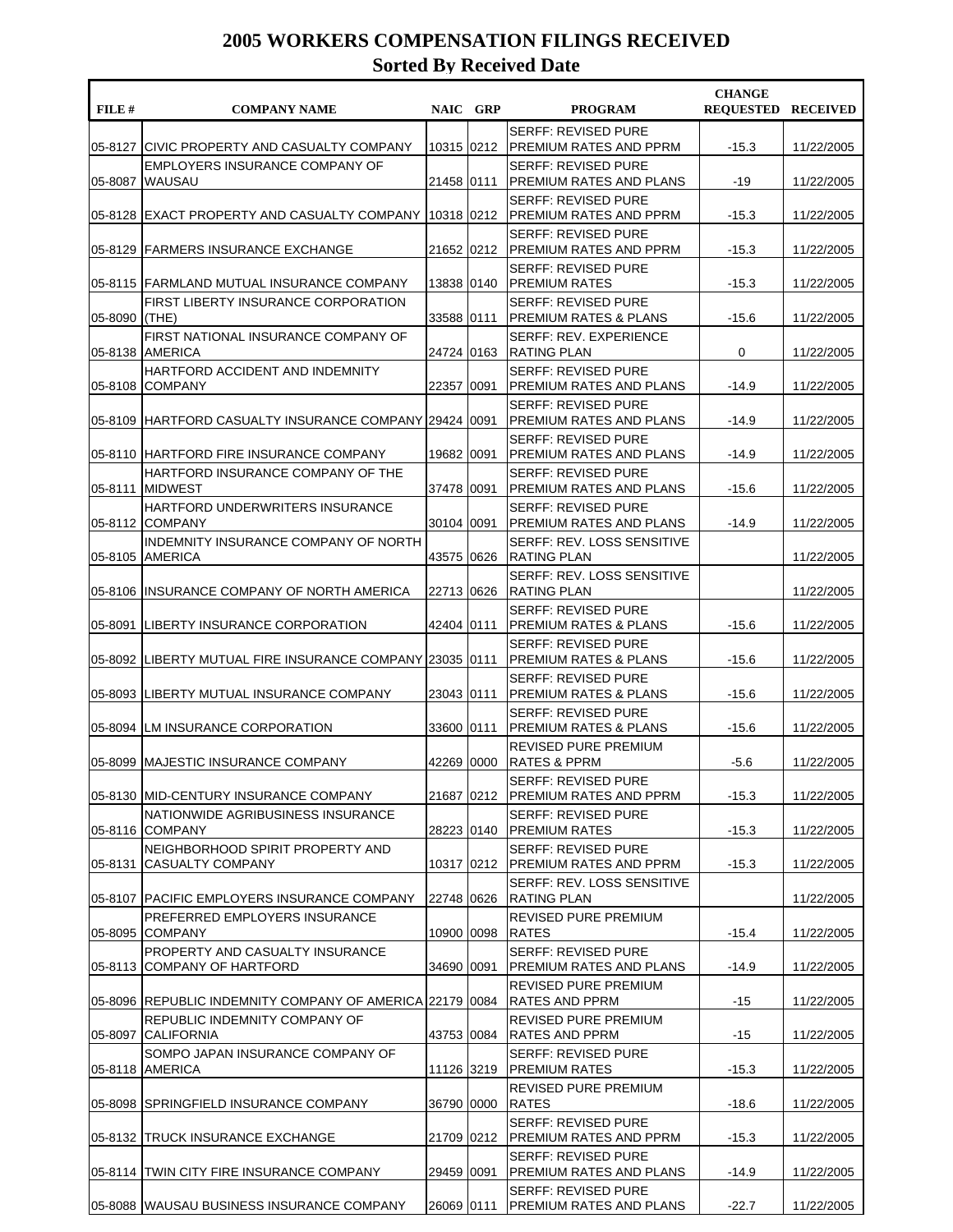| FILE #  | <b>COMPANY NAME</b>                                         | NAIC GRP     | <b>PROGRAM</b>                                                  | <b>CHANGE</b><br><b>REQUESTED RECEIVED</b> |            |
|---------|-------------------------------------------------------------|--------------|-----------------------------------------------------------------|--------------------------------------------|------------|
| 05-8127 | ICIVIC PROPERTY AND CASUALTY COMPANY                        | 10315 0212   | <b>SERFF: REVISED PURE</b><br> PREMIUM RATES AND PPRM           | $-15.3$                                    | 11/22/2005 |
| 05-8087 | EMPLOYERS INSURANCE COMPANY OF<br><b>WAUSAU</b>             | 21458 0111   | <b>SERFF: REVISED PURE</b><br>PREMIUM RATES AND PLANS           | $-19$                                      | 11/22/2005 |
| 05-8128 | EXACT PROPERTY AND CASUALTY COMPANY                         | 10318 0212   | <b>SERFF: REVISED PURE</b><br> PREMIUM RATES AND PPRM           | $-15.3$                                    | 11/22/2005 |
|         | 05-8129 FARMERS INSURANCE EXCHANGE                          | 21652 0212   | <b>SERFF: REVISED PURE</b><br><b>PREMIUM RATES AND PPRM</b>     | $-15.3$                                    | 11/22/2005 |
|         | 05-8115 FARMLAND MUTUAL INSURANCE COMPANY                   | 13838 0140   | <b>SERFF: REVISED PURE</b><br> PREMIUM RATES                    | $-15.3$                                    | 11/22/2005 |
| 05-8090 | FIRST LIBERTY INSURANCE CORPORATION<br>(THE)                | 33588 0111   | <b>SERFF: REVISED PURE</b><br> PREMIUM RATES & PLANS            | $-15.6$                                    | 11/22/2005 |
| 05-8138 | FIRST NATIONAL INSURANCE COMPANY OF<br><b>AMERICA</b>       | 24724 0163   | <b>SERFF: REV. EXPERIENCE</b><br> RATING PLAN                   | 0                                          | 11/22/2005 |
| 05-8108 | HARTFORD ACCIDENT AND INDEMNITY<br><b>COMPANY</b>           | 22357   0091 | <b>SERFF: REVISED PURE</b><br>PREMIUM RATES AND PLANS           | $-14.9$                                    | 11/22/2005 |
| 05-8109 | HARTFORD CASUALTY INSURANCE COMPANY 29424 0091              |              | <b>SERFF: REVISED PURE</b><br><b>PREMIUM RATES AND PLANS</b>    | $-14.9$                                    | 11/22/2005 |
|         | 05-8110 HARTFORD FIRE INSURANCE COMPANY                     | 19682   0091 | <b>SERFF: REVISED PURE</b><br><b>PREMIUM RATES AND PLANS</b>    | $-14.9$                                    | 11/22/2005 |
| 05-8111 | HARTFORD INSURANCE COMPANY OF THE<br><b>MIDWEST</b>         | 37478 0091   | <b>SERFF: REVISED PURE</b><br>PREMIUM RATES AND PLANS           | $-15.6$                                    | 11/22/2005 |
|         | HARTFORD UNDERWRITERS INSURANCE<br>05-8112 COMPANY          | 30104 0091   | <b>SERFF: REVISED PURE</b><br>IPREMIUM RATES AND PLANS          | $-14.9$                                    | 11/22/2005 |
| 05-8105 | INDEMNITY INSURANCE COMPANY OF NORTH<br><b>AMERICA</b>      | 43575   0626 | SERFF: REV. LOSS SENSITIVE<br><b>RATING PLAN</b>                |                                            | 11/22/2005 |
|         | 05-8106 IINSURANCE COMPANY OF NORTH AMERICA                 | 22713 0626   | SERFF: REV. LOSS SENSITIVE<br><b>RATING PLAN</b>                |                                            | 11/22/2005 |
| 05-8091 | LIBERTY INSURANCE CORPORATION                               | 42404 0111   | <b>SERFF: REVISED PURE</b><br> PREMIUM RATES & PLANS            | $-15.6$                                    | 11/22/2005 |
| 05-8092 | LIBERTY MUTUAL FIRE INSURANCE COMPANY 23035 0111            |              | <b>SERFF: REVISED PURE</b><br><b>PREMIUM RATES &amp; PLANS</b>  | $-15.6$                                    | 11/22/2005 |
|         | 05-8093 LIBERTY MUTUAL INSURANCE COMPANY                    | 23043 0111   | <b>SERFF: REVISED PURE</b><br><b>PREMIUM RATES &amp; PLANS</b>  | $-15.6$                                    | 11/22/2005 |
| 05-8094 | ILM INSURANCE CORPORATION                                   | 33600 0111   | <b>SERFF: REVISED PURE</b><br><b>IPREMIUM RATES &amp; PLANS</b> | $-15.6$                                    | 11/22/2005 |
|         | 05-8099 MAJESTIC INSURANCE COMPANY                          | 42269 0000   | REVISED PURE PREMIUM<br>RATES & PPRM                            | $-5.6$                                     | 11/22/2005 |
|         | 05-8130 IMID-CENTURY INSURANCE COMPANY                      | 21687 0212   | <b>SERFF: REVISED PURE</b><br><b>IPREMIUM RATES AND PPRM</b>    | $-15.3$                                    | 11/22/2005 |
|         | NATIONWIDE AGRIBUSINESS INSURANCE<br>05-8116 COMPANY        | 28223 0140   | <b>SERFF: REVISED PURE</b><br><b>PREMIUM RATES</b>              | $-15.3$                                    | 11/22/2005 |
| 05-8131 | NEIGHBORHOOD SPIRIT PROPERTY AND<br><b>CASUALTY COMPANY</b> | 10317 0212   | <b>SERFF: REVISED PURE</b><br><b>IPREMIUM RATES AND PPRM</b>    | $-15.3$                                    | 11/22/2005 |
|         | 05-8107 PACIFIC EMPLOYERS INSURANCE COMPANY                 | 22748 0626   | SERFF: REV. LOSS SENSITIVE<br><b>RATING PLAN</b>                |                                            | 11/22/2005 |
| 05-8095 | PREFERRED EMPLOYERS INSURANCE<br><b>COMPANY</b>             | 10900 0098   | REVISED PURE PREMIUM<br><b>RATES</b>                            | $-15.4$                                    | 11/22/2005 |
| 05-8113 | PROPERTY AND CASUALTY INSURANCE<br> COMPANY OF HARTFORD     | 34690 0091   | <b>SERFF: REVISED PURE</b><br><b>PREMIUM RATES AND PLANS</b>    | $-14.9$                                    | 11/22/2005 |
|         | 05-8096 REPUBLIC INDEMNITY COMPANY OF AMERICA 22179 0084    |              | REVISED PURE PREMIUM<br> RATES AND PPRM                         | $-15$                                      | 11/22/2005 |
| 05-8097 | REPUBLIC INDEMNITY COMPANY OF<br>ICALIFORNIA                | 43753 0084   | <b>REVISED PURE PREMIUM</b><br> RATES AND PPRM                  | $-15$                                      | 11/22/2005 |
| 05-8118 | SOMPO JAPAN INSURANCE COMPANY OF<br><b>AMERICA</b>          | 11126 3219   | <b>SERFF: REVISED PURE</b><br> PREMIUM RATES                    | $-15.3$                                    | 11/22/2005 |
|         | 05-8098 SPRINGFIELD INSURANCE COMPANY                       | 36790 0000   | REVISED PURE PREMIUM<br><b>RATES</b>                            | $-18.6$                                    | 11/22/2005 |
|         | 05-8132 TRUCK INSURANCE EXCHANGE                            | 21709 0212   | <b>SERFF: REVISED PURE</b><br> PREMIUM RATES AND PPRM           | $-15.3$                                    | 11/22/2005 |
|         | 05-8114 TWIN CITY FIRE INSURANCE COMPANY                    | 29459 0091   | <b>SERFF: REVISED PURE</b><br><b>PREMIUM RATES AND PLANS</b>    | $-14.9$                                    | 11/22/2005 |
|         | 05-8088 WAUSAU BUSINESS INSURANCE COMPANY                   | 26069 0111   | <b>SERFF: REVISED PURE</b><br>PREMIUM RATES AND PLANS           | $-22.7$                                    | 11/22/2005 |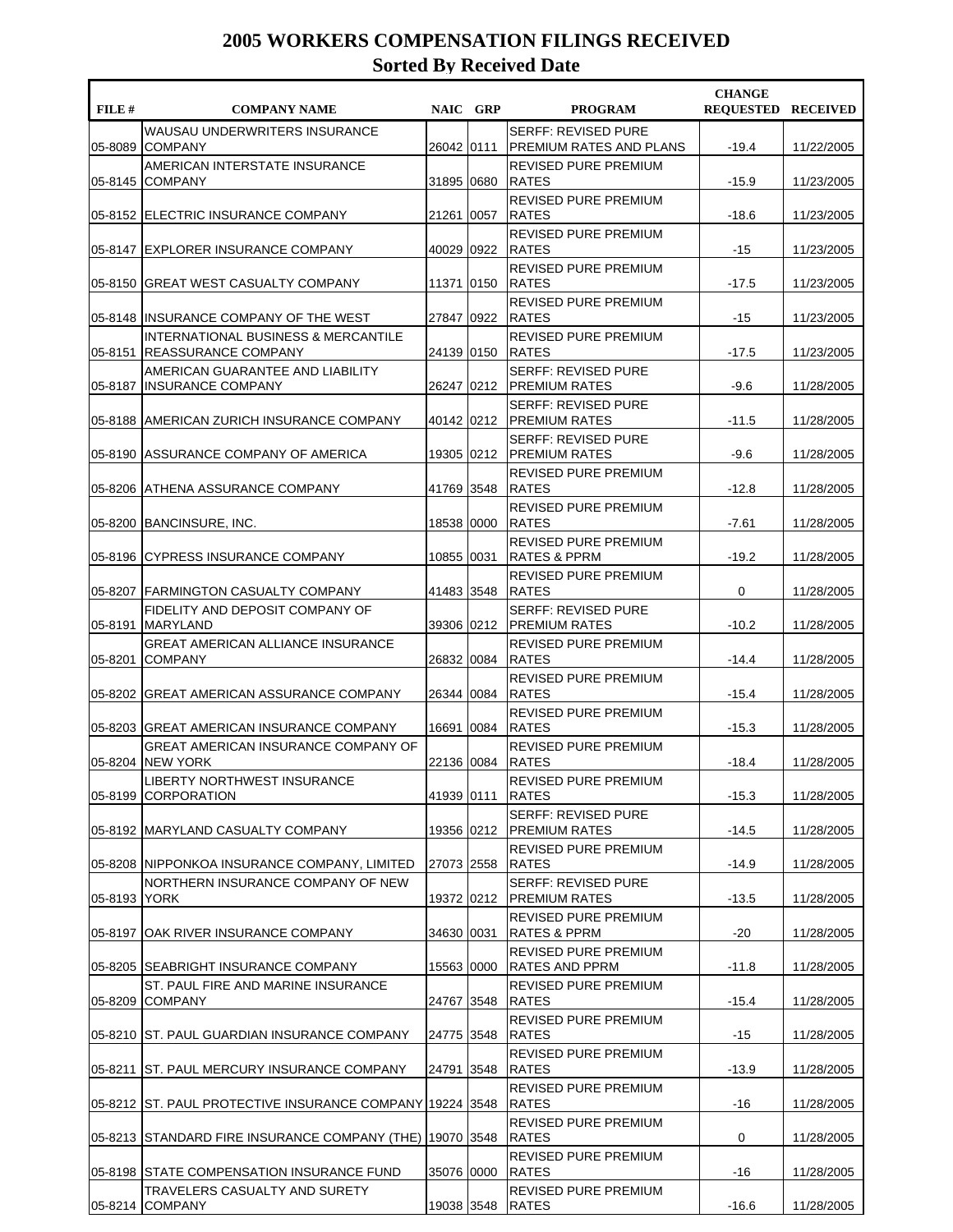| FILE#   | <b>COMPANY NAME</b>                                                           |              | NAIC GRP | <b>PROGRAM</b>                                         | <b>CHANGE</b><br><b>REOUESTED RECEIVED</b> |            |
|---------|-------------------------------------------------------------------------------|--------------|----------|--------------------------------------------------------|--------------------------------------------|------------|
| 05-8089 | WAUSAU UNDERWRITERS INSURANCE<br><b>COMPANY</b>                               | 26042 0111   |          | <b>SERFF: REVISED PURE</b><br>PREMIUM RATES AND PLANS  | $-19.4$                                    | 11/22/2005 |
| 05-8145 | AMERICAN INTERSTATE INSURANCE<br><b>COMPANY</b>                               | 31895 0680   |          | <b>REVISED PURE PREMIUM</b><br><b>RATES</b>            | $-15.9$                                    | 11/23/2005 |
|         | 05-8152 ELECTRIC INSURANCE COMPANY                                            | 21261        | 0057     | <b>REVISED PURE PREMIUM</b><br><b>RATES</b>            | $-18.6$                                    | 11/23/2005 |
|         | 05-8147 EXPLORER INSURANCE COMPANY                                            | 40029 0922   |          | <b>REVISED PURE PREMIUM</b><br><b>RATES</b>            | -15                                        | 11/23/2005 |
| 05-8150 | <b>GREAT WEST CASUALTY COMPANY</b>                                            | 11371 0150   |          | REVISED PURE PREMIUM<br><b>RATES</b>                   | $-17.5$                                    | 11/23/2005 |
|         | 05-8148 INSURANCE COMPANY OF THE WEST                                         | 27847 0922   |          | REVISED PURE PREMIUM<br><b>RATES</b>                   | $-15$                                      | 11/23/2005 |
|         | <b>INTERNATIONAL BUSINESS &amp; MERCANTILE</b><br>05-8151 REASSURANCE COMPANY | 24139 0150   |          | REVISED PURE PREMIUM<br><b>RATES</b>                   | $-17.5$                                    | 11/23/2005 |
| 05-8187 | AMERICAN GUARANTEE AND LIABILITY<br><b>INSURANCE COMPANY</b>                  | 26247 0212   |          | <b>SERFF: REVISED PURE</b><br><b>PREMIUM RATES</b>     | $-9.6$                                     | 11/28/2005 |
| 05-8188 | AMERICAN ZURICH INSURANCE COMPANY                                             |              |          | <b>SERFF: REVISED PURE</b><br>40142 0212 PREMIUM RATES | $-11.5$                                    | 11/28/2005 |
| 05-8190 | <b>IASSURANCE COMPANY OF AMERICA</b>                                          | 19305   0212 |          | <b>SERFF: REVISED PURE</b><br><b>PREMIUM RATES</b>     | $-9.6$                                     | 11/28/2005 |
|         | 05-8206 ATHENA ASSURANCE COMPANY                                              | 41769 3548   |          | <b>REVISED PURE PREMIUM</b><br><b>RATES</b>            | $-12.8$                                    | 11/28/2005 |
|         | 05-8200 BANCINSURE, INC.                                                      | 18538 0000   |          | REVISED PURE PREMIUM<br><b>RATES</b>                   | $-7.61$                                    | 11/28/2005 |
|         | 05-8196 CYPRESS INSURANCE COMPANY                                             | 10855 0031   |          | <b>REVISED PURE PREMIUM</b><br>RATES & PPRM            | $-19.2$                                    | 11/28/2005 |
|         | 05-8207 FARMINGTON CASUALTY COMPANY                                           | 41483 3548   |          | REVISED PURE PREMIUM<br><b>RATES</b>                   | 0                                          | 11/28/2005 |
| 05-8191 | FIDELITY AND DEPOSIT COMPANY OF<br><b>MARYLAND</b>                            | 39306 0212   |          | <b>SERFF: REVISED PURE</b><br><b>PREMIUM RATES</b>     | $-10.2$                                    | 11/28/2005 |
| 05-8201 | <b>GREAT AMERICAN ALLIANCE INSURANCE</b><br><b>COMPANY</b>                    | 26832   0084 |          | <b>REVISED PURE PREMIUM</b><br><b>RATES</b>            | $-14.4$                                    | 11/28/2005 |
|         | 05-8202 GREAT AMERICAN ASSURANCE COMPANY                                      | 26344 0084   |          | REVISED PURE PREMIUM<br><b>RATES</b>                   | $-15.4$                                    | 11/28/2005 |
|         | 05-8203 GREAT AMERICAN INSURANCE COMPANY                                      | 16691 0084   |          | REVISED PURE PREMIUM<br><b>RATES</b>                   | $-15.3$                                    | 11/28/2005 |
| 05-8204 | GREAT AMERICAN INSURANCE COMPANY OF<br><b>NEW YORK</b>                        | 22136 0084   |          | <b>REVISED PURE PREMIUM</b><br><b>RATES</b>            | $-18.4$                                    | 11/28/2005 |
| 05-8199 | LIBERTY NORTHWEST INSURANCE<br><b>CORPORATION</b>                             | 41939 0111   |          | REVISED PURE PREMIUM<br><b>RATES</b>                   | $-15.3$                                    | 11/28/2005 |
|         | 05-8192 MARYLAND CASUALTY COMPANY                                             | 19356 0212   |          | <b>SERFF: REVISED PURE</b><br><b>PREMIUM RATES</b>     | $-14.5$                                    | 11/28/2005 |
|         | 05-8208 NIPPONKOA INSURANCE COMPANY, LIMITED                                  | 27073 2558   |          | REVISED PURE PREMIUM<br><b>RATES</b>                   | $-14.9$                                    | 11/28/2005 |
| 05-8193 | NORTHERN INSURANCE COMPANY OF NEW<br><b>YORK</b>                              | 19372 0212   |          | <b>SERFF: REVISED PURE</b><br><b>PREMIUM RATES</b>     | $-13.5$                                    | 11/28/2005 |
|         | 05-8197 OAK RIVER INSURANCE COMPANY                                           | 34630  0031  |          | REVISED PURE PREMIUM<br><b>RATES &amp; PPRM</b>        | -20                                        | 11/28/2005 |
|         | 05-8205 SEABRIGHT INSURANCE COMPANY                                           | 15563 0000   |          | <b>REVISED PURE PREMIUM</b><br><b>RATES AND PPRM</b>   | $-11.8$                                    | 11/28/2005 |
| 05-8209 | ST. PAUL FIRE AND MARINE INSURANCE<br><b>COMPANY</b>                          | 24767 3548   |          | REVISED PURE PREMIUM<br><b>RATES</b>                   | $-15.4$                                    | 11/28/2005 |
|         | 05-8210 ST. PAUL GUARDIAN INSURANCE COMPANY                                   | 24775 3548   |          | REVISED PURE PREMIUM<br><b>RATES</b>                   | $-15$                                      | 11/28/2005 |
| 05-8211 | <b>ST. PAUL MERCURY INSURANCE COMPANY</b>                                     | 24791 3548   |          | REVISED PURE PREMIUM<br><b>RATES</b>                   | $-13.9$                                    | 11/28/2005 |
|         | 05-8212 ST. PAUL PROTECTIVE INSURANCE COMPANY 19224 3548                      |              |          | REVISED PURE PREMIUM<br><b>RATES</b>                   | -16                                        | 11/28/2005 |
|         | 05-8213 STANDARD FIRE INSURANCE COMPANY (THE) [19070 3548                     |              |          | REVISED PURE PREMIUM<br><b>RATES</b>                   | 0                                          | 11/28/2005 |
|         | 05-8198 STATE COMPENSATION INSURANCE FUND                                     | 35076 0000   |          | REVISED PURE PREMIUM<br><b>RATES</b>                   | -16                                        | 11/28/2005 |
|         | TRAVELERS CASUALTY AND SURETY<br>05-8214 COMPANY                              | 19038 3548   |          | REVISED PURE PREMIUM<br><b>RATES</b>                   | $-16.6$                                    | 11/28/2005 |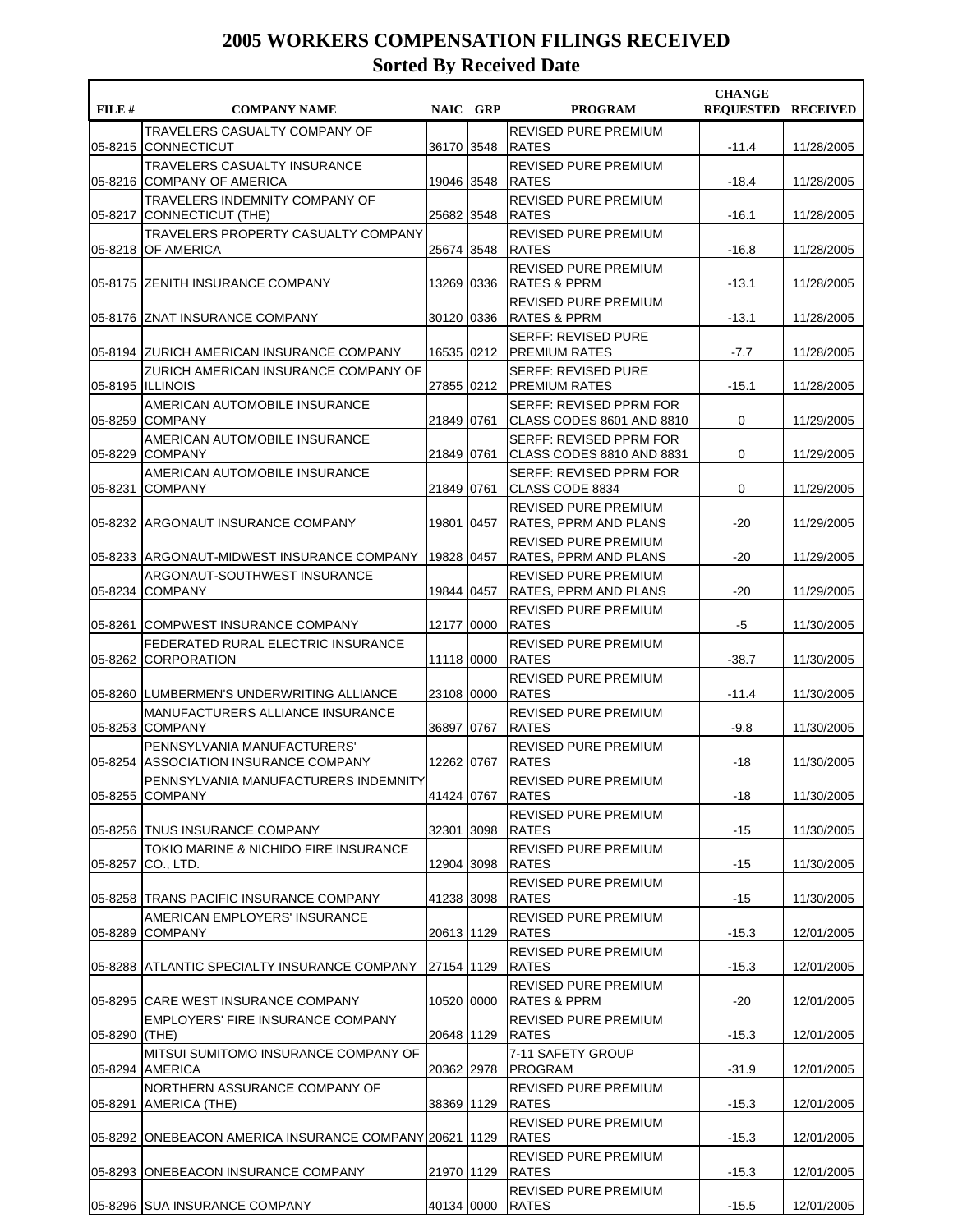| FILE #        | <b>COMPANY NAME</b>                                                  | NAIC GRP     | <b>PROGRAM</b>                                              | <b>CHANGE</b><br><b>REOUESTED RECEIVED</b> |            |
|---------------|----------------------------------------------------------------------|--------------|-------------------------------------------------------------|--------------------------------------------|------------|
| 05-8215       | TRAVELERS CASUALTY COMPANY OF<br><b>CONNECTICUT</b>                  | 36170 3548   | <b>REVISED PURE PREMIUM</b><br><b>RATES</b>                 | $-11.4$                                    | 11/28/2005 |
| 05-8216       | <b>TRAVELERS CASUALTY INSURANCE</b><br><b>COMPANY OF AMERICA</b>     | 19046   3548 | <b>REVISED PURE PREMIUM</b><br><b>RATES</b>                 | $-18.4$                                    | 11/28/2005 |
| 05-8217       | TRAVELERS INDEMNITY COMPANY OF<br>CONNECTICUT (THE)                  | 25682 3548   | <b>REVISED PURE PREMIUM</b><br><b>RATES</b>                 | $-16.1$                                    | 11/28/2005 |
| 05-8218       | <b>TRAVELERS PROPERTY CASUALTY COMPANY</b><br>OF AMERICA             | 25674 3548   | <b>REVISED PURE PREMIUM</b><br><b>RATES</b>                 | $-16.8$                                    | 11/28/2005 |
|               | 05-8175 ZENITH INSURANCE COMPANY                                     | 13269 0336   | <b>REVISED PURE PREMIUM</b><br><b>RATES &amp; PPRM</b>      | $-13.1$                                    | 11/28/2005 |
|               | 05-8176 ZNAT INSURANCE COMPANY                                       | 30120 0336   | <b>REVISED PURE PREMIUM</b><br><b>RATES &amp; PPRM</b>      | $-13.1$                                    | 11/28/2005 |
|               | 05-8194 ZURICH AMERICAN INSURANCE COMPANY                            | 16535 0212   | <b>SERFF: REVISED PURE</b><br><b>PREMIUM RATES</b>          | $-7.7$                                     | 11/28/2005 |
|               | <b>ZURICH AMERICAN INSURANCE COMPANY OF</b><br>05-8195 ILLINOIS      | 27855 0212   | <b>SERFF: REVISED PURE</b><br> PREMIUM RATES                | $-15.1$                                    | 11/28/2005 |
| 05-8259       | AMERICAN AUTOMOBILE INSURANCE<br><b>COMPANY</b>                      | 21849 0761   | SERFF: REVISED PPRM FOR<br>CLASS CODES 8601 AND 8810        | 0                                          | 11/29/2005 |
| 05-8229       | AMERICAN AUTOMOBILE INSURANCE<br><b>COMPANY</b>                      | 21849 0761   | SERFF: REVISED PPRM FOR<br>CLASS CODES 8810 AND 8831        | 0                                          | 11/29/2005 |
| 05-8231       | AMERICAN AUTOMOBILE INSURANCE<br><b>COMPANY</b>                      | 21849 0761   | SERFF: REVISED PPRM FOR<br>CLASS CODE 8834                  | 0                                          | 11/29/2005 |
|               | 05-8232 ARGONAUT INSURANCE COMPANY                                   | 19801 0457   | <b>REVISED PURE PREMIUM</b><br><b>RATES, PPRM AND PLANS</b> | $-20$                                      | 11/29/2005 |
|               | 05-8233   ARGONAUT-MIDWEST INSURANCE COMPANY                         | 19828 0457   | REVISED PURE PREMIUM<br>RATES, PPRM AND PLANS               | $-20$                                      | 11/29/2005 |
| 05-8234       | ARGONAUT-SOUTHWEST INSURANCE<br><b>COMPANY</b>                       | 19844 0457   | REVISED PURE PREMIUM<br>RATES, PPRM AND PLANS               | $-20$                                      | 11/29/2005 |
| 05-8261       | COMPWEST INSURANCE COMPANY                                           | 12177 0000   | <b>REVISED PURE PREMIUM</b><br><b>RATES</b>                 | -5                                         | 11/30/2005 |
| 05-8262       | FEDERATED RURAL ELECTRIC INSURANCE<br><b>CORPORATION</b>             | 11118 0000   | <b>REVISED PURE PREMIUM</b><br><b>RATES</b>                 | $-38.7$                                    | 11/30/2005 |
|               | 05-8260 LUMBERMEN'S UNDERWRITING ALLIANCE                            | 23108 0000   | REVISED PURE PREMIUM<br><b>RATES</b>                        | $-11.4$                                    | 11/30/2005 |
| 05-8253       | MANUFACTURERS ALLIANCE INSURANCE<br><b>COMPANY</b>                   | 36897 0767   | <b>REVISED PURE PREMIUM</b><br><b>RATES</b>                 | $-9.8$                                     | 11/30/2005 |
|               | PENNSYLVANIA MANUFACTURERS'<br>05-8254 ASSOCIATION INSURANCE COMPANY | 12262 0767   | REVISED PURE PREMIUM<br><b>RATES</b>                        | -18                                        | 11/30/2005 |
| 05-8255       | PENNSYLVANIA MANUFACTURERS INDEMNITY<br><b>COMPANY</b>               | 41424 0767   | REVISED PURE PREMIUM<br><b>RATES</b>                        | $-18$                                      | 11/30/2005 |
|               | 05-8256 TNUS INSURANCE COMPANY                                       | 32301 3098   | REVISED PURE PREMIUM<br><b>RATES</b>                        | $-15$                                      | 11/30/2005 |
| 05-8257       | TOKIO MARINE & NICHIDO FIRE INSURANCE<br>CO., LTD.                   | 12904 3098   | REVISED PURE PREMIUM<br>RATES                               | -15                                        | 11/30/2005 |
|               | 05-8258 TRANS PACIFIC INSURANCE COMPANY                              | 41238 3098   | REVISED PURE PREMIUM<br><b>RATES</b>                        | $-15$                                      | 11/30/2005 |
| 05-8289       | AMERICAN EMPLOYERS' INSURANCE<br><b>COMPANY</b>                      | 20613   1129 | REVISED PURE PREMIUM<br><b>RATES</b>                        | $-15.3$                                    | 12/01/2005 |
|               | 05-8288 ATLANTIC SPECIALTY INSURANCE COMPANY                         | 27154 1129   | REVISED PURE PREMIUM<br><b>RATES</b>                        | $-15.3$                                    | 12/01/2005 |
|               | 05-8295 CARE WEST INSURANCE COMPANY                                  | 10520 0000   | REVISED PURE PREMIUM<br>RATES & PPRM                        | $-20$                                      | 12/01/2005 |
| 05-8290 (THE) | <b>EMPLOYERS' FIRE INSURANCE COMPANY</b>                             | 20648 1129   | REVISED PURE PREMIUM<br><b>RATES</b>                        | $-15.3$                                    | 12/01/2005 |
|               | MITSUI SUMITOMO INSURANCE COMPANY OF<br>05-8294 AMERICA              | 20362 2978   | 7-11 SAFETY GROUP<br>PROGRAM                                | $-31.9$                                    | 12/01/2005 |
| 05-8291       | NORTHERN ASSURANCE COMPANY OF<br>AMERICA (THE)                       | 38369   1129 | REVISED PURE PREMIUM<br><b>RATES</b>                        | $-15.3$                                    | 12/01/2005 |
|               | 05-8292 ONEBEACON AMERICA INSURANCE COMPANY 20621 1129               |              | REVISED PURE PREMIUM<br><b>RATES</b>                        | $-15.3$                                    | 12/01/2005 |
| 05-8293       | ONEBEACON INSURANCE COMPANY                                          | 21970 1129   | REVISED PURE PREMIUM<br><b>RATES</b>                        | $-15.3$                                    | 12/01/2005 |
|               | 05-8296 SUA INSURANCE COMPANY                                        | 40134 0000   | REVISED PURE PREMIUM<br>RATES                               | $-15.5$                                    | 12/01/2005 |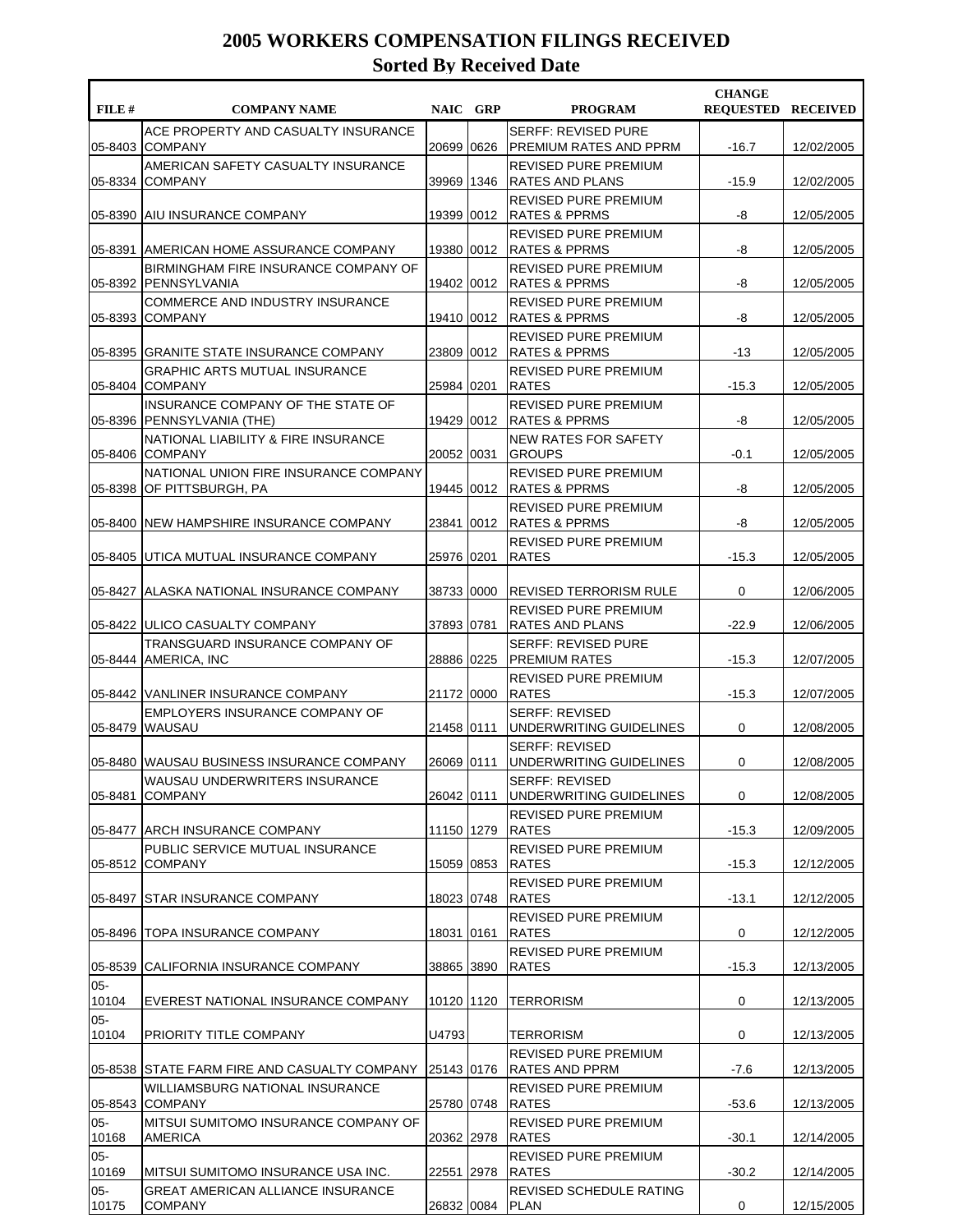| ACE PROPERTY AND CASUALTY INSURANCE<br><b>SERFF: REVISED PURE</b><br><b>COMPANY</b><br><b>PREMIUM RATES AND PPRM</b><br>05-8403<br>20699 0626<br>$-16.7$<br>AMERICAN SAFETY CASUALTY INSURANCE<br>REVISED PURE PREMIUM<br>39969<br>05-8334<br><b>COMPANY</b><br>1346<br><b>RATES AND PLANS</b><br>$-15.9$<br>REVISED PURE PREMIUM<br><b>AIU INSURANCE COMPANY</b><br>19399 0012<br><b>RATES &amp; PPRMS</b><br>-8<br>05-8390<br><b>REVISED PURE PREMIUM</b><br>-8<br>05-8391<br>AMERICAN HOME ASSURANCE COMPANY<br>19380 0012<br> RATES & PPRMS<br><b>BIRMINGHAM FIRE INSURANCE COMPANY OF</b><br><b>REVISED PURE PREMIUM</b><br>19402 0012<br>-8<br>05-8392 PENNSYLVANIA<br><b>RATES &amp; PPRMS</b><br><b>COMMERCE AND INDUSTRY INSURANCE</b><br><b>REVISED PURE PREMIUM</b><br>05-8393<br><b>COMPANY</b><br>19410 0012<br><b>RATES &amp; PPRMS</b><br>-8<br><b>REVISED PURE PREMIUM</b><br>05-8395 GRANITE STATE INSURANCE COMPANY<br>23809 0012<br> RATES & PPRMS<br>-13<br><b>GRAPHIC ARTS MUTUAL INSURANCE</b><br>REVISED PURE PREMIUM<br>05-8404 COMPANY<br>25984 0201<br><b>RATES</b><br>$-15.3$<br>INSURANCE COMPANY OF THE STATE OF<br><b>REVISED PURE PREMIUM</b><br><b>RATES &amp; PPRMS</b><br>-8<br>05-8396<br><b>PENNSYLVANIA (THE)</b><br>19429 0012<br>NATIONAL LIABILITY & FIRE INSURANCE<br><b>NEW RATES FOR SAFETY</b><br><b>COMPANY</b><br>20052 0031<br><b>GROUPS</b><br>$-0.1$<br>05-8406<br><b>REVISED PURE PREMIUM</b><br>NATIONAL UNION FIRE INSURANCE COMPANY<br>OF PITTSBURGH, PA<br>19445 0012<br><b>RATES &amp; PPRMS</b><br>-8<br>05-8398<br><b>REVISED PURE PREMIUM</b><br>05-8400<br><b>INEW HAMPSHIRE INSURANCE COMPANY</b><br>23841 0012<br>RATES & PPRMS<br>-8<br><b>REVISED PURE PREMIUM</b><br>25976 0201<br>05-8405 UTICA MUTUAL INSURANCE COMPANY<br><b>RATES</b><br>$-15.3$<br>0<br>05-8427 ALASKA NATIONAL INSURANCE COMPANY<br>38733 0000<br>REVISED TERRORISM RULE<br>REVISED PURE PREMIUM<br>05-8422 JULICO CASUALTY COMPANY<br>37893 0781<br><b>RATES AND PLANS</b><br>$-22.9$<br>TRANSGUARD INSURANCE COMPANY OF<br><b>SERFF: REVISED PURE</b><br>28886 0225<br>$-15.3$<br>05-8444 AMERICA, INC<br> PREMIUM RATES<br><b>REVISED PURE PREMIUM</b><br>21172 0000<br><b>RATES</b><br>$-15.3$<br>05-8442 VANLINER INSURANCE COMPANY<br>EMPLOYERS INSURANCE COMPANY OF<br><b>SERFF: REVISED</b><br>05-8479<br>21458 0111<br>UNDERWRITING GUIDELINES<br>0<br><b>WAUSAU</b><br><b>SERFF: REVISED</b><br>05-8480 WAUSAU BUSINESS INSURANCE COMPANY<br>26069 0111<br><b>JUNDERWRITING GUIDELINES</b><br>0<br>WAUSAU UNDERWRITERS INSURANCE<br><b>SERFF: REVISED</b><br><b>COMPANY</b><br>26042 0111<br>0<br>05-8481<br>UNDERWRITING GUIDELINES<br>REVISED PURE PREMIUM<br>05-8477<br><b>ARCH INSURANCE COMPANY</b><br>11150 1279<br>RATES<br>$-15.3$<br>12/09/2005<br>PUBLIC SERVICE MUTUAL INSURANCE<br>REVISED PURE PREMIUM<br>05-8512 COMPANY<br>15059 0853<br>RATES<br>$-15.3$<br>12/12/2005<br>REVISED PURE PREMIUM<br><b>STAR INSURANCE COMPANY</b><br><b>RATES</b><br>$-13.1$<br>05-8497<br>18023 0748<br>REVISED PURE PREMIUM<br>05-8496<br><b>ITOPA INSURANCE COMPANY</b><br>18031 0161<br><b>RATES</b><br>0<br>12/12/2005<br>REVISED PURE PREMIUM<br>05-8539<br>CALIFORNIA INSURANCE COMPANY<br>38865 3890<br>$-15.3$<br><b>RATES</b><br>12/13/2005<br>$05-$<br>0<br>10104<br>EVEREST NATIONAL INSURANCE COMPANY<br>10120 1120<br>TERRORISM<br>12/13/2005 | FILE # | <b>COMPANY NAME</b> | NAIC GRP | <b>PROGRAM</b> | <b>CHANGE</b><br><b>REQUESTED RECEIVED</b> |            |
|-----------------------------------------------------------------------------------------------------------------------------------------------------------------------------------------------------------------------------------------------------------------------------------------------------------------------------------------------------------------------------------------------------------------------------------------------------------------------------------------------------------------------------------------------------------------------------------------------------------------------------------------------------------------------------------------------------------------------------------------------------------------------------------------------------------------------------------------------------------------------------------------------------------------------------------------------------------------------------------------------------------------------------------------------------------------------------------------------------------------------------------------------------------------------------------------------------------------------------------------------------------------------------------------------------------------------------------------------------------------------------------------------------------------------------------------------------------------------------------------------------------------------------------------------------------------------------------------------------------------------------------------------------------------------------------------------------------------------------------------------------------------------------------------------------------------------------------------------------------------------------------------------------------------------------------------------------------------------------------------------------------------------------------------------------------------------------------------------------------------------------------------------------------------------------------------------------------------------------------------------------------------------------------------------------------------------------------------------------------------------------------------------------------------------------------------------------------------------------------------------------------------------------------------------------------------------------------------------------------------------------------------------------------------------------------------------------------------------------------------------------------------------------------------------------------------------------------------------------------------------------------------------------------------------------------------------------------------------------------------------------------------------------------------------------------------------------------------------------------------------------------------------------------------------------------------------------------------------------------------------------------------------------------------------------------------------------------------------------------------------------------------------------------|--------|---------------------|----------|----------------|--------------------------------------------|------------|
|                                                                                                                                                                                                                                                                                                                                                                                                                                                                                                                                                                                                                                                                                                                                                                                                                                                                                                                                                                                                                                                                                                                                                                                                                                                                                                                                                                                                                                                                                                                                                                                                                                                                                                                                                                                                                                                                                                                                                                                                                                                                                                                                                                                                                                                                                                                                                                                                                                                                                                                                                                                                                                                                                                                                                                                                                                                                                                                                                                                                                                                                                                                                                                                                                                                                                                                                                                                                           |        |                     |          |                |                                            | 12/02/2005 |
|                                                                                                                                                                                                                                                                                                                                                                                                                                                                                                                                                                                                                                                                                                                                                                                                                                                                                                                                                                                                                                                                                                                                                                                                                                                                                                                                                                                                                                                                                                                                                                                                                                                                                                                                                                                                                                                                                                                                                                                                                                                                                                                                                                                                                                                                                                                                                                                                                                                                                                                                                                                                                                                                                                                                                                                                                                                                                                                                                                                                                                                                                                                                                                                                                                                                                                                                                                                                           |        |                     |          |                |                                            | 12/02/2005 |
|                                                                                                                                                                                                                                                                                                                                                                                                                                                                                                                                                                                                                                                                                                                                                                                                                                                                                                                                                                                                                                                                                                                                                                                                                                                                                                                                                                                                                                                                                                                                                                                                                                                                                                                                                                                                                                                                                                                                                                                                                                                                                                                                                                                                                                                                                                                                                                                                                                                                                                                                                                                                                                                                                                                                                                                                                                                                                                                                                                                                                                                                                                                                                                                                                                                                                                                                                                                                           |        |                     |          |                |                                            | 12/05/2005 |
|                                                                                                                                                                                                                                                                                                                                                                                                                                                                                                                                                                                                                                                                                                                                                                                                                                                                                                                                                                                                                                                                                                                                                                                                                                                                                                                                                                                                                                                                                                                                                                                                                                                                                                                                                                                                                                                                                                                                                                                                                                                                                                                                                                                                                                                                                                                                                                                                                                                                                                                                                                                                                                                                                                                                                                                                                                                                                                                                                                                                                                                                                                                                                                                                                                                                                                                                                                                                           |        |                     |          |                |                                            | 12/05/2005 |
|                                                                                                                                                                                                                                                                                                                                                                                                                                                                                                                                                                                                                                                                                                                                                                                                                                                                                                                                                                                                                                                                                                                                                                                                                                                                                                                                                                                                                                                                                                                                                                                                                                                                                                                                                                                                                                                                                                                                                                                                                                                                                                                                                                                                                                                                                                                                                                                                                                                                                                                                                                                                                                                                                                                                                                                                                                                                                                                                                                                                                                                                                                                                                                                                                                                                                                                                                                                                           |        |                     |          |                |                                            | 12/05/2005 |
|                                                                                                                                                                                                                                                                                                                                                                                                                                                                                                                                                                                                                                                                                                                                                                                                                                                                                                                                                                                                                                                                                                                                                                                                                                                                                                                                                                                                                                                                                                                                                                                                                                                                                                                                                                                                                                                                                                                                                                                                                                                                                                                                                                                                                                                                                                                                                                                                                                                                                                                                                                                                                                                                                                                                                                                                                                                                                                                                                                                                                                                                                                                                                                                                                                                                                                                                                                                                           |        |                     |          |                |                                            | 12/05/2005 |
|                                                                                                                                                                                                                                                                                                                                                                                                                                                                                                                                                                                                                                                                                                                                                                                                                                                                                                                                                                                                                                                                                                                                                                                                                                                                                                                                                                                                                                                                                                                                                                                                                                                                                                                                                                                                                                                                                                                                                                                                                                                                                                                                                                                                                                                                                                                                                                                                                                                                                                                                                                                                                                                                                                                                                                                                                                                                                                                                                                                                                                                                                                                                                                                                                                                                                                                                                                                                           |        |                     |          |                |                                            | 12/05/2005 |
|                                                                                                                                                                                                                                                                                                                                                                                                                                                                                                                                                                                                                                                                                                                                                                                                                                                                                                                                                                                                                                                                                                                                                                                                                                                                                                                                                                                                                                                                                                                                                                                                                                                                                                                                                                                                                                                                                                                                                                                                                                                                                                                                                                                                                                                                                                                                                                                                                                                                                                                                                                                                                                                                                                                                                                                                                                                                                                                                                                                                                                                                                                                                                                                                                                                                                                                                                                                                           |        |                     |          |                |                                            | 12/05/2005 |
|                                                                                                                                                                                                                                                                                                                                                                                                                                                                                                                                                                                                                                                                                                                                                                                                                                                                                                                                                                                                                                                                                                                                                                                                                                                                                                                                                                                                                                                                                                                                                                                                                                                                                                                                                                                                                                                                                                                                                                                                                                                                                                                                                                                                                                                                                                                                                                                                                                                                                                                                                                                                                                                                                                                                                                                                                                                                                                                                                                                                                                                                                                                                                                                                                                                                                                                                                                                                           |        |                     |          |                |                                            | 12/05/2005 |
|                                                                                                                                                                                                                                                                                                                                                                                                                                                                                                                                                                                                                                                                                                                                                                                                                                                                                                                                                                                                                                                                                                                                                                                                                                                                                                                                                                                                                                                                                                                                                                                                                                                                                                                                                                                                                                                                                                                                                                                                                                                                                                                                                                                                                                                                                                                                                                                                                                                                                                                                                                                                                                                                                                                                                                                                                                                                                                                                                                                                                                                                                                                                                                                                                                                                                                                                                                                                           |        |                     |          |                |                                            | 12/05/2005 |
|                                                                                                                                                                                                                                                                                                                                                                                                                                                                                                                                                                                                                                                                                                                                                                                                                                                                                                                                                                                                                                                                                                                                                                                                                                                                                                                                                                                                                                                                                                                                                                                                                                                                                                                                                                                                                                                                                                                                                                                                                                                                                                                                                                                                                                                                                                                                                                                                                                                                                                                                                                                                                                                                                                                                                                                                                                                                                                                                                                                                                                                                                                                                                                                                                                                                                                                                                                                                           |        |                     |          |                |                                            | 12/05/2005 |
|                                                                                                                                                                                                                                                                                                                                                                                                                                                                                                                                                                                                                                                                                                                                                                                                                                                                                                                                                                                                                                                                                                                                                                                                                                                                                                                                                                                                                                                                                                                                                                                                                                                                                                                                                                                                                                                                                                                                                                                                                                                                                                                                                                                                                                                                                                                                                                                                                                                                                                                                                                                                                                                                                                                                                                                                                                                                                                                                                                                                                                                                                                                                                                                                                                                                                                                                                                                                           |        |                     |          |                |                                            | 12/05/2005 |
|                                                                                                                                                                                                                                                                                                                                                                                                                                                                                                                                                                                                                                                                                                                                                                                                                                                                                                                                                                                                                                                                                                                                                                                                                                                                                                                                                                                                                                                                                                                                                                                                                                                                                                                                                                                                                                                                                                                                                                                                                                                                                                                                                                                                                                                                                                                                                                                                                                                                                                                                                                                                                                                                                                                                                                                                                                                                                                                                                                                                                                                                                                                                                                                                                                                                                                                                                                                                           |        |                     |          |                |                                            | 12/05/2005 |
|                                                                                                                                                                                                                                                                                                                                                                                                                                                                                                                                                                                                                                                                                                                                                                                                                                                                                                                                                                                                                                                                                                                                                                                                                                                                                                                                                                                                                                                                                                                                                                                                                                                                                                                                                                                                                                                                                                                                                                                                                                                                                                                                                                                                                                                                                                                                                                                                                                                                                                                                                                                                                                                                                                                                                                                                                                                                                                                                                                                                                                                                                                                                                                                                                                                                                                                                                                                                           |        |                     |          |                |                                            | 12/06/2005 |
|                                                                                                                                                                                                                                                                                                                                                                                                                                                                                                                                                                                                                                                                                                                                                                                                                                                                                                                                                                                                                                                                                                                                                                                                                                                                                                                                                                                                                                                                                                                                                                                                                                                                                                                                                                                                                                                                                                                                                                                                                                                                                                                                                                                                                                                                                                                                                                                                                                                                                                                                                                                                                                                                                                                                                                                                                                                                                                                                                                                                                                                                                                                                                                                                                                                                                                                                                                                                           |        |                     |          |                |                                            | 12/06/2005 |
|                                                                                                                                                                                                                                                                                                                                                                                                                                                                                                                                                                                                                                                                                                                                                                                                                                                                                                                                                                                                                                                                                                                                                                                                                                                                                                                                                                                                                                                                                                                                                                                                                                                                                                                                                                                                                                                                                                                                                                                                                                                                                                                                                                                                                                                                                                                                                                                                                                                                                                                                                                                                                                                                                                                                                                                                                                                                                                                                                                                                                                                                                                                                                                                                                                                                                                                                                                                                           |        |                     |          |                |                                            | 12/07/2005 |
|                                                                                                                                                                                                                                                                                                                                                                                                                                                                                                                                                                                                                                                                                                                                                                                                                                                                                                                                                                                                                                                                                                                                                                                                                                                                                                                                                                                                                                                                                                                                                                                                                                                                                                                                                                                                                                                                                                                                                                                                                                                                                                                                                                                                                                                                                                                                                                                                                                                                                                                                                                                                                                                                                                                                                                                                                                                                                                                                                                                                                                                                                                                                                                                                                                                                                                                                                                                                           |        |                     |          |                |                                            | 12/07/2005 |
|                                                                                                                                                                                                                                                                                                                                                                                                                                                                                                                                                                                                                                                                                                                                                                                                                                                                                                                                                                                                                                                                                                                                                                                                                                                                                                                                                                                                                                                                                                                                                                                                                                                                                                                                                                                                                                                                                                                                                                                                                                                                                                                                                                                                                                                                                                                                                                                                                                                                                                                                                                                                                                                                                                                                                                                                                                                                                                                                                                                                                                                                                                                                                                                                                                                                                                                                                                                                           |        |                     |          |                |                                            | 12/08/2005 |
|                                                                                                                                                                                                                                                                                                                                                                                                                                                                                                                                                                                                                                                                                                                                                                                                                                                                                                                                                                                                                                                                                                                                                                                                                                                                                                                                                                                                                                                                                                                                                                                                                                                                                                                                                                                                                                                                                                                                                                                                                                                                                                                                                                                                                                                                                                                                                                                                                                                                                                                                                                                                                                                                                                                                                                                                                                                                                                                                                                                                                                                                                                                                                                                                                                                                                                                                                                                                           |        |                     |          |                |                                            | 12/08/2005 |
|                                                                                                                                                                                                                                                                                                                                                                                                                                                                                                                                                                                                                                                                                                                                                                                                                                                                                                                                                                                                                                                                                                                                                                                                                                                                                                                                                                                                                                                                                                                                                                                                                                                                                                                                                                                                                                                                                                                                                                                                                                                                                                                                                                                                                                                                                                                                                                                                                                                                                                                                                                                                                                                                                                                                                                                                                                                                                                                                                                                                                                                                                                                                                                                                                                                                                                                                                                                                           |        |                     |          |                |                                            | 12/08/2005 |
|                                                                                                                                                                                                                                                                                                                                                                                                                                                                                                                                                                                                                                                                                                                                                                                                                                                                                                                                                                                                                                                                                                                                                                                                                                                                                                                                                                                                                                                                                                                                                                                                                                                                                                                                                                                                                                                                                                                                                                                                                                                                                                                                                                                                                                                                                                                                                                                                                                                                                                                                                                                                                                                                                                                                                                                                                                                                                                                                                                                                                                                                                                                                                                                                                                                                                                                                                                                                           |        |                     |          |                |                                            |            |
|                                                                                                                                                                                                                                                                                                                                                                                                                                                                                                                                                                                                                                                                                                                                                                                                                                                                                                                                                                                                                                                                                                                                                                                                                                                                                                                                                                                                                                                                                                                                                                                                                                                                                                                                                                                                                                                                                                                                                                                                                                                                                                                                                                                                                                                                                                                                                                                                                                                                                                                                                                                                                                                                                                                                                                                                                                                                                                                                                                                                                                                                                                                                                                                                                                                                                                                                                                                                           |        |                     |          |                |                                            |            |
|                                                                                                                                                                                                                                                                                                                                                                                                                                                                                                                                                                                                                                                                                                                                                                                                                                                                                                                                                                                                                                                                                                                                                                                                                                                                                                                                                                                                                                                                                                                                                                                                                                                                                                                                                                                                                                                                                                                                                                                                                                                                                                                                                                                                                                                                                                                                                                                                                                                                                                                                                                                                                                                                                                                                                                                                                                                                                                                                                                                                                                                                                                                                                                                                                                                                                                                                                                                                           |        |                     |          |                |                                            | 12/12/2005 |
|                                                                                                                                                                                                                                                                                                                                                                                                                                                                                                                                                                                                                                                                                                                                                                                                                                                                                                                                                                                                                                                                                                                                                                                                                                                                                                                                                                                                                                                                                                                                                                                                                                                                                                                                                                                                                                                                                                                                                                                                                                                                                                                                                                                                                                                                                                                                                                                                                                                                                                                                                                                                                                                                                                                                                                                                                                                                                                                                                                                                                                                                                                                                                                                                                                                                                                                                                                                                           |        |                     |          |                |                                            |            |
|                                                                                                                                                                                                                                                                                                                                                                                                                                                                                                                                                                                                                                                                                                                                                                                                                                                                                                                                                                                                                                                                                                                                                                                                                                                                                                                                                                                                                                                                                                                                                                                                                                                                                                                                                                                                                                                                                                                                                                                                                                                                                                                                                                                                                                                                                                                                                                                                                                                                                                                                                                                                                                                                                                                                                                                                                                                                                                                                                                                                                                                                                                                                                                                                                                                                                                                                                                                                           |        |                     |          |                |                                            |            |
|                                                                                                                                                                                                                                                                                                                                                                                                                                                                                                                                                                                                                                                                                                                                                                                                                                                                                                                                                                                                                                                                                                                                                                                                                                                                                                                                                                                                                                                                                                                                                                                                                                                                                                                                                                                                                                                                                                                                                                                                                                                                                                                                                                                                                                                                                                                                                                                                                                                                                                                                                                                                                                                                                                                                                                                                                                                                                                                                                                                                                                                                                                                                                                                                                                                                                                                                                                                                           |        |                     |          |                |                                            |            |
| $05-$<br>10104<br>PRIORITY TITLE COMPANY<br>U4793<br>TERRORISM<br>0                                                                                                                                                                                                                                                                                                                                                                                                                                                                                                                                                                                                                                                                                                                                                                                                                                                                                                                                                                                                                                                                                                                                                                                                                                                                                                                                                                                                                                                                                                                                                                                                                                                                                                                                                                                                                                                                                                                                                                                                                                                                                                                                                                                                                                                                                                                                                                                                                                                                                                                                                                                                                                                                                                                                                                                                                                                                                                                                                                                                                                                                                                                                                                                                                                                                                                                                       |        |                     |          |                |                                            | 12/13/2005 |
| REVISED PURE PREMIUM<br>STATE FARM FIRE AND CASUALTY COMPANY<br>05-8538<br>25143 0176<br>RATES AND PPRM<br>$-7.6$                                                                                                                                                                                                                                                                                                                                                                                                                                                                                                                                                                                                                                                                                                                                                                                                                                                                                                                                                                                                                                                                                                                                                                                                                                                                                                                                                                                                                                                                                                                                                                                                                                                                                                                                                                                                                                                                                                                                                                                                                                                                                                                                                                                                                                                                                                                                                                                                                                                                                                                                                                                                                                                                                                                                                                                                                                                                                                                                                                                                                                                                                                                                                                                                                                                                                         |        |                     |          |                |                                            | 12/13/2005 |
| REVISED PURE PREMIUM<br>WILLIAMSBURG NATIONAL INSURANCE<br><b>COMPANY</b><br>25780 0748<br><b>RATES</b><br>05-8543<br>$-53.6$                                                                                                                                                                                                                                                                                                                                                                                                                                                                                                                                                                                                                                                                                                                                                                                                                                                                                                                                                                                                                                                                                                                                                                                                                                                                                                                                                                                                                                                                                                                                                                                                                                                                                                                                                                                                                                                                                                                                                                                                                                                                                                                                                                                                                                                                                                                                                                                                                                                                                                                                                                                                                                                                                                                                                                                                                                                                                                                                                                                                                                                                                                                                                                                                                                                                             |        |                     |          |                |                                            | 12/13/2005 |
| MITSUI SUMITOMO INSURANCE COMPANY OF<br>$05-$<br>REVISED PURE PREMIUM<br><b>AMERICA</b><br>20362 2978<br><b>RATES</b><br>$-30.1$<br>10168                                                                                                                                                                                                                                                                                                                                                                                                                                                                                                                                                                                                                                                                                                                                                                                                                                                                                                                                                                                                                                                                                                                                                                                                                                                                                                                                                                                                                                                                                                                                                                                                                                                                                                                                                                                                                                                                                                                                                                                                                                                                                                                                                                                                                                                                                                                                                                                                                                                                                                                                                                                                                                                                                                                                                                                                                                                                                                                                                                                                                                                                                                                                                                                                                                                                 |        |                     |          |                |                                            | 12/14/2005 |
| $05 -$<br><b>REVISED PURE PREMIUM</b><br>10169<br><b>RATES</b><br>$-30.2$<br>MITSUI SUMITOMO INSURANCE USA INC.<br>22551 2978                                                                                                                                                                                                                                                                                                                                                                                                                                                                                                                                                                                                                                                                                                                                                                                                                                                                                                                                                                                                                                                                                                                                                                                                                                                                                                                                                                                                                                                                                                                                                                                                                                                                                                                                                                                                                                                                                                                                                                                                                                                                                                                                                                                                                                                                                                                                                                                                                                                                                                                                                                                                                                                                                                                                                                                                                                                                                                                                                                                                                                                                                                                                                                                                                                                                             |        |                     |          |                |                                            | 12/14/2005 |
| $05-$<br><b>GREAT AMERICAN ALLIANCE INSURANCE</b><br>REVISED SCHEDULE RATING<br>10175<br>26832 0084<br>0<br>COMPANY<br>PLAN                                                                                                                                                                                                                                                                                                                                                                                                                                                                                                                                                                                                                                                                                                                                                                                                                                                                                                                                                                                                                                                                                                                                                                                                                                                                                                                                                                                                                                                                                                                                                                                                                                                                                                                                                                                                                                                                                                                                                                                                                                                                                                                                                                                                                                                                                                                                                                                                                                                                                                                                                                                                                                                                                                                                                                                                                                                                                                                                                                                                                                                                                                                                                                                                                                                                               |        |                     |          |                |                                            | 12/15/2005 |